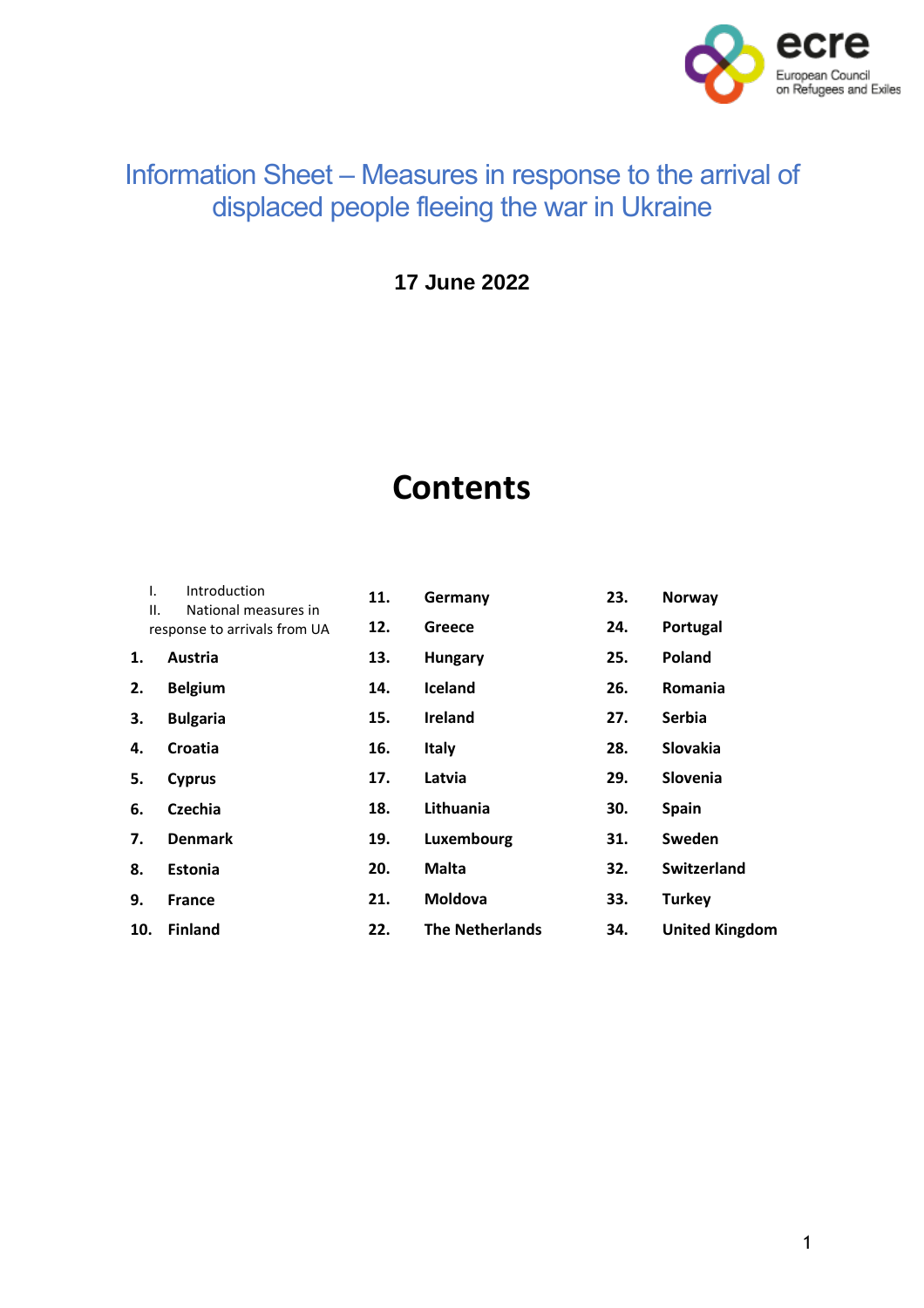

# Information Sheet – Measures in response to the arrival of displaced people fleeing the war in Ukraine

**17 June 2022**

# **Contents**

| Τ.<br>ΙΙ. | Introduction<br>National measures in<br>response to arrivals from UA | 11.<br>12. | Germany<br>Greece      | 23.<br>24. | Norway<br>Portugal    |
|-----------|----------------------------------------------------------------------|------------|------------------------|------------|-----------------------|
| 1.        | Austria                                                              | 13.        | <b>Hungary</b>         | 25.        | <b>Poland</b>         |
| 2.        | <b>Belgium</b>                                                       | 14.        | Iceland                | 26.        | Romania               |
| 3.        | <b>Bulgaria</b>                                                      | 15.        | <b>Ireland</b>         | 27.        | <b>Serbia</b>         |
| 4.        | Croatia                                                              | 16.        | <b>Italy</b>           | 28.        | Slovakia              |
| 5.        | Cyprus                                                               | 17.        | Latvia                 | 29.        | Slovenia              |
| 6.        | <b>Czechia</b>                                                       | 18.        | Lithuania              | 30.        | <b>Spain</b>          |
| 7.        | <b>Denmark</b>                                                       | 19.        | Luxembourg             | 31.        | Sweden                |
| 8.        | <b>Estonia</b>                                                       | 20.        | <b>Malta</b>           | 32.        | <b>Switzerland</b>    |
| 9.        | <b>France</b>                                                        | 21.        | <b>Moldova</b>         | 33.        | <b>Turkey</b>         |
| 10.       | <b>Finland</b>                                                       | 22.        | <b>The Netherlands</b> | 34.        | <b>United Kingdom</b> |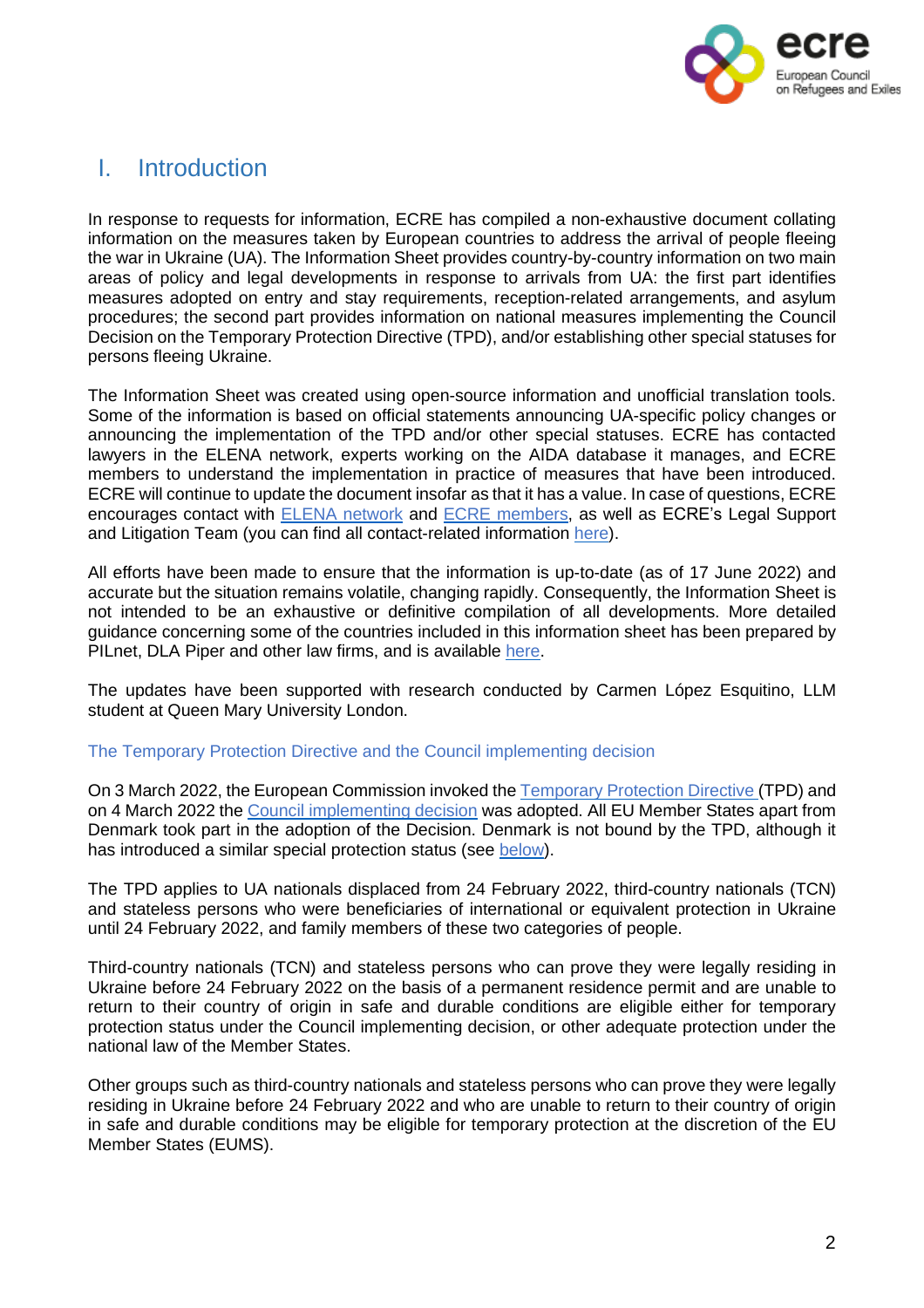

# <span id="page-1-0"></span>I. Introduction

In response to requests for information, ECRE has compiled a non-exhaustive document collating information on the measures taken by European countries to address the arrival of people fleeing the war in Ukraine (UA). The Information Sheet provides country-by-country information on two main areas of policy and legal developments in response to arrivals from UA: the first part identifies measures adopted on entry and stay requirements, reception-related arrangements, and asylum procedures; the second part provides information on national measures implementing the Council Decision on the Temporary Protection Directive (TPD), and/or establishing other special statuses for persons fleeing Ukraine.

The Information Sheet was created using open-source information and unofficial translation tools. Some of the information is based on official statements announcing UA-specific policy changes or announcing the implementation of the TPD and/or other special statuses. ECRE has contacted lawyers in the ELENA network, experts working on the AIDA database it manages, and ECRE members to understand the implementation in practice of measures that have been introduced. ECRE will continue to update the document insofar as that it has a value. In case of questions, ECRE encourages contact with ELENA [network](https://ecre.org/our-work/elena/) and ECRE [members,](https://ecre.org/members/) as well as ECRE's Legal Support and Litigation Team (you can find all contact-related information [here\)](https://ecre.org/staff/).

All efforts have been made to ensure that the information is up-to-date (as of 17 June 2022) and accurate but the situation remains volatile, changing rapidly. Consequently, the Information Sheet is not intended to be an exhaustive or definitive compilation of all developments. More detailed guidance concerning some of the countries included in this information sheet has been prepared by PILnet, DLA Piper and other law firms, and is available [here.](https://www.pilnet.org/resource/immigration-guidance/)

The updates have been supported with research conducted by Carmen López Esquitino, LLM student at Queen Mary University London.

#### The Temporary Protection Directive and the Council implementing decision

On 3 March 2022, the European Commission invoked the [Temporary](https://eur-lex.europa.eu/legal-content/EN/TXT/?uri=celex%25253A32001L0055) Protection Directive (TPD) and on 4 March 2022 the Council [implementing](https://eur-lex.europa.eu/legal-content/EN/TXT/?uri=uriserv:OJ.L_.2022.071.01.0001.01.ENG&toc=OJ:L:2022:071:TOC) decision was adopted. All EU Member States apart from Denmark took part in the adoption of the Decision. Denmark is not bound by the TPD, although it has introduced a similar special protection status (see below).

The TPD applies to UA nationals displaced from 24 February 2022, third-country nationals (TCN) and stateless persons who were beneficiaries of international or equivalent protection in Ukraine until 24 February 2022, and family members of these two categories of people.

Third-country nationals (TCN) and stateless persons who can prove they were legally residing in Ukraine before 24 February 2022 on the basis of a permanent residence permit and are unable to return to their country of origin in safe and durable conditions are eligible either for temporary protection status under the Council implementing decision, or other adequate protection under the national law of the Member States.

Other groups such as third-country nationals and stateless persons who can prove they were legally residing in Ukraine before 24 February 2022 and who are unable to return to their country of origin in safe and durable conditions may be eligible for temporary protection at the discretion of the EU Member States (EUMS).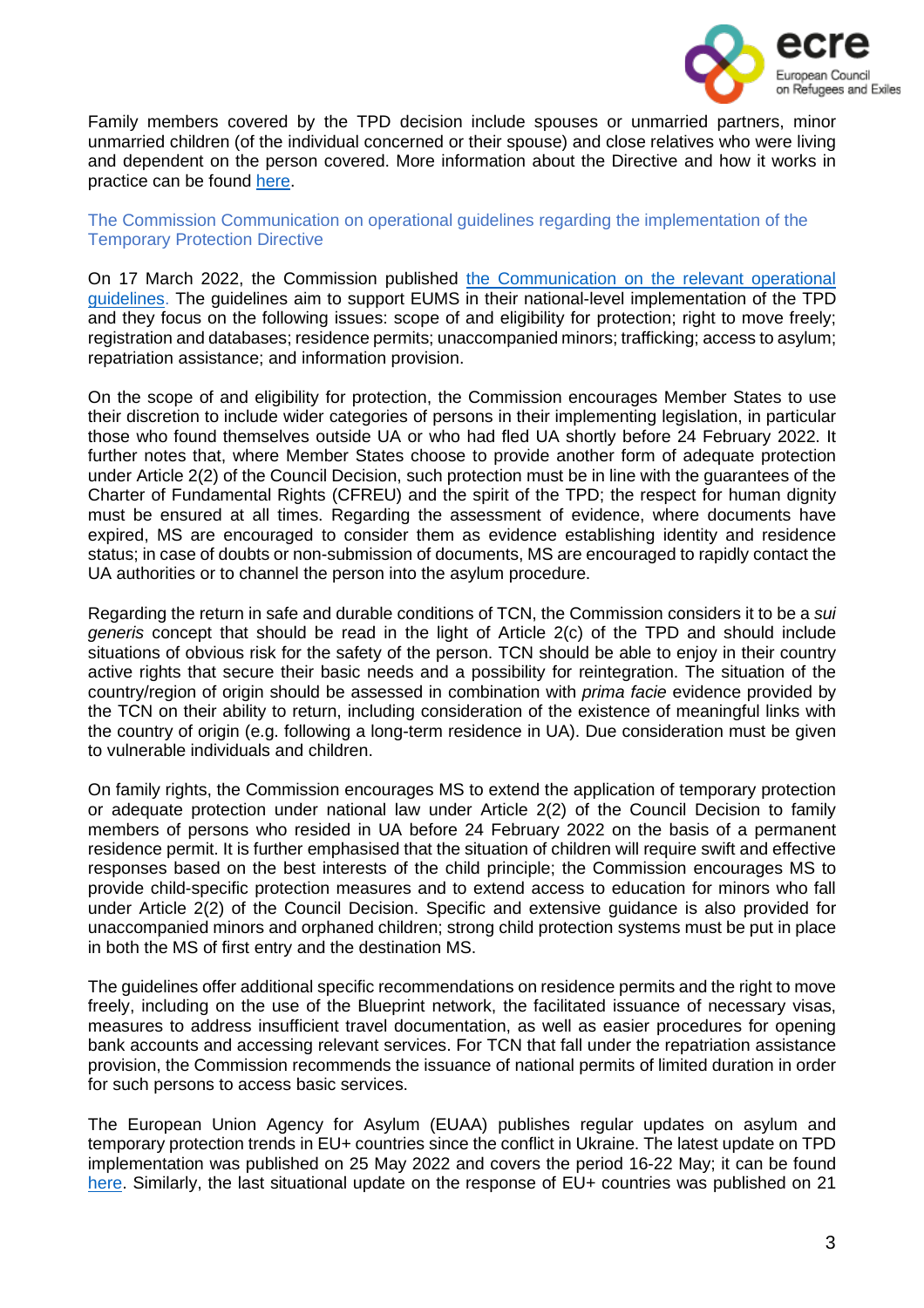

Family members covered by the TPD decision include spouses or unmarried partners, minor unmarried children (of the individual concerned or their spouse) and close relatives who were living and dependent on the person covered. More information about the Directive and how it works in practice can be found [here.](https://ec.europa.eu/info/strategy/priorities-2019-2024/stronger-europe-world/eu-solidarity-ukraine/eu-assistance-ukraine/information-people-fleeing-war-ukraine_en)

#### The Commission Communication on operational guidelines regarding the implementation of the Temporary Protection Directive

On 17 March 2022, the Commission published the [Communication](https://ec.europa.eu/home-affairs/communication-operational-guidelines-establishing-existence-mass-influx-displaced-persons-ukraine_en) on the relevant operational [guidelines.](https://ec.europa.eu/home-affairs/communication-operational-guidelines-establishing-existence-mass-influx-displaced-persons-ukraine_en) The guidelines aim to support EUMS in their national-level implementation of the TPD and they focus on the following issues: scope of and eligibility for protection; right to move freely; registration and databases; residence permits; unaccompanied minors; trafficking; access to asylum; repatriation assistance; and information provision.

On the scope of and eligibility for protection, the Commission encourages Member States to use their discretion to include wider categories of persons in their implementing legislation, in particular those who found themselves outside UA or who had fled UA shortly before 24 February 2022. It further notes that, where Member States choose to provide another form of adequate protection under Article 2(2) of the Council Decision, such protection must be in line with the guarantees of the Charter of Fundamental Rights (CFREU) and the spirit of the TPD; the respect for human dignity must be ensured at all times. Regarding the assessment of evidence, where documents have expired, MS are encouraged to consider them as evidence establishing identity and residence status; in case of doubts or non-submission of documents, MS are encouraged to rapidly contact the UA authorities or to channel the person into the asylum procedure.

Regarding the return in safe and durable conditions of TCN, the Commission considers it to be a *sui generis* concept that should be read in the light of Article 2(c) of the TPD and should include situations of obvious risk for the safety of the person. TCN should be able to enjoy in their country active rights that secure their basic needs and a possibility for reintegration. The situation of the country/region of origin should be assessed in combination with *prima facie* evidence provided by the TCN on their ability to return, including consideration of the existence of meaningful links with the country of origin (e.g. following a long-term residence in UA). Due consideration must be given to vulnerable individuals and children.

On family rights, the Commission encourages MS to extend the application of temporary protection or adequate protection under national law under Article 2(2) of the Council Decision to family members of persons who resided in UA before 24 February 2022 on the basis of a permanent residence permit. It is further emphasised that the situation of children will require swift and effective responses based on the best interests of the child principle; the Commission encourages MS to provide child-specific protection measures and to extend access to education for minors who fall under Article 2(2) of the Council Decision. Specific and extensive guidance is also provided for unaccompanied minors and orphaned children; strong child protection systems must be put in place in both the MS of first entry and the destination MS.

The guidelines offer additional specific recommendations on residence permits and the right to move freely, including on the use of the Blueprint network, the facilitated issuance of necessary visas, measures to address insufficient travel documentation, as well as easier procedures for opening bank accounts and accessing relevant services. For TCN that fall under the repatriation assistance provision, the Commission recommends the issuance of national permits of limited duration in order for such persons to access basic services.

The European Union Agency for Asylum (EUAA) publishes regular updates on asylum and temporary protection trends in EU+ countries since the conflict in Ukraine. The latest update on TPD implementation was published on 25 May 2022 and covers the period 16-22 May; it can be found [here.](https://euaa.europa.eu/publications/analysis-asylum-and-temporary-protection-eu-context-ukraine-crisis-6) Similarly, the last situational update on the response of EU+ countries was published on 21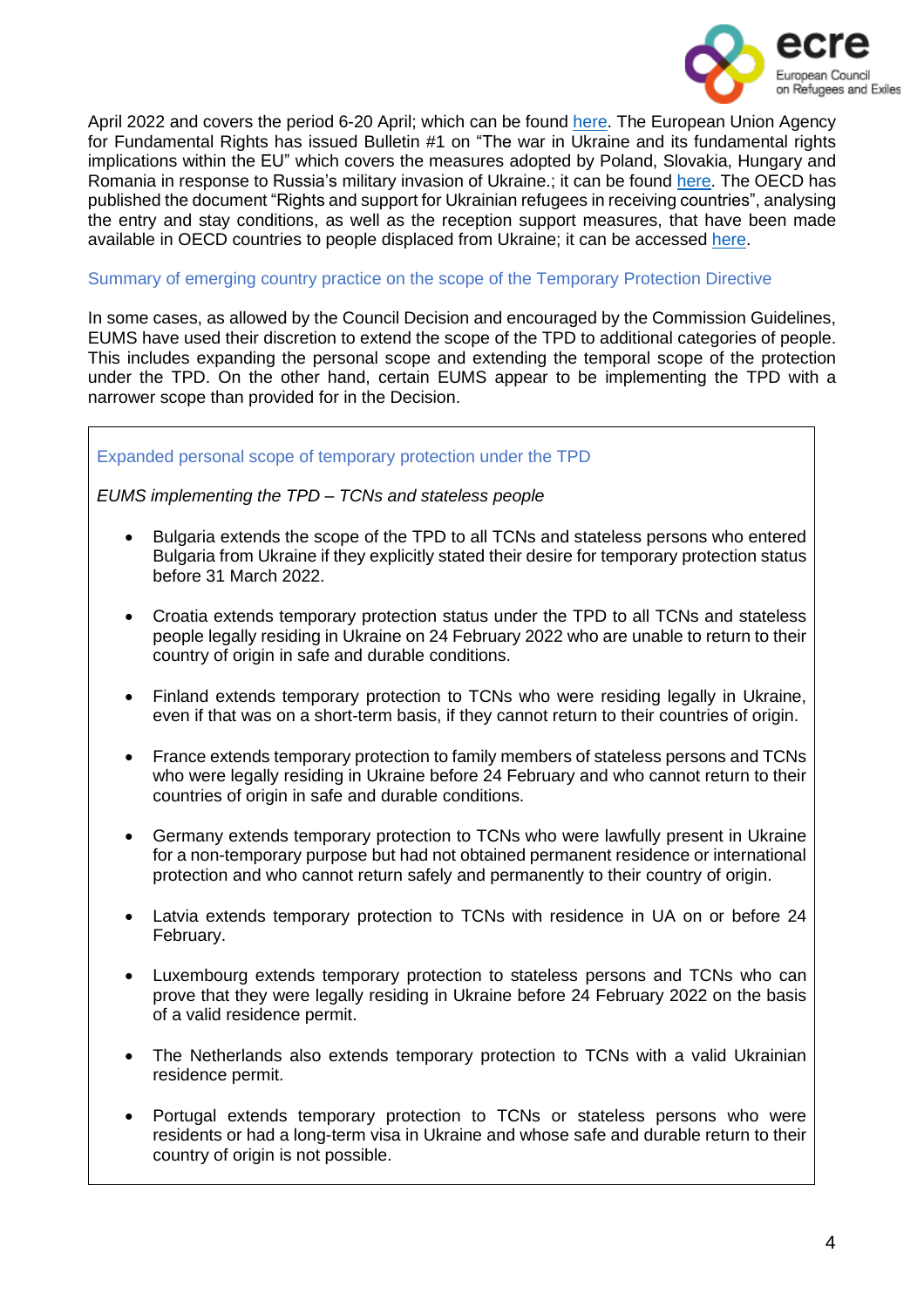

April 2022 and covers the period 6-20 April; which can be found [here.](https://euaa.europa.eu/publications/eu-countries-continue-address-protection-needs-displaced-persons-ukraine) The European Union Agency for Fundamental Rights has issued Bulletin #1 on "The war in Ukraine and its fundamental rights implications within the EU" which covers the measures adopted by Poland, Slovakia, Hungary and Romania in response to Russia's military invasion of Ukraine.; it can be found [here.](https://fra.europa.eu/sites/default/files/fra_uploads/fra-2022-ukraine-bulletin-1_en.pdf) The OECD has published the document "Rights and support for Ukrainian refugees in receiving countries", analysing the entry and stay conditions, as well as the reception support measures, that have been made available in OECD countries to people displaced from Ukraine; it can be accessed [here.](https://www.oecd.org/publications/rights-and-support-for-ukrainian-refugees-in-receiving-countries-09beb886-en.htm)

#### Summary of emerging country practice on the scope of the Temporary Protection Directive

In some cases, as allowed by the Council Decision and encouraged by the Commission Guidelines, EUMS have used their discretion to extend the scope of the TPD to additional categories of people. This includes expanding the personal scope and extending the temporal scope of the protection under the TPD. On the other hand, certain EUMS appear to be implementing the TPD with a narrower scope than provided for in the Decision.

#### Expanded personal scope of temporary protection under the TPD

#### *EUMS implementing the TPD – TCNs and stateless people*

- Bulgaria extends the scope of the TPD to all TCNs and stateless persons who entered Bulgaria from Ukraine if they explicitly stated their desire for temporary protection status before 31 March 2022.
- Croatia extends temporary protection status under the TPD to all TCNs and stateless people legally residing in Ukraine on 24 February 2022 who are unable to return to their country of origin in safe and durable conditions.
- Finland extends temporary protection to TCNs who were residing legally in Ukraine, even if that was on a short-term basis, if they cannot return to their countries of origin.
- France extends temporary protection to family members of stateless persons and TCNs who were legally residing in Ukraine before 24 February and who cannot return to their countries of origin in safe and durable conditions.
- Germany extends temporary protection to TCNs who were lawfully present in Ukraine for a non-temporary purpose but had not obtained permanent residence or international protection and who cannot return safely and permanently to their country of origin.
- Latvia extends temporary protection to TCNs with residence in UA on or before 24 February.
- Luxembourg extends temporary protection to stateless persons and TCNs who can prove that they were legally residing in Ukraine before 24 February 2022 on the basis of a valid residence permit.
- The Netherlands also extends temporary protection to TCNs with a valid Ukrainian residence permit.
- Portugal extends temporary protection to TCNs or stateless persons who were residents or had a long-term visa in Ukraine and whose safe and durable return to their country of origin is not possible.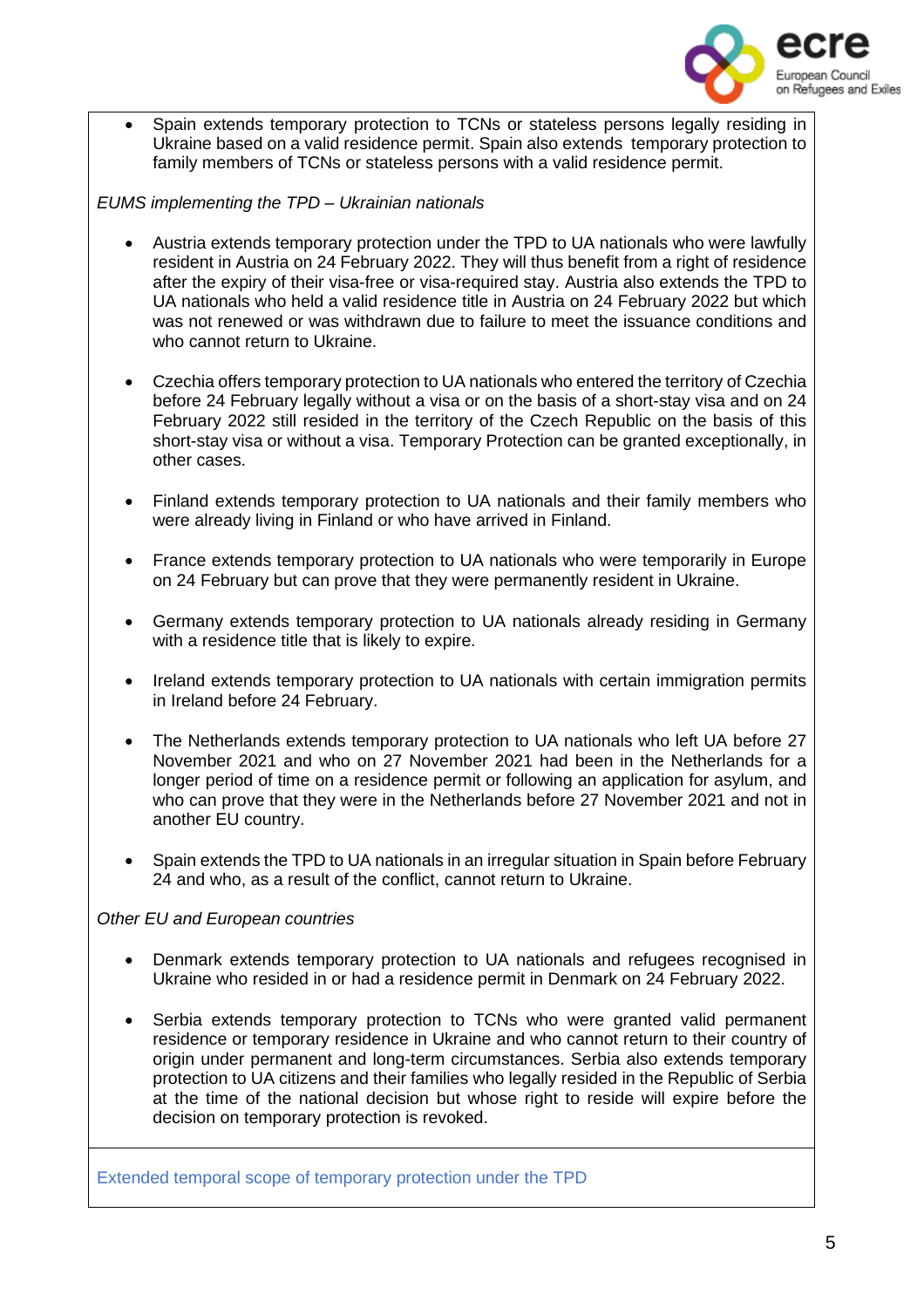

• Spain extends temporary protection to TCNs or stateless persons legally residing in Ukraine based on a valid residence permit. Spain also extends temporary protection to family members of TCNs or stateless persons with a valid residence permit.

*EUMS implementing the TPD – Ukrainian nationals*

- Austria extends temporary protection under the TPD to UA nationals who were lawfully resident in Austria on 24 February 2022. They will thus benefit from a right of residence after the expiry of their visa-free or visa-required stay. Austria also extends the TPD to UA nationals who held a valid residence title in Austria on 24 February 2022 but which was not renewed or was withdrawn due to failure to meet the issuance conditions and who cannot return to Ukraine.
- Czechia offers temporary protection to UA nationals who entered the territory of Czechia before 24 February legally without a visa or on the basis of a short-stay visa and on 24 February 2022 still resided in the territory of the Czech Republic on the basis of this short-stay visa or without a visa. Temporary Protection can be granted exceptionally, in other cases.
- Finland extends temporary protection to UA nationals and their family members who were already living in Finland or who have arrived in Finland.
- France extends temporary protection to UA nationals who were temporarily in Europe on 24 February but can prove that they were permanently resident in Ukraine.
- Germany extends temporary protection to UA nationals already residing in Germany with a residence title that is likely to expire.
- Ireland extends temporary protection to UA nationals with certain immigration permits in Ireland before 24 February.
- The Netherlands extends temporary protection to UA nationals who left UA before 27 November 2021 and who on 27 November 2021 had been in the Netherlands for a longer period of time on a residence permit or following an application for asylum, and who can prove that they were in the Netherlands before 27 November 2021 and not in another EU country.
- Spain extends the TPD to UA nationals in an irregular situation in Spain before February 24 and who, as a result of the conflict, cannot return to Ukraine.

#### *Other EU and European countries*

- Denmark extends temporary protection to UA nationals and refugees recognised in Ukraine who resided in or had a residence permit in Denmark on 24 February 2022.
- Serbia extends temporary protection to TCNs who were granted valid permanent residence or temporary residence in Ukraine and who cannot return to their country of origin under permanent and long-term circumstances. Serbia also extends temporary protection to UA citizens and their families who legally resided in the Republic of Serbia at the time of the national decision but whose right to reside will expire before the decision on temporary protection is revoked.

Extended temporal scope of temporary protection under the TPD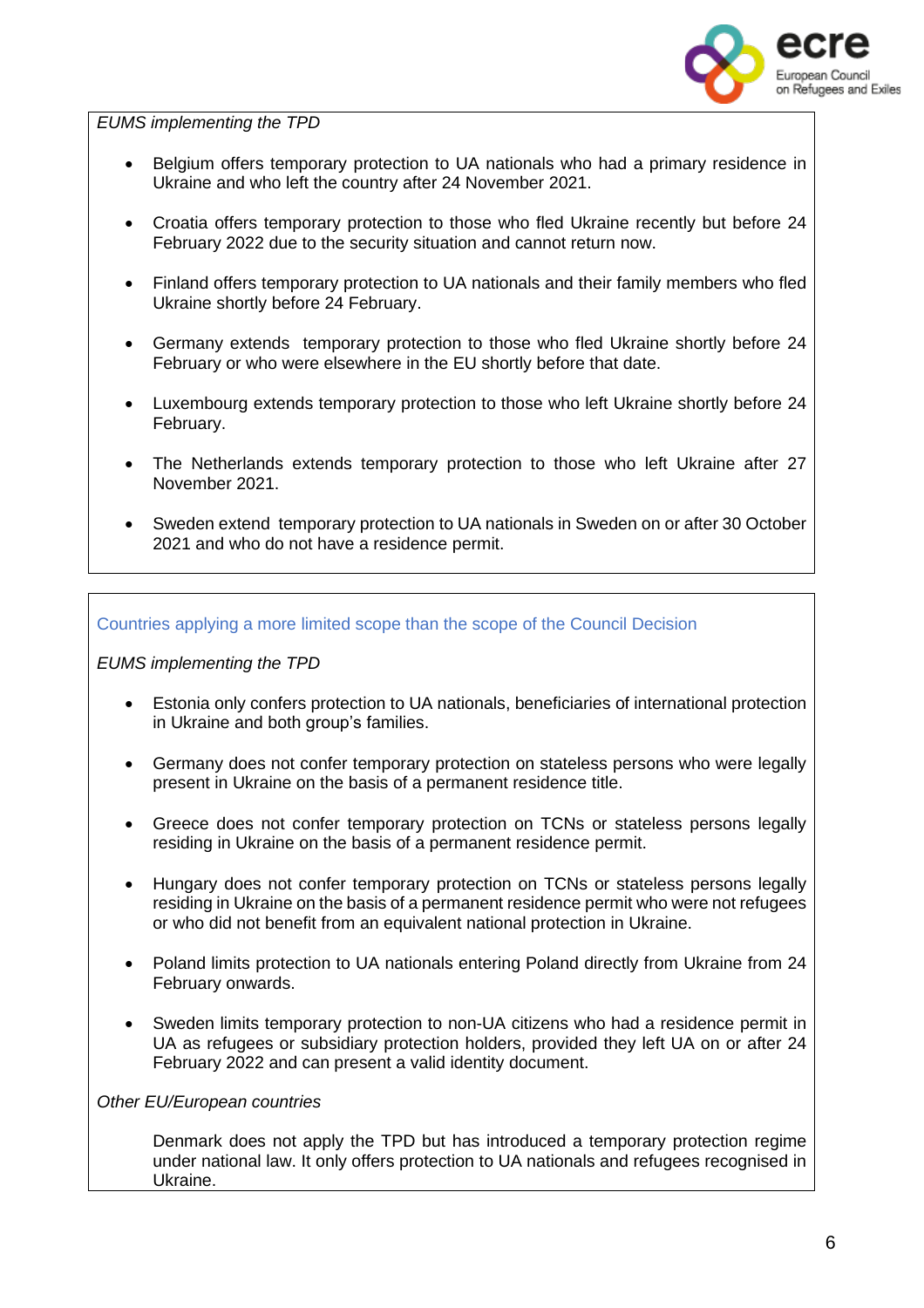

*EUMS implementing the TPD*

- Belgium offers temporary protection to UA nationals who had a primary residence in Ukraine and who left the country after 24 November 2021.
- Croatia offers temporary protection to those who fled Ukraine recently but before 24 February 2022 due to the security situation and cannot return now.
- Finland offers temporary protection to UA nationals and their family members who fled Ukraine shortly before 24 February.
- Germany extends temporary protection to those who fled Ukraine shortly before 24 February or who were elsewhere in the EU shortly before that date.
- Luxembourg extends temporary protection to those who left Ukraine shortly before 24 February.
- The Netherlands extends temporary protection to those who left Ukraine after 27 November 2021.
- Sweden extend temporary protection to UA nationals in Sweden on or after 30 October 2021 and who do not have a residence permit.

Countries applying a more limited scope than the scope of the Council Decision

*EUMS implementing the TPD*

- Estonia only confers protection to UA nationals, beneficiaries of international protection in Ukraine and both group's families.
- Germany does not confer temporary protection on stateless persons who were legally present in Ukraine on the basis of a permanent residence title.
- Greece does not confer temporary protection on TCNs or stateless persons legally residing in Ukraine on the basis of a permanent residence permit.
- Hungary does not confer temporary protection on TCNs or stateless persons legally residing in Ukraine on the basis of a permanent residence permit who were not refugees or who did not benefit from an equivalent national protection in Ukraine.
- Poland limits protection to UA nationals entering Poland directly from Ukraine from 24 February onwards.
- Sweden limits temporary protection to non-UA citizens who had a residence permit in UA as refugees or subsidiary protection holders, provided they left UA on or after 24 February 2022 and can present a valid identity document.

*Other EU/European countries*

Denmark does not apply the TPD but has introduced a temporary protection regime under national law. It only offers protection to UA nationals and refugees recognised in Ukraine.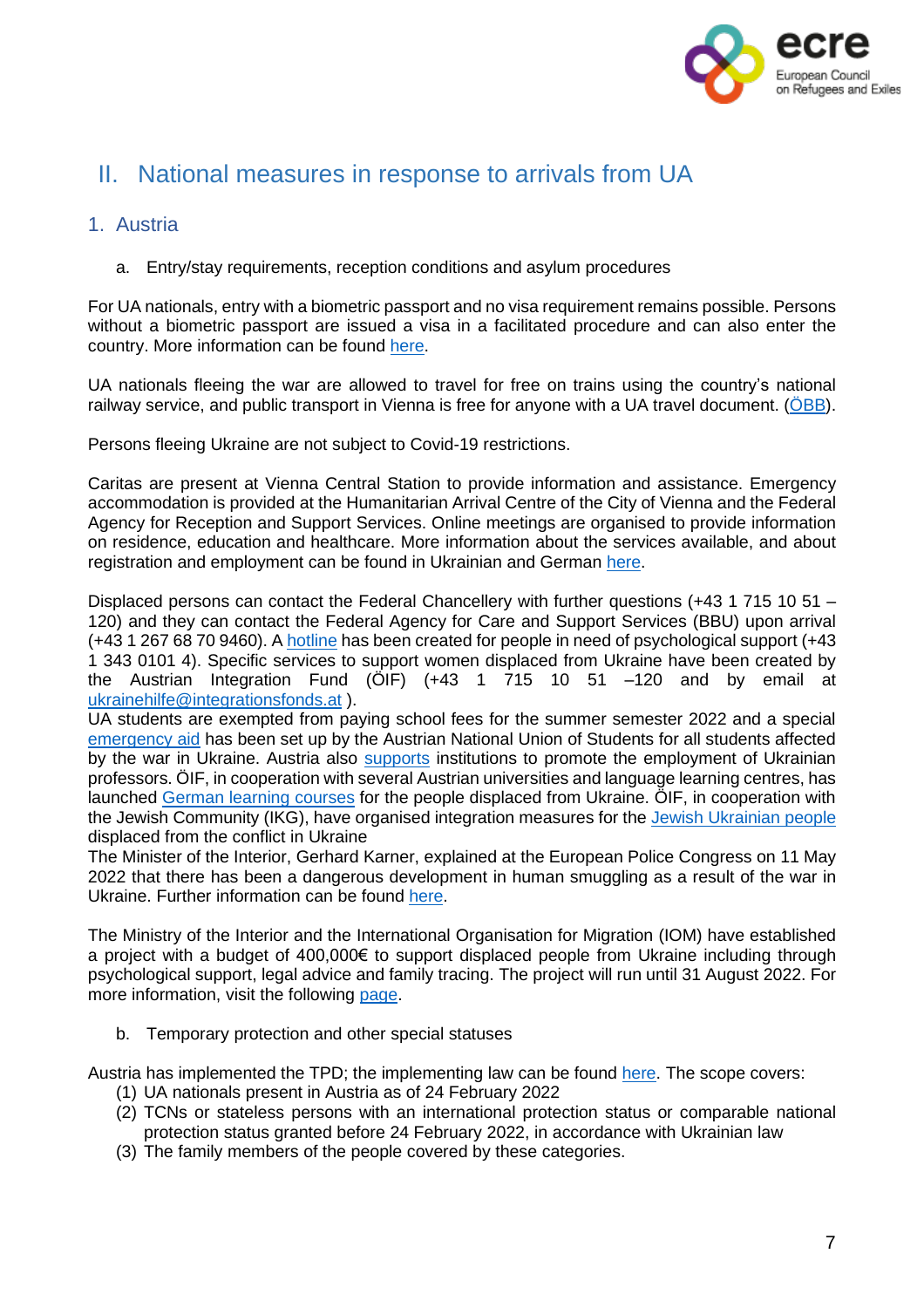

# <span id="page-6-0"></span>II. National measures in response to arrivals from UA

# <span id="page-6-1"></span>1. Austria

a. Entry/stay requirements, reception conditions and asylum procedures

For UA nationals, entry with a biometric passport and no visa requirement remains possible. Persons without a biometric passport are issued a visa in a facilitated procedure and can also enter the country. More information can be found [here.](https://www.oesterreich.gv.at/en/themen/gesundheit_und_notfaelle/Informationen-f%C3%BCr-ukrainische-Staatsangeh%C3%B6rige.html)

UA nationals fleeing the war are allowed to travel for free on trains using the country's national railway service, and public transport in Vienna is free for anyone with a UA travel document. (OBB).

Persons fleeing Ukraine are not subject to Covid-19 restrictions.

Caritas are present at Vienna Central Station to provide information and assistance. Emergency accommodation is provided at the Humanitarian Arrival Centre of the City of Vienna and the Federal Agency for Reception and Support Services. Online meetings are organised to provide information on residence, education and healthcare. More information about the services available, and about registration and employment can be found in Ukrainian and German [here.](https://start.wien.gv.at/ukraine)

Displaced persons can contact the Federal Chancellery with further questions (+43 1 715 10 51 – 120) and they can contact the Federal Agency for Care and Support Services (BBU) upon arrival (+43 1 267 68 70 9460). A [hotline](https://www.diakonie.at/file/download/32730/file/AMIKE-Telefon_Diakonie_Infoblatt_Ukrain_Russ_Engl.pdf) has been created for people in need of psychological support (+43 1 343 0101 4). Specific services to support women displaced from Ukraine have been created by the Austrian Integration Fund (ÖIF) (+43 1 715 10 51 –120 and by email at [ukrainehilfe@integrationsfonds.at](mailto:ukrainehilfe@integrationsfonds.at) ).

UA students are exempted from paying school fees for the summer semester 2022 and a special [emergency](https://www.oeh.ac.at/ukraine-info) aid has been set up by the Austrian National Union of Students for all students affected by the war in Ukraine. Austria also [supports](https://www.oecd.org/publications/rights-and-support-for-ukrainian-refugees-in-receiving-countries-09beb886-en.htm) institutions to promote the employment of Ukrainian professors. ÖIF, in cooperation with several Austrian universities and language learning centres, has launched [German](https://www.integrationsfonds.at/newsbeitrag/oeif-schafft-zusaetzliche-online-deutschkurse-fuer-ukrainer-innen-mit-den-universitaeten-lemberg-drohobych-und-uschhorod-13448/) learning courses for the people displaced from Ukraine. ÖIF, in cooperation with the Jewish Community (IKG), have organised integration measures for the Jewish [Ukrainian](https://www.integrationsfonds.at/newsbeitrag/massnahmenpaket-fuer-aus-der-ukraine-vertriebene-juedinnen-und-juden-praesentation-mit-bundesministerin-raab-und-ikg-praesident-deutsch-13478/) people displaced from the conflict in Ukraine

The Minister of the Interior, Gerhard Karner, explained at the European Police Congress on 11 May 2022 that there has been a dangerous development in human smuggling as a result of the war in Ukraine. Further information can be found [here.](https://bmi-gv-at.translate.goog/news.aspx?id=3544726A656357313156553D&_x_tr_sl=de&_x_tr_tl=en&_x_tr_hl=es&_x_tr_pto=op)

The Ministry of the Interior and the International Organisation for Migration (IOM) have established a project with a budget of 400,000€ to support displaced people from Ukraine including through psychological support, legal advice and family tracing. The project will run until 31 August 2022. For more information, visit the following [page.](https://bmi-gv-at.translate.goog/news.aspx?id=346564704A44334C5963303D&_x_tr_sl=de&_x_tr_tl=en&_x_tr_hl=es&_x_tr_pto=op)

b. Temporary protection and other special statuses

Austria has implemented the TPD; the implementing law can be found [here.](https://www.ris.bka.gv.at/Dokumente/BgblAuth/BGBLA_2022_II_92/BGBLA_2022_II_92.html) The scope covers:

- (1) UA nationals present in Austria as of 24 February 2022
- (2) TCNs or stateless persons with an international protection status or comparable national protection status granted before 24 February 2022, in accordance with Ukrainian law
- (3) The family members of the people covered by these categories.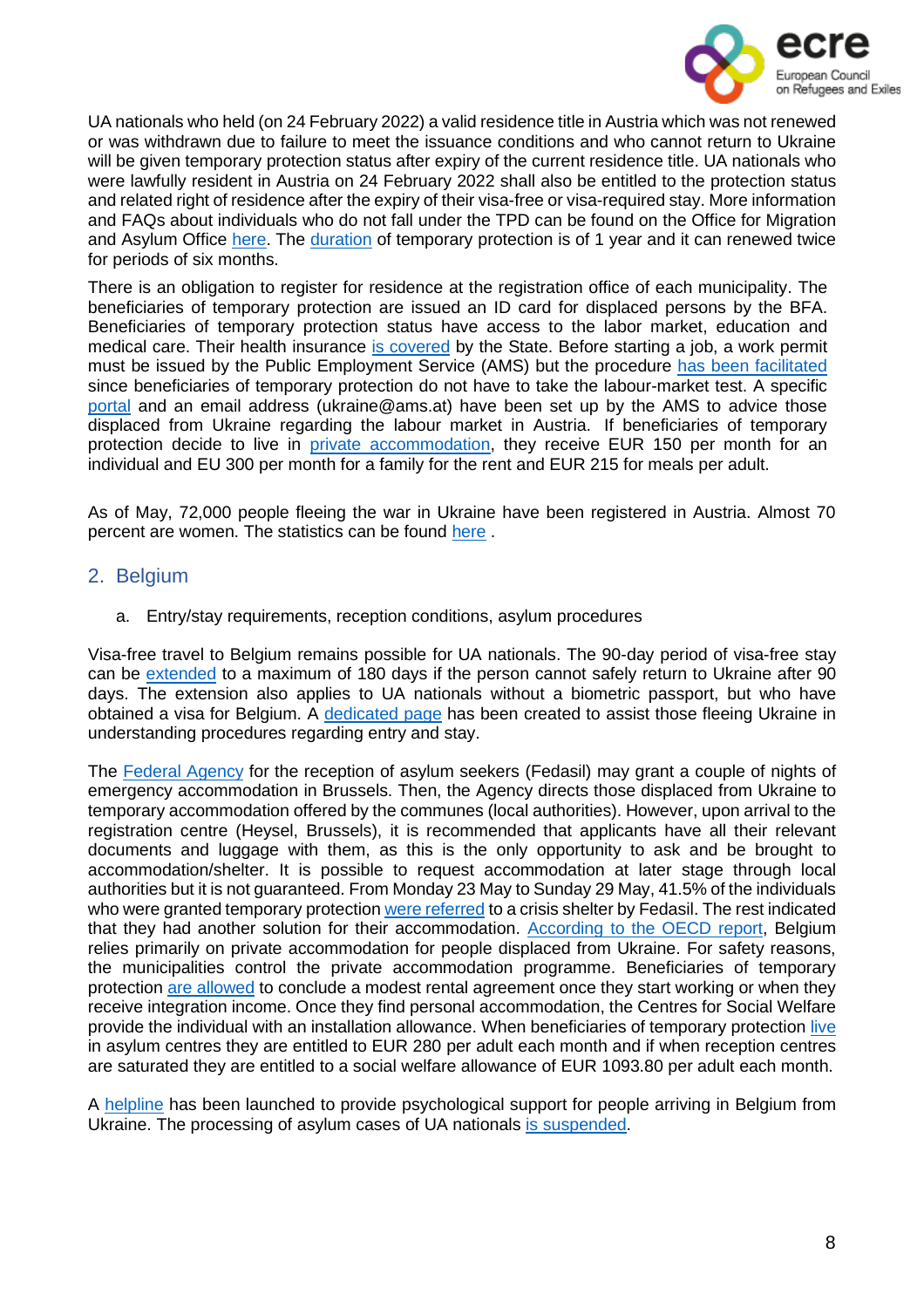

UA nationals who held (on 24 February 2022) a valid residence title in Austria which was not renewed or was withdrawn due to failure to meet the issuance conditions and who cannot return to Ukraine will be given temporary protection status after expiry of the current residence title. UA nationals who were lawfully resident in Austria on 24 February 2022 shall also be entitled to the protection status and related right of residence after the expiry of their visa-free or visa-required stay. More information and FAQs about individuals who do not fall under the TPD can be found on the Office for Migration and Asylum Office [here.](https://www.bfa.gv.at/news.aspx?id=455643766D7646497145673D) The [duration](https://www.oecd.org/publications/rights-and-support-for-ukrainian-refugees-in-receiving-countries-09beb886-en.htm) of temporary protection is of 1 year and it can renewed twice for periods of six months.

There is an obligation to register for residence at the registration office of each municipality. The beneficiaries of temporary protection are issued an ID card for displaced persons by the BFA. Beneficiaries of temporary protection status have access to the labor market, education and medical care. Their health insurance is [covered](https://www.oecd.org/publications/rights-and-support-for-ukrainian-refugees-in-receiving-countries-09beb886-en.htm) by the State. Before starting a job, a work permit must be issued by the Public Employment Service (AMS) but the procedure has been [facilitated](https://read.oecd-ilibrary.org/social-issues-migration-health/rights-and-support-for-ukrainian-refugees-in-receiving-countries_09beb886-en#page1) since beneficiaries of temporary protection do not have to take the labour-market test. A specific [portal](https://www.ams.at/arbeitsuchende/arbeiten-in-oesterreich-und-der-eu/ukraine) and an email address (ukraine@ams.at) have been set up by the AMS to advice those displaced from Ukraine regarding the labour market in Austria. If beneficiaries of temporary protection decide to live in private [accommodation,](https://read.oecd-ilibrary.org/social-issues-migration-health/rights-and-support-for-ukrainian-refugees-in-receiving-countries_09beb886-en#page1) they receive EUR 150 per month for an individual and EU 300 per month for a family for the rent and EUR 215 for meals per adult.

As of May, 72,000 people fleeing the war in Ukraine have been registered in Austria. Almost 70 percent are women. The statistics can be found [here](https://www.integrationsfonds.at/newsbeitrag/seit-kriegsbeginn-haben-sich-rund-72000-ukrainerinnen-und-ukrainer-in-oesterreich-registriert-knapp-70-prozent-davon-sind-frauen-13556/) .

# <span id="page-7-0"></span>2. Belgium

a. Entry/stay requirements, reception conditions, asylum procedures

Visa-free travel to Belgium remains possible for UA nationals. The 90-day period of visa-free stay can be [extended](https://dofi.ibz.be/en/themes/ukraine/short-stay-90-days-maximum) to a maximum of 180 days if the person cannot safely return to Ukraine after 90 days. The extension also applies to UA nationals without a biometric passport, but who have obtained a visa for Belgium. A [dedicated](https://info-ukraine.be/en) page has been created to assist those fleeing Ukraine in understanding procedures regarding entry and stay.

The [Federal](https://www.federaalombudsman.be/en/faq-ukraine-flee) Agency for the reception of asylum seekers (Fedasil) may grant a couple of nights of emergency accommodation in Brussels. Then, the Agency directs those displaced from Ukraine to temporary accommodation offered by the communes (local authorities). However, upon arrival to the registration centre (Heysel, Brussels), it is recommended that applicants have all their relevant documents and luggage with them, as this is the only opportunity to ask and be brought to accommodation/shelter. It is possible to request accommodation at later stage through local authorities but it is not guaranteed. From Monday 23 May to Sunday 29 May, 41.5% of the individuals who were granted temporary protection were [referred](https://info-ukraine.be/en/newsroom/registration-displaced-persons-ukraine-week-23-29052022) to a crisis shelter by Fedasil. The rest indicated that they had another solution for their accommodation. [According](https://read.oecd-ilibrary.org/social-issues-migration-health/rights-and-support-for-ukrainian-refugees-in-receiving-countries_09beb886-en#page1) to the OECD report, Belgium relies primarily on private accommodation for people displaced from Ukraine. For safety reasons, the municipalities control the private accommodation programme. Beneficiaries of temporary protection are [allowed](https://www.oecd.org/publications/rights-and-support-for-ukrainian-refugees-in-receiving-countries-09beb886-en.htm) to conclude a modest rental agreement once they start working or when they receive integration income. Once they find personal accommodation, the Centres for Social Welfare provide the individual with an installation allowance. When beneficiaries of temporary protection [live](https://www.oecd.org/publications/rights-and-support-for-ukrainian-refugees-in-receiving-countries-09beb886-en.htm) in asylum centres they are entitled to EUR 280 per adult each month and if when reception centres are saturated they are entitled to a social welfare allowance of EUR 1093.80 per adult each month.

A [helpline](https://www.solentra.be/en/nieuwsblog/we-mind-helpline-for-psychological-support-for-ukrainian-refugees/) has been launched to provide psychological support for people arriving in Belgium from Ukraine. The processing of asylum cases of UA nationals is [suspended.](https://www.cgra.be/fr/actualite/situation-en-ukraine-gel-du-traitement-des-demandes)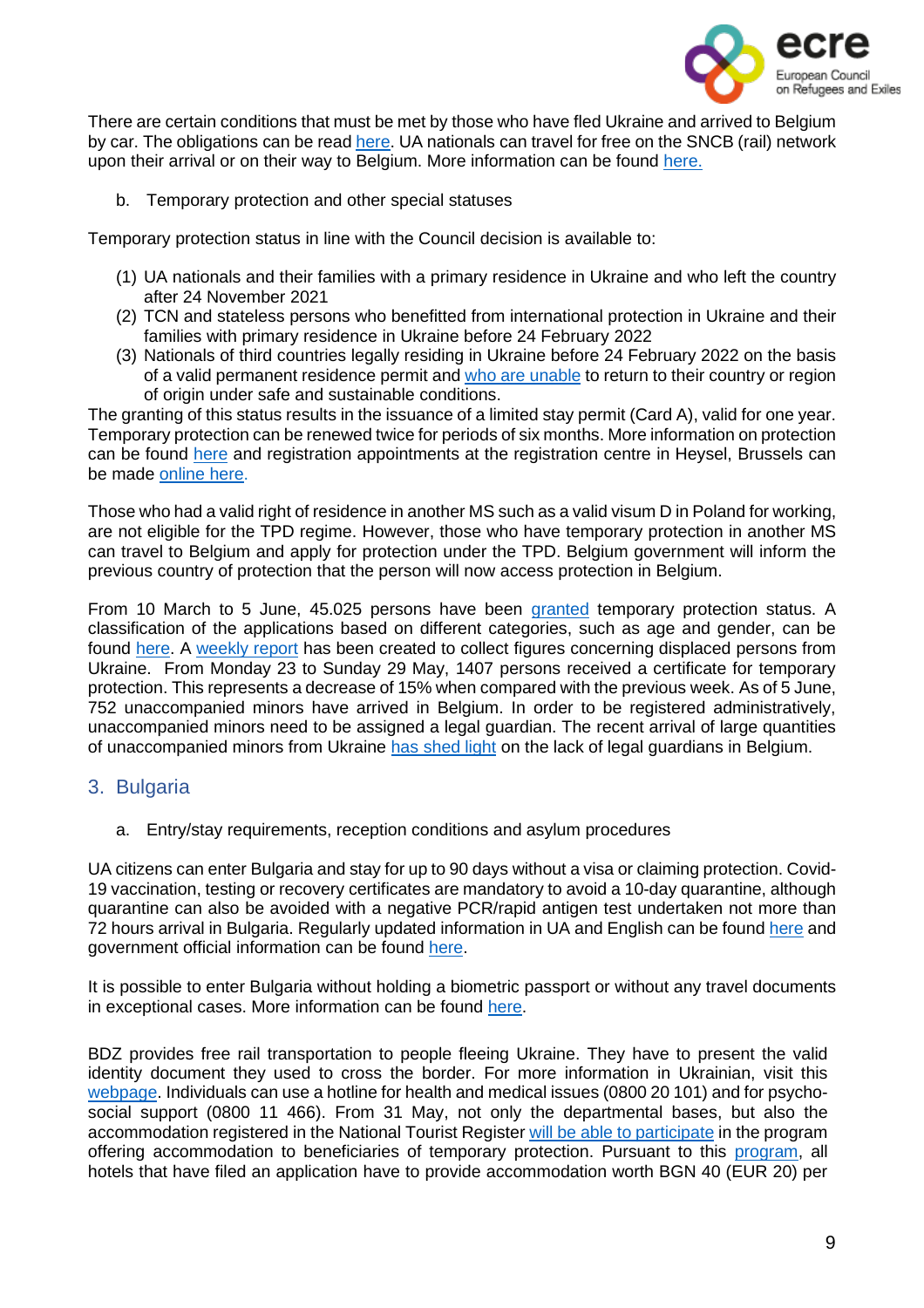

There are certain conditions that must be met by those who have fled Ukraine and arrived to Belgium by car. The obligations can be read [here.](https://info-ukraine.be/en/newsroom/obligations-affecting-road-vehicles-ukraine) UA nationals can travel for free on the SNCB (rail) network upon their arrival or on their way to Belgium. More information can be found [here.](https://www.belgiantrain.be/en/news/ticket-help-ukraine)

b. Temporary protection and other special statuses

Temporary protection status in line with the Council decision is available to:

- (1) UA nationals and their families with a primary residence in Ukraine and who left the country after 24 November 2021
- (2) TCN and stateless persons who benefitted from international protection in Ukraine and their families with primary residence in Ukraine before 24 February 2022
- (3) Nationals of third countries legally residing in Ukraine before 24 February 2022 on the basis of a valid permanent residence permit and who are [unable](https://dofi.ibz.be/en/themes/ukraine/temporary-protection/stateless-persons-and-third-country-nationals) to return to their country or region of origin under safe and sustainable conditions.

The granting of this status results in the issuance of a limited stay permit (Card A), valid for one year. Temporary protection can be renewed twice for periods of six months. More information on protection can be found [here](https://dofi.ibz.be/en/themes/ukraine/temporary-protection) and registration appointments at the registration centre in Heysel, Brussels can be made [online](https://register-ukraine.be/) here.

Those who had a valid right of residence in another MS such as a valid visum D in Poland for working, are not eligible for the TPD regime. However, those who have temporary protection in another MS can travel to Belgium and apply for protection under the TPD. Belgium government will inform the previous country of protection that the person will now access protection in Belgium.

From 10 March to 5 June, 45.025 persons have been [granted](https://statbel.fgov.be/fr/visuals/deplaces-ukrainiens) temporary protection status. A classification of the applications based on different categories, such as age and gender, can be found [here.](https://statbel.fgov.be/fr/visuals/deplaces-ukrainiens) A [weekly](https://info-ukraine.be/en/newsroom/registration-and-reception-displaced-persons-ukraine-week-09-13052022) report has been created to collect figures concerning displaced persons from Ukraine. From Monday 23 to Sunday 29 May, 1407 persons received a certificate for temporary protection. This represents a decrease of 15% when compared with the previous week. As of 5 June, 752 unaccompanied minors have arrived in Belgium. In order to be registered administratively, unaccompanied minors need to be assigned a legal guardian. The recent arrival of large quantities of unaccompanied minors from Ukraine has [shed](https://www.infomigrants.net/en/post/40050/belgium-the-arrival-of-unaccompanied-minors-from-ukraine-highlights-issues-caused-by-lack-of-legal-guardians) light on the lack of legal guardians in Belgium.

# <span id="page-8-0"></span>3. Bulgaria

a. Entry/stay requirements, reception conditions and asylum procedures

UA citizens can enter Bulgaria and stay for up to 90 days without a visa or claiming protection. Covid-19 vaccination, testing or recovery certificates are mandatory to avoid a 10-day quarantine, although quarantine can also be avoided with a negative PCR/rapid antigen test undertaken not more than 72 hours arrival in Bulgaria. Regularly updated information in UA and English can be found [here](https://cms.law/en/int/expert-guides/cms-expert-guide-to-refugee-immigration-and-travel-requirements/bulgaria) and government official information can be found [here.](https://gov.bg/en/ukraine)

It is possible to enter Bulgaria without holding a biometric passport or without any travel documents in exceptional cases. More information can be found [here.](https://cms.law/en/int/expert-guides/cms-expert-guide-to-refugee-immigration-and-travel-requirements/bulgaria)

BDZ provides free rail transportation to people fleeing Ukraine. They have to present the valid identity document they used to cross the border. For more information in Ukrainian, visit this [webpage.](https://www.bdz.bg/bg/a/bdzh-shche-osiguryava-bezplaten-prevoz-na-pristigashchi-ot-ukrayna-grazhdani-na-teritoriyata-na-blgariya) Individuals can use a hotline for health and medical issues (0800 20 101) and for psychosocial support (0800 11 466). From 31 May, not only the departmental bases, but also the accommodation registered in the National Tourist Register will be able to [participate](https://ukraine.gov.bg/2022/05/20/the-humanitarian-program-for-accommodation-of-ukrainian-refugees-after-may-31-will-be-open-to-hotels/) in the program offering accommodation to beneficiaries of temporary protection. Pursuant to this [program,](https://ukraine.gov.bg/2022/05/25/notice-to-all-hotels-that-have-applied-for-participation-in-the-new-humanitarian-program-for-accommodation-of-ukrainian-refugees-after-may-31/) all hotels that have filed an application have to provide accommodation worth BGN 40 (EUR 20) per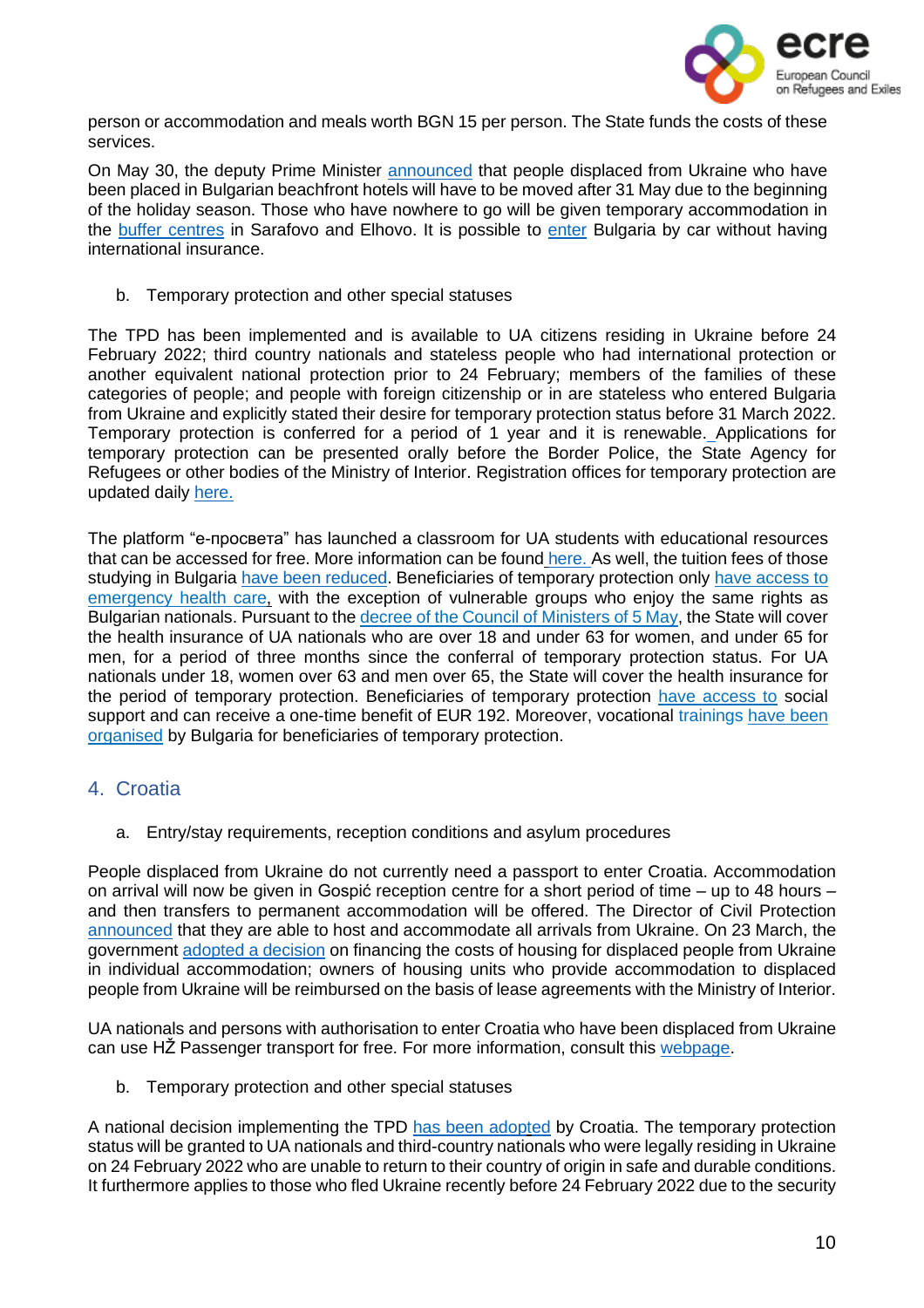

person or accommodation and meals worth BGN 15 per person. The State funds the costs of these services.

On May 30, the deputy Prime Minister [announced](https://www.infomigrants.net/en/post/40861/bulgaria-to-ban-ukrainian-refugees-from-hotels-before-holiday-season) that people displaced from Ukraine who have been placed in Bulgarian beachfront hotels will have to be moved after 31 May due to the beginning of the holiday season. Those who have nowhere to go will be given temporary accommodation in the **buffer [centres](https://www.euractiv.com/section/politics/short_news/bulgaria-leaves-ukrainian-refugees-to-fend-for-themselves/)** in Sarafovo and Elhovo. It is possible to [enter](https://ukraine.gov.bg/your-legal-status/) Bulgaria by car without having international insurance.

b. Temporary protection and other special statuses

The TPD has been implemented and is available to UA citizens residing in Ukraine before 24 February 2022; third country nationals and stateless people who had international protection or another equivalent national protection prior to 24 February; members of the families of these categories of people; and people with foreign citizenship or in are stateless who entered Bulgaria from Ukraine and explicitly stated their desire for temporary protection status before 31 March 2022. Temporary protection is conferred for a period of 1 year and it is renewable. Applications for temporary protection can be presented orally before the Border Police, the State Agency for Refugees or other bodies of the Ministry of Interior. Registration offices for temporary protection are updated daily [here.](https://ukraine.gov.bg/issuance-of-temporary-protection/)

The platform "е-просвета" has launched a classroom for UA students with educational resources that can be accessed for free. More information can be found [here.](https://ukraine.gov.bg/2022/03/28/e-classroom-for-ukrainian-children/) As well, the tuition fees of those studying in Bulgaria have been [reduced.](https://www.oecd.org/publications/rights-and-support-for-ukrainian-refugees-in-receiving-countries-09beb886-en.htm) Beneficiaries of temporary protection only have [access](https://www.oecd.org/publications/rights-and-support-for-ukrainian-refugees-in-receiving-countries-09beb886-en.htm) to [emergency](https://www.oecd.org/publications/rights-and-support-for-ukrainian-refugees-in-receiving-countries-09beb886-en.htm) health care, with the exception of vulnerable groups who enjoy the same rights as Bulgarian nationals. Pursuant to the [decree](https://www.mh.government.bg/media/filer_public/2022/05/10/postanovlenie69-05-05-2022.pdf) of the Council of Ministers of 5 May, the State will cover the health insurance of UA nationals who are over 18 and under 63 for women, and under 65 for men, for a period of three months since the conferral of temporary protection status. For UA nationals under 18, women over 63 and men over 65, the State will cover the health insurance for the period of temporary protection. Beneficiaries of temporary protection have [access](https://www.oecd.org/publications/rights-and-support-for-ukrainian-refugees-in-receiving-countries-09beb886-en.htm) to social support and can receive a one-time benefit of EUR 192. Moreover, vocational trainings have [been](https://www.oecd.org/publications/rights-and-support-for-ukrainian-refugees-in-receiving-countries-09beb886-en.htm) [organised](https://www.oecd.org/publications/rights-and-support-for-ukrainian-refugees-in-receiving-countries-09beb886-en.htm) by Bulgaria for beneficiaries of temporary protection.

# <span id="page-9-0"></span>4. Croatia

a. Entry/stay requirements, reception conditions and asylum procedures

People displaced from Ukraine do not currently need a passport to enter Croatia. Accommodation on arrival will now be given in Gospić reception centre for a short period of time – up to 48 hours – and then transfers to permanent accommodation will be offered. The Director of Civil Protection [announced](https://civilna-zastita.gov.hr/vijesti/trut-prihvatit-cemo-sve-raseljene-osobe-iz-ukrajine-koje-odluce-doci-u-republiku-hrvatsku/5572) that they are able to host and accommodate all arrivals from Ukraine. On 23 March, the government adopted a [decision](https://mup-gov-hr.translate.goog/vijesti/vlada-rh-donijela-odluku-o-financiranju-troskova-za-stambeno-zbrinjavanje-raseljenih-osoba-iz-ukrajine-u-pojedinacnom-smjestaju/288597?_x_tr_sl=hr&_x_tr_tl=en&_x_tr_hl=el&_x_tr_pto=wapp) on financing the costs of housing for displaced people from Ukraine in individual accommodation; owners of housing units who provide accommodation to displaced people from Ukraine will be reimbursed on the basis of lease agreements with the Ministry of Interior.

UA nationals and persons with authorisation to enter Croatia who have been displaced from Ukraine can use HŽ Passenger transport for free. For more information, consult this [webpage.](http://www.hzpp.hr/hrvatska-za-ukrajinu?p=271)

b. Temporary protection and other special statuses

A national decision implementing the TPD has been [adopted](https://mup-gov-hr.translate.goog/vijesti/vlada-prihvatila-odluku-o-uvodjenju-privremene-zastite-u-republici-hrvatskoj-za-raseljene-osobe-iz-ukrajine/288564?_x_tr_sl=hr&_x_tr_tl=en&_x_tr_hl=el&_x_tr_pto=wapp) by Croatia. The temporary protection status will be granted to UA nationals and third-country nationals who were legally residing in Ukraine on 24 February 2022 who are unable to return to their country of origin in safe and durable conditions. It furthermore applies to those who fled Ukraine recently before 24 February 2022 due to the security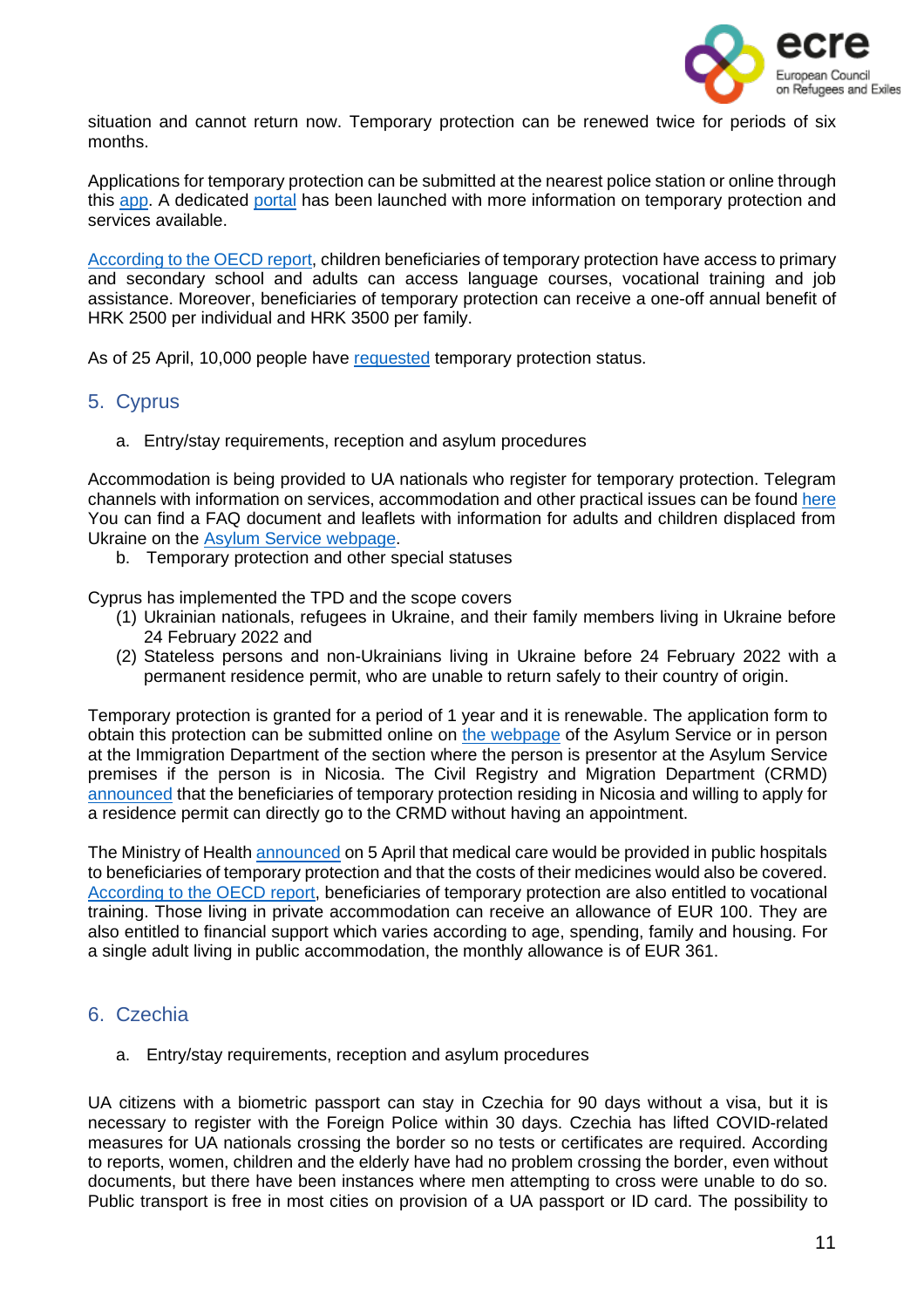

situation and cannot return now. Temporary protection can be renewed twice for periods of six months.

Applications for temporary protection can be submitted at the nearest police station or online through this [app.](https://croatia4ukraine.mup.hr/Pages/Zahtjev) A dedicated [portal](https://hrvatskazaukrajinu.gov.hr/ua) has been launched with more information on temporary protection and services available.

[According](https://www.oecd.org/publications/rights-and-support-for-ukrainian-refugees-in-receiving-countries-09beb886-en.htm) to the OECD report, children beneficiaries of temporary protection have access to primary and secondary school and adults can access language courses, vocational training and job assistance. Moreover, beneficiaries of temporary protection can receive a one-off annual benefit of HRK 2500 per individual and HRK 3500 per family.

As of 25 April, 10,000 people have [requested](https://hrvatskazaukrajinu.gov.hr/press/ravnatelj-trut-u-splitu-u-hrvatsku-dosad-stiglo-15-550-raseljenih-osoba-iz-ukrajine/380) temporary protection status.

# <span id="page-10-0"></span>5. Cyprus

a. Entry/stay requirements, reception and asylum procedures

Accommodation is being provided to UA nationals who register for temporary protection. Telegram channels with information on services, accommodation and other practical issues can be found [here](https://ukr.cy/) You can find a FAQ document and leaflets with information for adults and children displaced from Ukraine on the Asylum Service [webpage.](http://www.moi.gov.cy/moi/asylum/asylumservice.nsf/All/71A7D6D56D2B4B49C22588010055092A)

b. Temporary protection and other special statuses

Cyprus has implemented the TPD and the scope covers

- (1) Ukrainian nationals, refugees in Ukraine, and their family members living in Ukraine before 24 February 2022 and
- (2) Stateless persons and non-Ukrainians living in Ukraine before 24 February 2022 with a permanent residence permit, who are unable to return safely to their country of origin.

Temporary protection is granted for a period of 1 year and it is renewable. The application form to obtain this protection can be submitted online on the [webpage](http://www.moi.gov.cy/moi/asylum/asylumservice.nsf/index_en/index_en?OpenDocument) of the Asylum Service or in person at the Immigration Department of the section where the person is presentor at the Asylum Service premises if the person is in Nicosia. The Civil Registry and Migration Department (CRMD) [announced](http://www.moi.gov.cy/moi/crmd/crmd.nsf/All/89EF518710D3A4DBC225884700329B04?OpenDocument) that the beneficiaries of temporary protection residing in Nicosia and willing to apply for a residence permit can directly go to the CRMD without having an appointment.

The Ministry of Health [announced](https://www-pio-gov-cy.translate.goog/%CE%B1%CE%BD%CE%B1%CE%BA%CE%BF%CE%B9%CE%BD%CF%89%CE%B8%CE%AD%CE%BD%CF%84%CE%B1-%CE%AC%CF%81%CE%B8%CF%81%CE%BF.html?id=27145&_x_tr_sl=el&_x_tr_tl=en&_x_tr_hl=es#flat) on 5 April that medical care would be provided in public hospitals to beneficiaries of temporary protection and that the costs of their medicines would also be covered. [According](https://www.oecd.org/publications/rights-and-support-for-ukrainian-refugees-in-receiving-countries-09beb886-en.htm) to the OECD report, beneficiaries of temporary protection are also entitled to vocational training. Those living in private accommodation can receive an allowance of EUR 100. They are also entitled to financial support which varies according to age, spending, family and housing. For a single adult living in public accommodation, the monthly allowance is of EUR 361.

# <span id="page-10-1"></span>6. Czechia

a. Entry/stay requirements, reception and asylum procedures

UA citizens with a biometric passport can stay in Czechia for 90 days without a visa, but it is necessary to register with the Foreign Police within 30 days. Czechia has lifted COVID-related measures for UA nationals crossing the border so no tests or certificates are required. According to reports, women, children and the elderly have had no problem crossing the border, even without documents, but there have been instances where men attempting to cross were unable to do so. Public transport is free in most cities on provision of a UA passport or ID card. The possibility to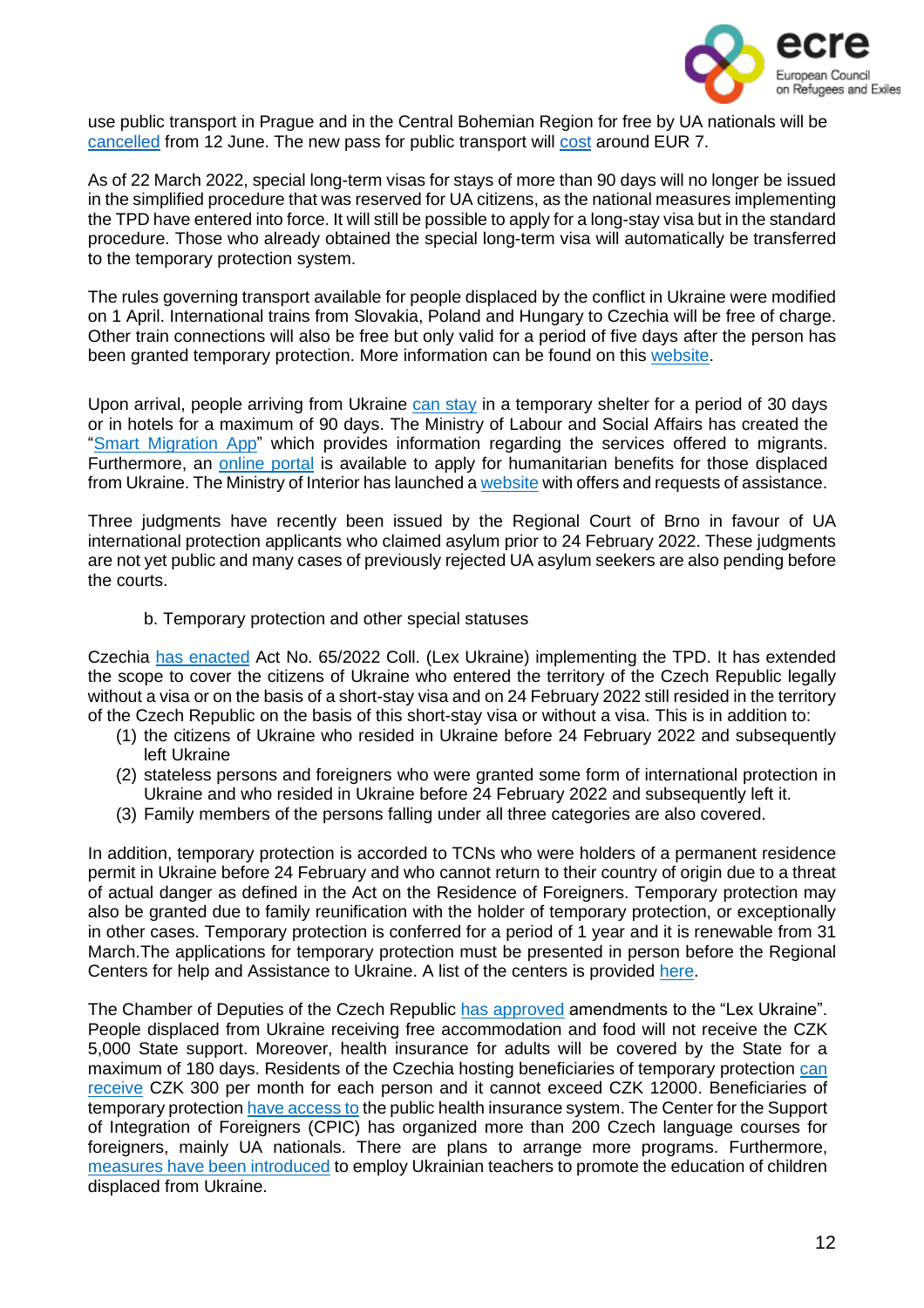

use public transport in Prague and in the Central Bohemian Region for free by UA nationals will be [cancelled](https://english.radio.cz/refugees-can-continue-use-prague-public-transport-free-until-12-june-8752054) from 12 June. The new pass for public transport will [cost](https://visitukraine.today/blog/467/europe-cancels-free-travel-for-ukrainians-list-of-countries) around EUR 7.

As of 22 March 2022, special long-term visas for stays of more than 90 days will no longer be issued in the simplified procedure that was reserved for UA citizens, as the national measures implementing the TPD have entered into force. It will still be possible to apply for a long-stay visa but in the standard procedure. Those who already obtained the special long-term visa will automatically be transferred to the temporary protection system.

The rules governing transport available for people displaced by the conflict in Ukraine were modified on 1 April. International trains from Slovakia, Poland and Hungary to Czechia will be free of charge. Other train connections will also be free but only valid for a period of five days after the person has been granted temporary protection. More information can be found on this [website.](https://www.cd.cz/info/aktuality/-36295/)

Upon arrival, people arriving from Ukraine can [stay](https://www.oecd.org/publications/rights-and-support-for-ukrainian-refugees-in-receiving-countries-09beb886-en.htm) in a temporary shelter for a period of 30 days or in hotels for a maximum of 90 days. The Ministry of Labour and Social Affairs has created the "Smart [Migration](https://play.google.com/store/apps/details?id=cz.mpsv.smartmigration) App" which provides information regarding the services offered to migrants. Furthermore, an [online](https://davkyuk.mpsv.cz/jazyk) portal is available to apply for humanitarian benefits for those displaced from Ukraine. The Ministry of Interior has launched [a website](https://www.nasiukrajinci.cz/en/) with offers and requests of assistance.

Three judgments have recently been issued by the Regional Court of Brno in favour of UA international protection applicants who claimed asylum prior to 24 February 2022. These judgments are not yet public and many cases of previously rejected UA asylum seekers are also pending before the courts.

#### b. Temporary protection and other special statuses

Czechia has [enacted](https://www.mvcr.cz/mvcren/article/information-for-ukrainian-citizens.aspx) Act No. 65/2022 Coll. (Lex Ukraine) implementing the TPD. It has extended the scope to cover the citizens of Ukraine who entered the territory of the Czech Republic legally without a visa or on the basis of a short-stay visa and on 24 February 2022 still resided in the territory of the Czech Republic on the basis of this short-stay visa or without a visa. This is in addition to:

- (1) the citizens of Ukraine who resided in Ukraine before 24 February 2022 and subsequently left Ukraine
- (2) stateless persons and foreigners who were granted some form of international protection in Ukraine and who resided in Ukraine before 24 February 2022 and subsequently left it.
- (3) Family members of the persons falling under all three categories are also covered.

In addition, temporary protection is accorded to TCNs who were holders of a permanent residence permit in Ukraine before 24 February and who cannot return to their country of origin due to a threat of actual danger as defined in the Act on the Residence of Foreigners. Temporary protection may also be granted due to family reunification with the holder of temporary protection, or exceptionally in other cases. Temporary protection is conferred for a period of 1 year and it is renewable from 31 March.The applications for temporary protection must be presented in person before the Regional Centers for help and Assistance to Ukraine. A list of the centers is provided [here.](https://www.google.com/maps/d/viewer?mid=1FaqUgfUDGw0B6_tGVRZE4UhnM-dL_tXp&ll=49.82686023934492%2C15.549044028612261&z=9)

The Chamber of Deputies of the Czech Republic has [approved](https://www.intellinews.com/czech-authorities-tighten-rules-for-ukrainian-refugees-246516/?source=ukraine) amendments to the "Lex Ukraine". People displaced from Ukraine receiving free accommodation and food will not receive the CZK 5,000 State support. Moreover, health insurance for adults will be covered by the State for a maximum of 180 days. Residents of the Czechia hosting beneficiaries of temporary protection [can](https://read.oecd-ilibrary.org/social-issues-migration-health/rights-and-support-for-ukrainian-refugees-in-receiving-countries_09beb886-en#page1) [receive](https://read.oecd-ilibrary.org/social-issues-migration-health/rights-and-support-for-ukrainian-refugees-in-receiving-countries_09beb886-en#page1) CZK 300 per month for each person and it cannot exceed CZK 12000. Beneficiaries of temporary protection have [access](https://www.oecd.org/publications/rights-and-support-for-ukrainian-refugees-in-receiving-countries-09beb886-en.htm) to the public health insurance system. The Center for the Support of Integration of Foreigners (CPIC) has organized more than 200 Czech language courses for foreigners, mainly UA nationals. There are plans to arrange more programs. Furthermore, measures have been [introduced](https://www.oecd.org/publications/rights-and-support-for-ukrainian-refugees-in-receiving-countries-09beb886-en.htm) to employ Ukrainian teachers to promote the education of children displaced from Ukraine.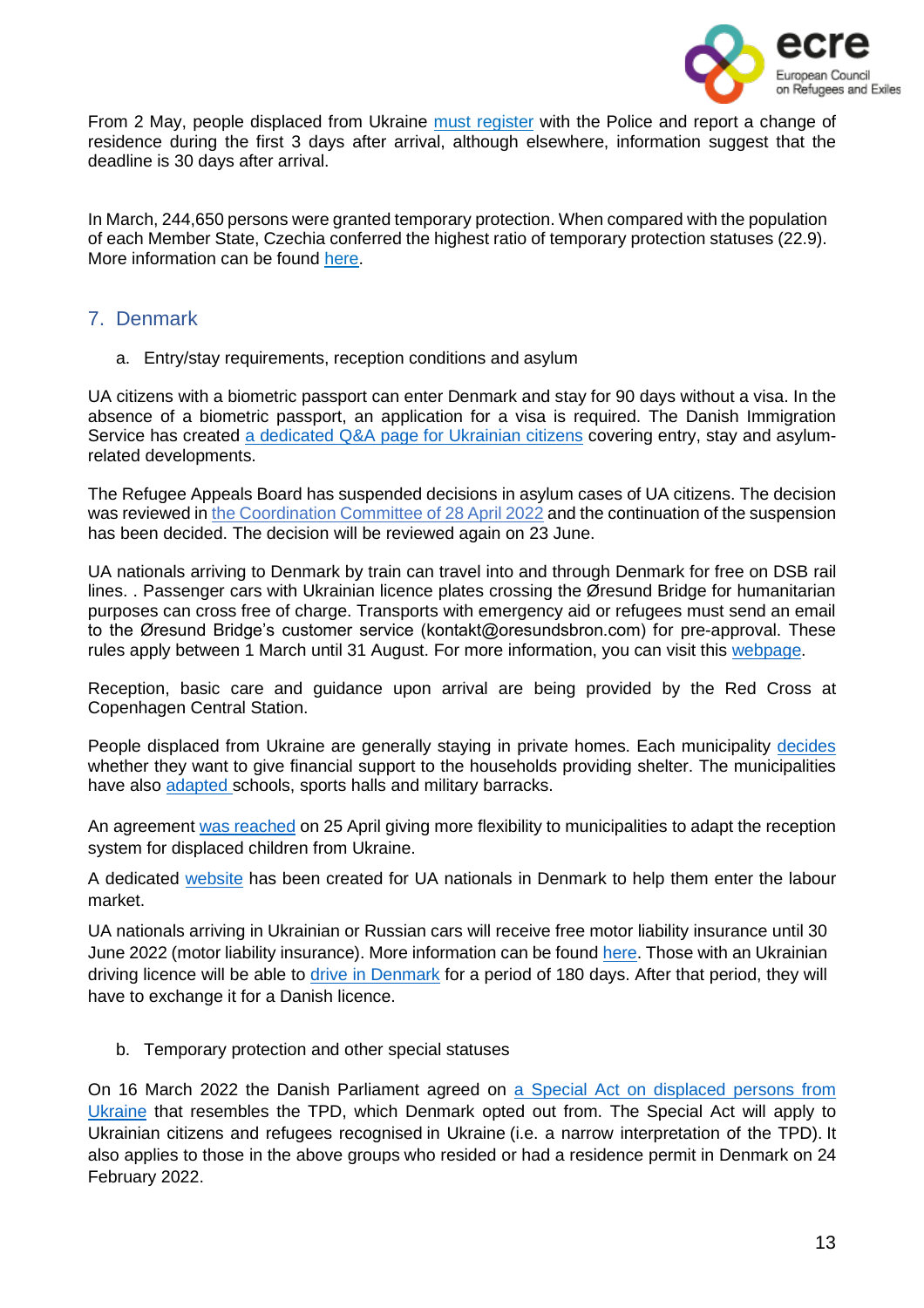

From 2 May, people displaced from Ukraine must [register](https://www.mvcr.cz/mvcren/article/information-for-ukrainian-citizens.aspx) with the Police and report a change of residence during the first 3 days after arrival, although elsewhere, information suggest that the deadline is 30 days after arrival.

In March, 244,650 persons were granted temporary protection. When compared with the population of each Member State, Czechia conferred the highest ratio of temporary protection statuses (22.9). More information can be found [here.](https://ec.europa.eu/eurostat/web/products-eurostat-news/-/ddn-20220603-1)

# <span id="page-12-0"></span>7. Denmark

a. Entry/stay requirements, reception conditions and asylum

UA citizens with a biometric passport can enter Denmark and stay for 90 days without a visa. In the absence of a biometric passport, an application for a visa is required. The Danish Immigration Service has created a [dedicated](https://www.nyidanmark.dk/en-GB/Words%20and%20Concepts%20Front%20Page/Shared/Information%20Ukraine) Q&A page for Ukrainian citizens covering entry, stay and asylumrelated developments.

The Refugee Appeals Board has [suspended](https://fln.dk/da/Nyheder/Nyhedsarkiv/2022/240220221) decisions in asylum cases of UA citizens. The decision was reviewed in the [Coordination](https://fln.dk/da/Nyheder/Nyhedsarkiv/2022/18052022) Committee of 28 April 2022 and the continuation of the suspension has been decided. The decision will be reviewed again on 23 June.

UA nationals arriving to Denmark by train can travel into and through Denmark for free on DSB rail lines. . Passenger cars with Ukrainian licence plates crossing the Øresund Bridge for humanitarian purposes can cross free of charge. Transports with emergency aid or refugees must send an email to the Øresund Bridge's customer service (kontakt@oresundsbron.com) for pre-approval. These rules apply between 1 March until 31 August. For more information, you can visit this [webpage.](https://www.oresundsbron.com/en/info/ukraine)

Reception, basic care and guidance upon arrival are being provided by the Red Cross at Copenhagen Central Station.

People displaced from Ukraine are generally staying in private homes. Each municipality [decides](https://www.dr.dk/nyheder/regionale/syd/har-du-ukrainere-boende-i-dit-hjem-i-nogle-kommuner-kan-du-faa-penge-det) whether they want to give financial support to the households providing shelter. The municipalities have also [adapted](https://www.tv2east.dk/sjaelland-og-oeerne/kommuner-klar-med-husly-til-mindst-15000-ukrainere) schools, sports halls and military barracks.

An agreement was [reached](https://en.kriseinformation.dk/official-news/press-conferences/2022/apr/04-25-buvm) on 25 April giving more flexibility to municipalities to adapt the reception system for displaced children from Ukraine.

A dedicated [website](https://jobguideukraine.dk/) has been created for UA nationals in Denmark to help them enter the labour market.

UA nationals arriving in Ukrainian or Russian cars will receive free motor liability insurance until 30 June 2022 (motor liability insurance). More information can be found [here.](https://www.fogp.dk/ukraine/engelsk/) Those with an Ukrainian driving licence will be able to drive in [Denmark](https://fstyr.dk/en/Driving-licences/Foreign-driving-licences#information-to-holders-of-a-ukrainian-driving-licence) for a period of 180 days. After that period, they will have to exchange it for a Danish licence.

b. Temporary protection and other special statuses

On 16 March 2022 the Danish Parliament agreed on a Special Act on [displaced](https://www.nyidanmark.dk/en-GB/Words%25252520and%25252520Concepts%25252520Front%25252520Page/Shared/Information%25252520Ukraine) persons from [Ukraine](https://www.nyidanmark.dk/en-GB/Words%25252520and%25252520Concepts%25252520Front%25252520Page/Shared/Information%25252520Ukraine) that resembles the TPD, which Denmark opted out from. The Special Act will apply to Ukrainian citizens and refugees recognised in Ukraine (i.e. a narrow interpretation of the TPD). It also applies to those in the above groups who resided or had a residence permit in Denmark on 24 February 2022.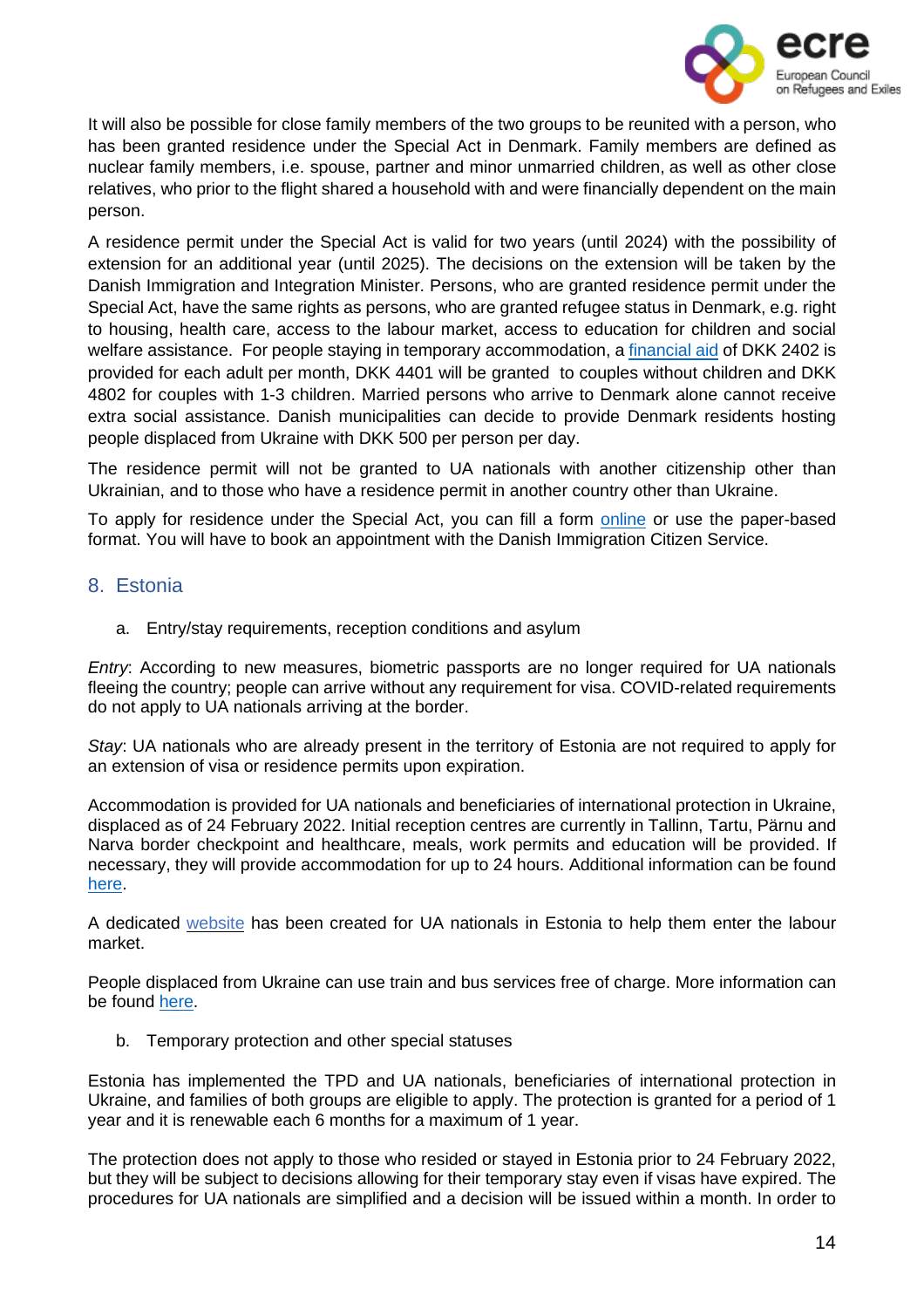

It will also be possible for close family members of the two groups to be reunited with a person, who has been granted residence under the Special Act in Denmark. Family members are defined as nuclear family members, i.e. spouse, partner and minor unmarried children, as well as other close relatives, who prior to the flight shared a household with and were financially dependent on the main person.

A residence permit under the Special Act is valid for two years (until 2024) with the possibility of extension for an additional year (until 2025). The decisions on the extension will be taken by the Danish Immigration and Integration Minister. Persons, who are granted residence permit under the Special Act, have the same rights as persons, who are granted refugee status in Denmark, e.g. right to housing, health care, access to the labour market, access to education for children and social welfare assistance. For people staying in temporary accommodation, a [financial](https://www.oecd.org/publications/rights-and-support-for-ukrainian-refugees-in-receiving-countries-09beb886-en.htm) aid of DKK 2402 is provided for each adult per month, DKK 4401 will be granted to couples without children and DKK 4802 for couples with 1-3 children. Married persons who arrive to Denmark alone cannot receive extra social assistance. Danish municipalities can decide to provide Denmark residents hosting people displaced from Ukraine with DKK 500 per person per day.

The residence permit will not be granted to UA nationals with another citizenship other than Ukrainian, and to those who have a residence permit in another country other than Ukraine.

To apply for residence under the Special Act, you can fill a form [online](https://blanket.nyidanmark.dk/xform/formularer/sl1b.form.aspx) or use the paper-based format. You will have to book an appointment with the Danish Immigration Citizen Service.

#### <span id="page-13-0"></span>8. Estonia

a. Entry/stay requirements, reception conditions and asylum

*Entry*: According to new measures, biometric passports are no longer required for UA nationals fleeing the country; people can arrive without any requirement for visa. COVID-related requirements do not apply to UA nationals arriving at the border.

*Stay*: UA nationals who are already present in the territory of Estonia are not required to apply for an extension of visa or residence permits upon expiration.

Accommodation is provided for UA nationals and beneficiaries of international protection in Ukraine, displaced as of 24 February 2022. Initial reception centres are currently in Tallinn, Tartu, Pärnu and Narva border checkpoint and healthcare, meals, work permits and education will be provided. If necessary, they will provide accommodation for up to 24 hours. Additional information can be found [here.](https://kriis.ee/en/security-situation-europe/ukrainian-war-refugees/staying-estonia)

A dedicated [website](https://www.onlineexpo.com/en/work-for-ukraininas-in-estonia/) has been created for UA nationals in Estonia to help them enter the labour market.

People displaced from Ukraine can use train and bus services free of charge. More information can be found [here.](https://www.mkm.ee/en/news/ukrainian-war-refugees-can-travel-estonian-trains-and-city-and-county-buses-free-charge)

b. Temporary protection and other special statuses

Estonia has implemented the TPD and UA nationals, beneficiaries of international protection in Ukraine, and families of both groups are eligible to apply. The protection is granted for a period of 1 year and it is renewable each 6 months for a maximum of 1 year.

The protection does not apply to those who resided or stayed in Estonia prior to 24 February 2022, but they will be subject to decisions allowing for their temporary stay even if visas have expired. The procedures for UA nationals are simplified and a decision will be issued within a month. In order to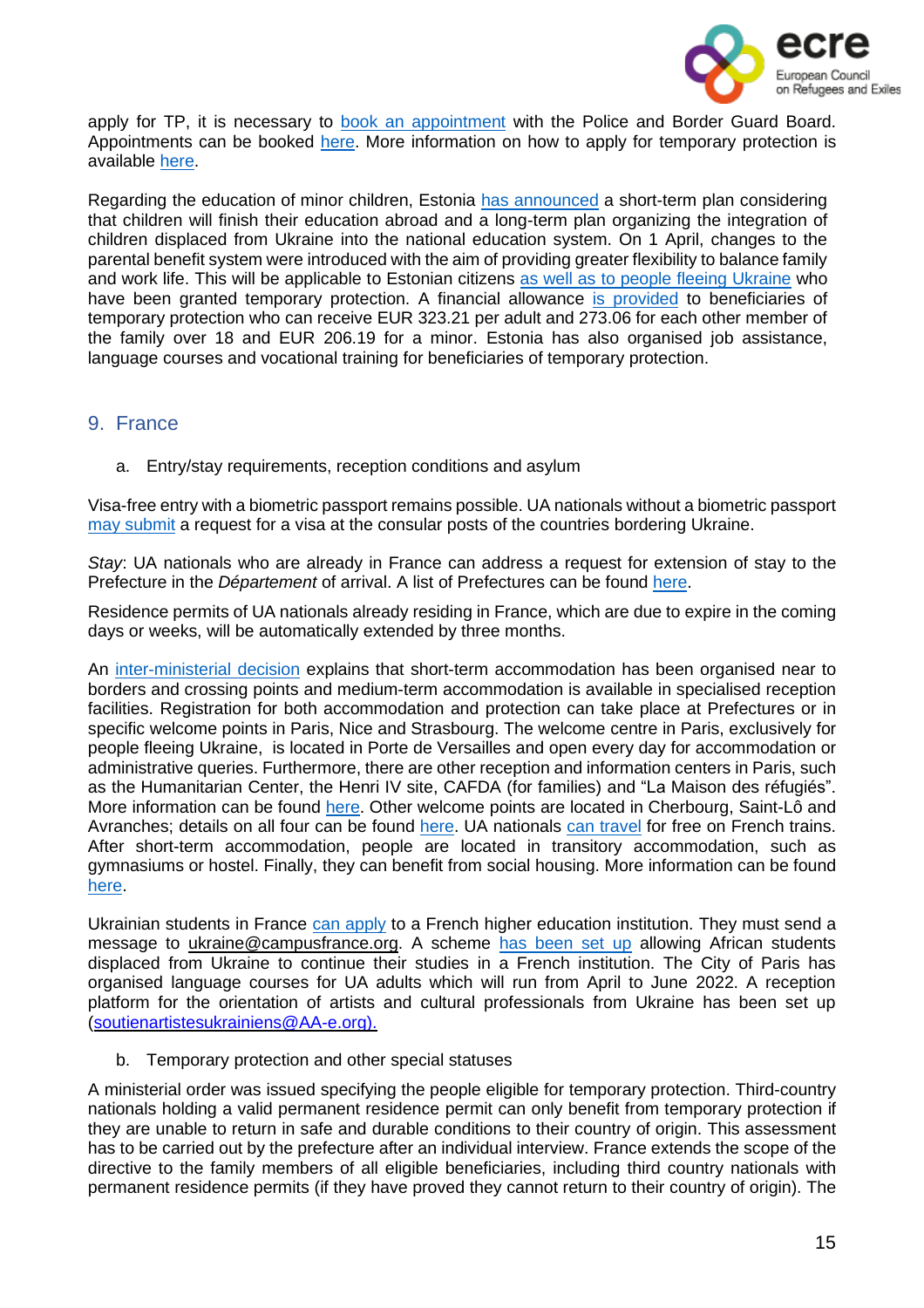

apply for TP, it is necessary to book an [appointment](https://broneering.politsei.ee/) with the Police and Border Guard Board. Appointments can be booked [here.](https://broneering.politsei.ee/) More information on how to apply for temporary protection is available [here.](https://www.politsei.ee/en/instructions/information-on-the-war-in-ukraine/temporary-protection-for-ukrainian-citizens-and-their-family-members)

Regarding the education of minor children, Estonia has [announced](https://www.oecd.org/publications/rights-and-support-for-ukrainian-refugees-in-receiving-countries-09beb886-en.htm) a short-term plan considering that children will finish their education abroad and a long-term plan organizing the integration of children displaced from Ukraine into the national education system. On 1 April, changes to the parental benefit system were introduced with the aim of providing greater flexibility to balance family and work life. This will be applicable to Estonian citizens as well as to people fleeing [Ukraine](https://sotsiaalkindlustusamet.ee/en/ukraine) who have been granted temporary protection. A financial allowance is [provided](https://www.oecd.org/publications/rights-and-support-for-ukrainian-refugees-in-receiving-countries-09beb886-en.htm) to beneficiaries of temporary protection who can receive EUR 323.21 per adult and 273.06 for each other member of the family over 18 and EUR 206.19 for a minor. Estonia has also organised job assistance, language courses and vocational training for beneficiaries of temporary protection.

# <span id="page-14-0"></span>9. France

a. Entry/stay requirements, reception conditions and asylum

Visa-free entry with a biometric passport remains possible. UA nationals without a biometric passport may [submit](https://www.immigration.interieur.gouv.fr/Info-ressources/Actualites/L-actu-immigration/Information-a-destination-des-ressortissants-ukrainiens) a request for a visa at the consular posts of the countries bordering Ukraine.

*Stay*: UA nationals who are already in France can address a request for extension of stay to the Prefecture in the *Département* of arrival. A list of Prefectures can be found [here.](https://www.interieur.gouv.fr/Le-ministere/Prefectures)

Residence permits of UA nationals already residing in France, which are due to expire in the coming days or weeks, will be automatically extended by three months.

An [inter-ministerial](https://www.legifrance.gouv.fr/download/pdf/circ?id=45315) decision explains that short-term accommodation has been organised near to borders and crossing points and medium-term accommodation is available in specialised reception facilities. Registration for both accommodation and protection can take place at Prefectures or in specific welcome points in Paris, Nice and Strasbourg. The welcome centre in Paris, exclusively for people fleeing Ukraine, is located in Porte de Versailles and open every day for accommodation or administrative queries. Furthermore, there are other reception and information centers in Paris, such as the Humanitarian Center, the Henri IV site, CAFDA (for families) and "La Maison des réfugiés". More information can be found [here.](https://www.paris.fr/pages/how-paris-is-supporting-ukraine-20549) Other welcome points are located in Cherbourg, Saint-Lô and Avranches; details on all four can be found [here.](https://www.france-terre-asile.org/actualites/lactualite-france-terre-dasile/informations-pratiques-dispositifs-de-france-terre-d-asile-pour-l-accueil-des-personnes-exilees-d-ukraine) UA nationals can [travel](https://www.ouest-france.fr/monde/guerre-en-ukraine/guerre-en-ukraine-la-sncf-offre-le-train-gratuit-aux-refugies-ukrainiens-5ecc84ec-98cd-11ec-a212-1f68235c1350) for free on French trains. After short-term accommodation, people are located in transitory accommodation, such as gymnasiums or hostel. Finally, they can benefit from social housing. More information can be found [here.](https://www.oecd.org/publications/rights-and-support-for-ukrainian-refugees-in-receiving-countries-09beb886-en.htm)

Ukrainian students in France can [apply](https://parrainage.refugies.info/fr/ukraine/installation) to a French higher education institution. They must send a message to [ukraine@campusfrance.org.](mailto:ukraine@campusfrance.org) A scheme has [been](https://www.oecd.org/publications/rights-and-support-for-ukrainian-refugees-in-receiving-countries-09beb886-en.htm) set up allowing African students displaced from Ukraine to continue their studies in a French institution. The City of Paris has organised language courses for UA adults which will run from April to June 2022. A reception platform for the orientation of artists and cultural professionals from Ukraine has been set up [\(soutienartistesukrainiens@AA-e.org\).](mailto:soutienartistesukrainiens@AA-e.org).) 

b. Temporary protection and other special statuses

A ministerial order was issued specifying the people eligible for temporary protection. Third-country nationals holding a valid permanent residence permit can only benefit from temporary protection if they are unable to return in safe and durable conditions to their country of origin. This assessment has to be carried out by the prefecture after an individual interview. France extends the scope of the directive to the family members of all eligible beneficiaries, including third country nationals with permanent residence permits (if they have proved they cannot return to their country of origin). The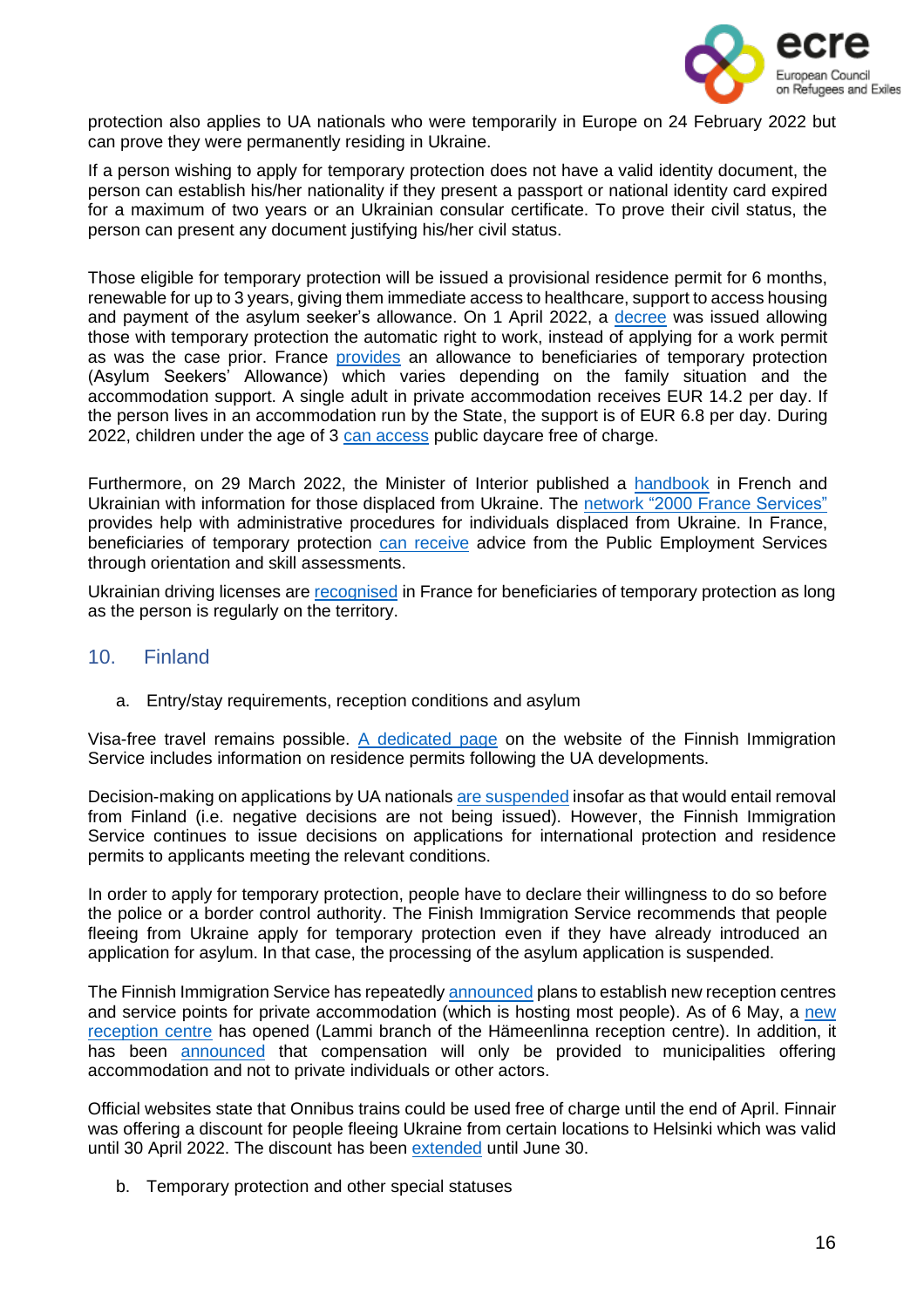

protection also applies to UA nationals who were temporarily in Europe on 24 February 2022 but can prove they were permanently residing in Ukraine.

If a person wishing to apply for temporary protection does not have a valid identity document, the person can establish his/her nationality if they present a passport or national identity card expired for a maximum of two years or an Ukrainian consular certificate. To prove their civil status, the person can present any document justifying his/her civil status.

Those eligible for temporary protection will be issued a provisional residence permit for 6 months, renewable for up to 3 years, giving them immediate access to healthcare, support to access housing and payment of the asylum seeker's allowance. On 1 April 2022, a [decree](https://www.legifrance.gouv.fr/jorf/id/JORFTEXT000045462521) was issued allowing those with temporary protection the automatic right to work, instead of applying for a work permit as was the case prior. France [provides](https://www.oecd.org/publications/rights-and-support-for-ukrainian-refugees-in-receiving-countries-09beb886-en.htm) an allowance to beneficiaries of temporary protection (Asylum Seekers' Allowance) which varies depending on the family situation and the accommodation support. A single adult in private accommodation receives EUR 14.2 per day. If the person lives in an accommodation run by the State, the support is of EUR 6.8 per day. During 2022, children under the age of 3 can [access](https://www.oecd.org/publications/rights-and-support-for-ukrainian-refugees-in-receiving-countries-09beb886-en.htm) public daycare free of charge.

Furthermore, on 29 March 2022, the Minister of Interior published a [handbook](https://www.interieur.gouv.fr/sites/minint/files/medias/documents/2022-03/livret-daccueil-ukraine.pdf) in French and Ukrainian with information for those displaced from Ukraine. The network "2000 France [Services"](https://www.cohesion-territoires.gouv.fr/politique-daccueil-des-deplaces-dukraine-le-reseau-france-services-mobilise) provides help with administrative procedures for individuals displaced from Ukraine. In France, beneficiaries of temporary protection can [receive](https://www.oecd.org/publications/rights-and-support-for-ukrainian-refugees-in-receiving-countries-09beb886-en.htm) advice from the Public Employment Services through orientation and skill assessments.

Ukrainian driving licenses are [recognised](https://parrainage.refugies.info/fr/ukraine/arriver-en-france) in France for beneficiaries of temporary protection as long as the person is regularly on the territory.

# <span id="page-15-0"></span>10. Finland

a. Entry/stay requirements, reception conditions and asylum

Visa-free travel remains possible. A [dedicated](https://migri.fi/en/faq-ukraine) page on the website of the Finnish Immigration Service includes information on residence permits following the UA developments.

Decision-making on applications by UA nationals are [suspended](https://migri.fi/en/-/finnish-immigration-service-closely-monitoring-situation-in-ukraine) insofar as that would entail removal from Finland (i.e. negative decisions are not being issued). However, the Finnish Immigration Service continues to issue decisions on applications for international protection and residence permits to applicants meeting the relevant conditions.

In order to apply for temporary protection, people have to declare their willingness to do so before the police or a border control authority. The Finish Immigration Service recommends that people fleeing from Ukraine apply for temporary protection even if they have already introduced an application for asylum. In that case, the processing of the asylum application is suspended.

The Finnish Immigration Service has repeatedly [announced](https://migri.fi/en/-/the-finnish-immigration-service-to-establish-new-reception-centres-21-april) plans to establish new reception centres and service points for private accommodation (which is hosting most people). As of 6 May, a [new](https://migri.fi/en/-/the-finnish-immigration-service-to-establish-new-reception-centres-6-may) [reception](https://migri.fi/en/-/the-finnish-immigration-service-to-establish-new-reception-centres-6-may) centre has opened (Lammi branch of the Hämeenlinna reception centre). In addition, it has been **[announced](https://intermin.fi/en/-/municipalities-receive-compensation-for-services-provided-to-ukrainians)** that compensation will only be provided to municipalities offering accommodation and not to private individuals or other actors.

Official websites state that Onnibus trains could be used free of charge until the end of April. Finnair was offering a discount for people fleeing Ukraine from certain locations to Helsinki which was valid until 30 April 2022. The discount has been [extended](https://www.finnair.com/gb-en/frequently-asked-questions/bookings-and-payments/do-you-offer-a-discount-for-ukrainians---2584528) until June 30.

b. Temporary protection and other special statuses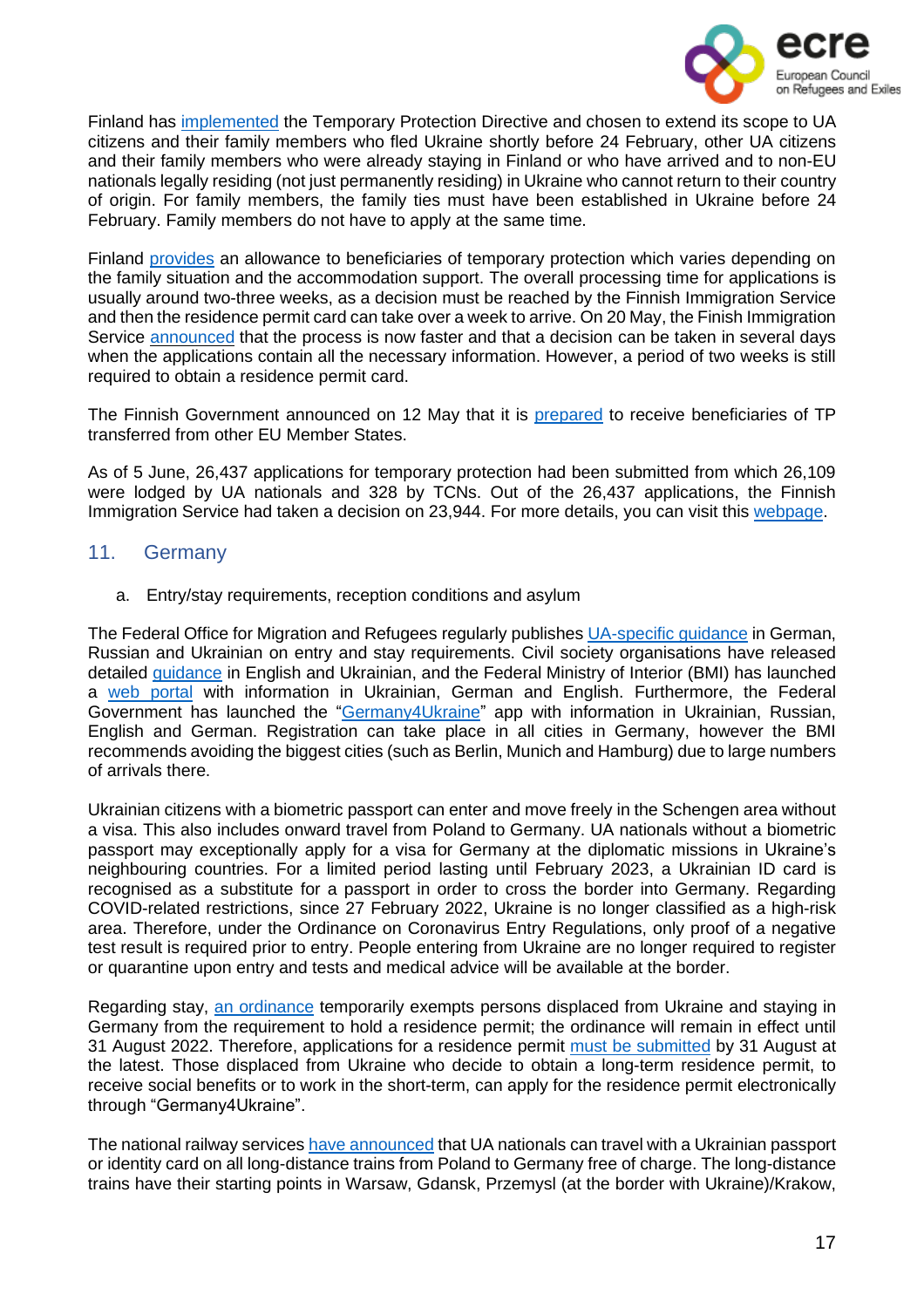

Finland has [implemented](https://migri.fi/en/temporary-protection) the Temporary Protection Directive and chosen to extend its scope to UA citizens and their family members who fled Ukraine shortly before 24 February, other UA citizens and their family members who were already staying in Finland or who have arrived and to non-EU nationals legally residing (not just permanently residing) in Ukraine who cannot return to their country of origin. For family members, the family ties must have been established in Ukraine before 24 February. Family members do not have to apply at the same time.

Finland [provides](https://www.oecd.org/publications/rights-and-support-for-ukrainian-refugees-in-receiving-countries-09beb886-en.htm) an allowance to beneficiaries of temporary protection which varies depending on the family situation and the accommodation support. The overall processing time for applications is usually around two-three weeks, as a decision must be reached by the Finnish Immigration Service and then the residence permit card can take over a week to arrive. On 20 May, the Finish Immigration Service [announced](https://migri.fi/en/-/temporary-protection-in-finland-granted-to-over-20-000-people-fleeing-ukraine-decisions-now-issued-quickly) that the process is now faster and that a decision can be taken in several days when the applications contain all the necessary information. However, a period of two weeks is still required to obtain a residence permit card.

The Finnish Government announced on 12 May that it is [prepared](https://intermin.fi/en/-/finland-may-also-receive-refugees-from-ukraine-as-transfers-from-other-countries) to receive beneficiaries of TP transferred from other EU Member States.

As of 5 June, 26,437 applications for temporary protection had been submitted from which 26,109 were lodged by UA nationals and 328 by TCNs. Out of the 26,437 applications, the Finnish Immigration Service had taken a decision on 23,944. For more details, you can visit this [webpage.](https://migri.fi/en/statistics-on-temporary-protection)

#### <span id="page-16-0"></span>11. Germany

a. Entry/stay requirements, reception conditions and asylum

The Federal Office for Migration and Refugees regularly publishes [UA-specific](https://www.bamf.de/SharedDocs/Anlagen/DE/AsylFluechtlingsschutz/faq-ukraine.html) guidance in German, Russian and Ukrainian on entry and stay requirements. Civil society organisations have released detailed [guidance](https://minor-kontor.de/aufenthaltsrechtliche-fragen-fuer-menschen-aus-der-ukraine-in-deutschland/) in English and Ukrainian, and the Federal Ministry of Interior (BMI) has launched a web [portal](https://www.germany4ukraine.de/hilfeportal-en) with information in Ukrainian, German and English. Furthermore, the Federal Government has launched the ["Germany4Ukraine"](https://play.google.com/store/apps/details?id=de.germany4ukraine.app&gl=gb&hl=en) app with information in Ukrainian, Russian, English and German. Registration can take place in all cities in Germany, however the BMI recommends avoiding the biggest cities (such as Berlin, Munich and Hamburg) due to large numbers of arrivals there.

Ukrainian citizens with a biometric passport can enter and move freely in the Schengen area without a visa. This also includes onward travel from Poland to Germany. UA nationals without a biometric passport may exceptionally apply for a visa for Germany at the diplomatic missions in Ukraine's neighbouring countries. For a limited period lasting until February 2023, a Ukrainian ID card is recognised as a substitute for a passport in order to cross the border into Germany. Regarding COVID-related restrictions, since 27 February 2022, Ukraine is no longer classified as a high-risk area. Therefore, under the Ordinance on Coronavirus Entry Regulations, only proof of a negative test result is required prior to entry. People entering from Ukraine are no longer required to register or quarantine upon entry and tests and medical advice will be available at the border.

Regarding stay, an [ordinance](https://www.bundesanzeiger.de/pub/publication/iOtjNkrHCZ76Jw5ReGn/content/iOtjNkrHCZ76Jw5ReGn/BAnz%252520AT%25252008.03.2022%252520V1.pdf?inline) temporarily exempts persons displaced from Ukraine and staying in Germany from the requirement to hold a residence permit; the ordinance will remain in effect until 31 August 2022. Therefore, applications for a residence permit must be [submitted](https://www.bamf.de/SharedDocs/Anlagen/DE/AsylFluechtlingsschutz/faq-ukraine.pdf;jsessionid=A68A32FCDB96103078542F5A76CD517E.intranet232?__blob=publicationFile&v=32) by 31 August at the latest. Those displaced from Ukraine who decide to obtain a long-term residence permit, to receive social benefits or to work in the short-term, can apply for the residence permit electronically through "Germany4Ukraine".

The national railway services have [announced](https://www.bahn.de/info/helpukraine) that UA nationals can travel with a Ukrainian passport or identity card on all long-distance trains from Poland to Germany free of charge. The long-distance trains have their starting points in Warsaw, Gdansk, Przemysl (at the border with Ukraine)/Krakow,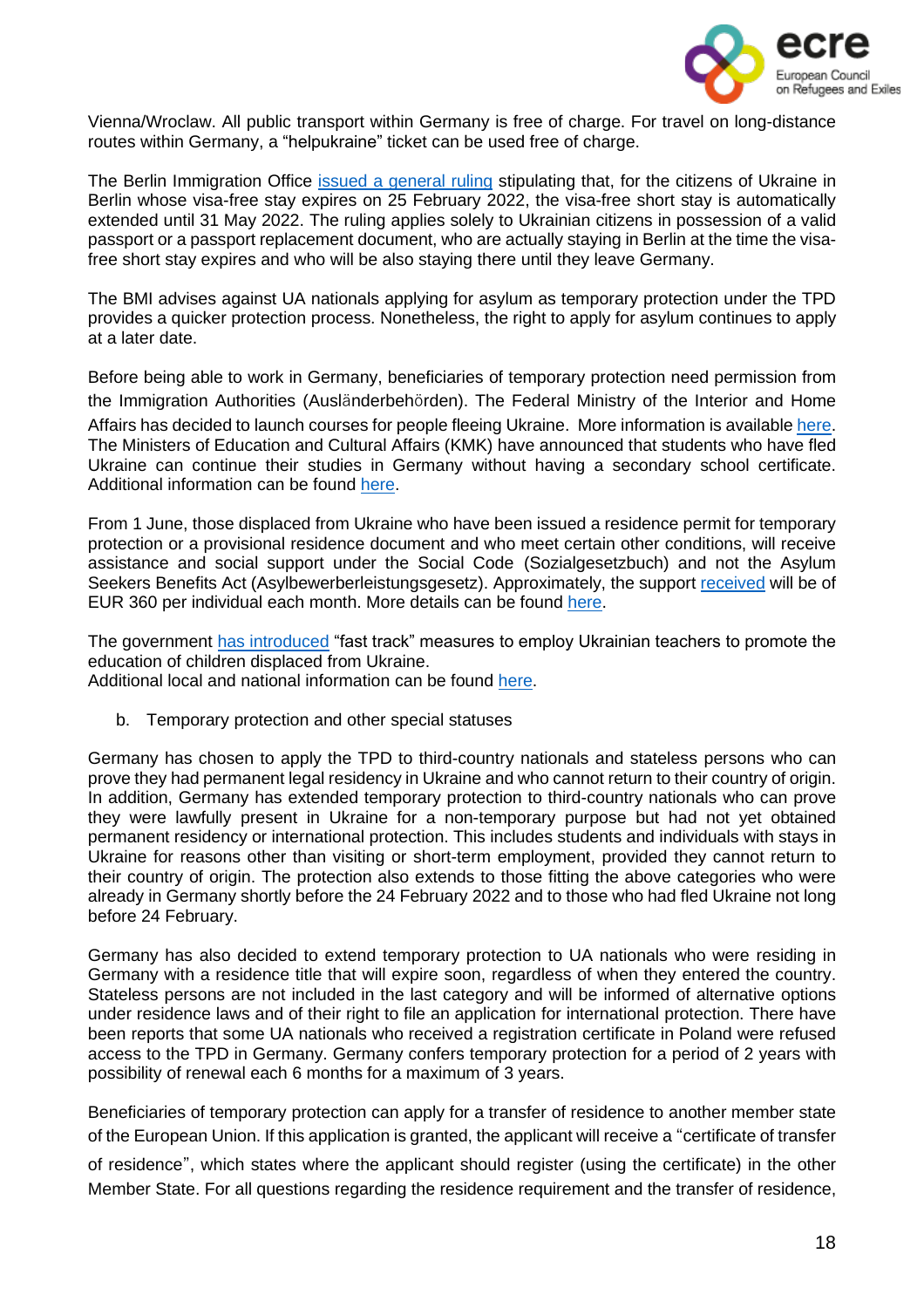

Vienna/Wroclaw. All public transport within Germany is free of charge. For travel on long-distance routes within Germany, a "helpukraine" ticket can be used free of charge.

The Berlin Immigration Office issued a [general](https://www.berlin.de/einwanderung/ueber-uns/aktuelles/artikel.1180210.php) ruling stipulating that, for the citizens of Ukraine in Berlin whose visa-free stay expires on 25 February 2022, the visa-free short stay is automatically extended until 31 May 2022. The ruling applies solely to Ukrainian citizens in possession of a valid passport or a passport replacement document, who are actually staying in Berlin at the time the visafree short stay expires and who will be also staying there until they leave Germany.

The BMI advises against UA nationals applying for asylum as temporary protection under the TPD provides a quicker protection process. Nonetheless, the right to apply for asylum continues to apply at a later date.

Before being able to work in Germany, beneficiaries of temporary protection need permission from the Immigration Authorities (Ausländerbehörden). The Federal Ministry of the Interior and Home Affairs has decided to launch courses for people fleeing Ukraine. More information is available [here.](https://www.bamf.de/EN/Themen/Integration/ZugewanderteTeilnehmende/ErsteOrientierung/Erstorientierungskurse/erstorientierungskurse-node.html;jsessionid=575DDBC41BBC7991BF423B0D7C4EE0B6.intranet241) The Ministers of Education and Cultural Affairs (KMK) have announced that students who have fled Ukraine can continue their studies in Germany without having a secondary school certificate. Additional information can be found [here.](https://ec.europa.eu/migrant-integration/news/deutschland-fuer-ukrainische-gefluechtete-wird-studium-ohne-schulabschluss-ermoeglicht_de)

From 1 June, those displaced from Ukraine who have been issued a residence permit for temporary protection or a provisional residence document and who meet certain other conditions, will receive assistance and social support under the Social Code (Sozialgesetzbuch) and not the Asylum Seekers Benefits Act (Asylbewerberleistungsgesetz). Approximately, the support [received](https://www.oecd.org/publications/rights-and-support-for-ukrainian-refugees-in-receiving-countries-09beb886-en.htm) will be of EUR 360 per individual each month. More details can be found [here.](https://www.germany4ukraine.de/hilfeportal-en/labour-and-social-affairs)

The government has [introduced](https://www.oecd.org/publications/rights-and-support-for-ukrainian-refugees-in-receiving-countries-09beb886-en.htm) "fast track" measures to employ Ukrainian teachers to promote the education of children displaced from Ukraine.

Additional local and national information can be found [here.](https://www.asyl.net/schutzsuchende-ukraine)

b. Temporary protection and other special statuses

Germany has chosen to apply the TPD to third-country nationals and stateless persons who can prove they had permanent legal residency in Ukraine and who cannot return to their country of origin. In addition, Germany has extended temporary protection to third-country nationals who can prove they were lawfully present in Ukraine for a non-temporary purpose but had not yet obtained permanent residency or international protection. This includes students and individuals with stays in Ukraine for reasons other than visiting or short-term employment, provided they cannot return to their country of origin. The protection also extends to those fitting the above categories who were already in Germany shortly before the 24 February 2022 and to those who had fled Ukraine not long before 24 February.

Germany has also decided to extend temporary protection to UA nationals who were residing in Germany with a residence title that will expire soon, regardless of when they entered the country. Stateless persons are not included in the last category and will be informed of alternative options under residence laws and of their right to file an application for international protection. There have been reports that some UA nationals who received a registration certificate in Poland were refused access to the TPD in Germany. Germany confers temporary protection for a period of 2 years with possibility of renewal each 6 months for a maximum of 3 years.

Beneficiaries of temporary protection can apply for a transfer of residence to another member state of the European Union. If this application is granted, the applicant will receive a "certificate of transfer of residence", which states where the applicant should register (using the certificate) in the other Member State. For all questions regarding the residence requirement and the transfer of residence,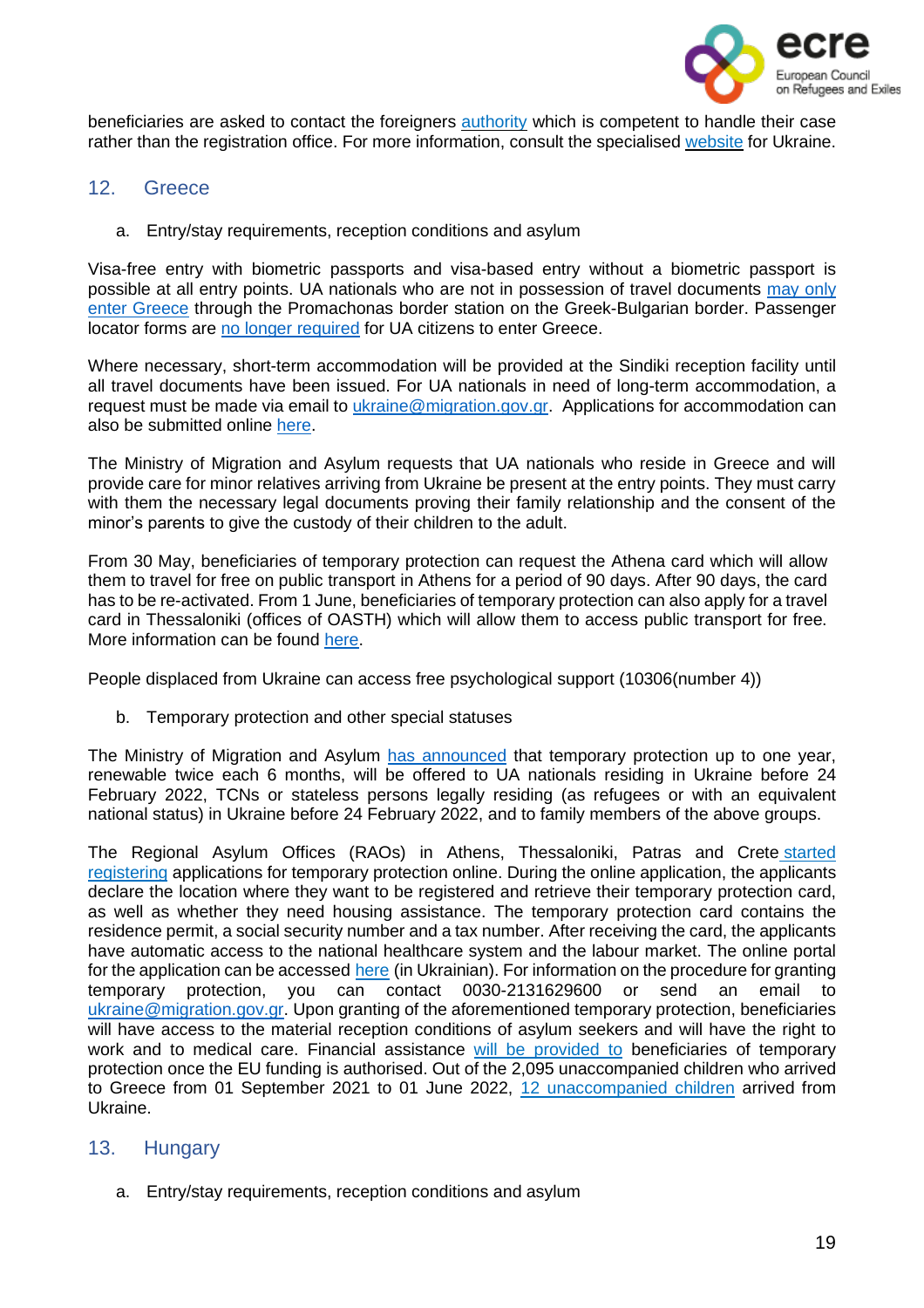

beneficiaries are asked to contact the foreigners [authority](https://bamf-navi.bamf.de/en/) which is competent to handle their case rather than the registration office. For more information, consult the specialised [website](https://www.germany4ukraine.de/hilfeportal-en) for Ukraine.

- <span id="page-18-0"></span>12. Greece
	- a. Entry/stay requirements, reception conditions and asylum

Visa-free entry with biometric passports and visa-based entry without a biometric passport is possible at all entry points. UA nationals who are not in possession of travel documents [may](https://migration.gov.gr/ukraine/) only enter [Greece](https://migration.gov.gr/ukraine/) through the Promachonas border station on the Greek-Bulgarian border. Passenger locator forms are no longer [required](http://www.ypa.gr/news/nea-covid-19-notam-xwris-plf-oi-afijeis-olwn-twn-epibatwn-ejwterikoy-apo-15-martioy-2022) for UA citizens to enter Greece.

Where necessary, short-term accommodation will be provided at the Sindiki reception facility until all travel documents have been issued. For UA nationals in need of long-term accommodation, a request must be made via email to [ukraine@migration.gov.gr.](mailto:ukraine@migration.gov.gr) Applications for accommodation can also be submitted online [here.](https://migration.gov.gr/accomodation-ukraine/)

The Ministry of Migration and Asylum requests that UA nationals who reside in Greece and will provide care for minor relatives arriving from Ukraine be present at the entry points. They must carry with them the necessary legal documents proving their family relationship and the consent of the minor's parents to give the custody of their children to the adult.

From 30 May, beneficiaries of temporary protection can request the Athena card which will allow them to travel for free on public transport in Athens for a period of 90 days. After 90 days, the card has to be re-activated. From 1 June, beneficiaries of temporary protection can also apply for a travel card in Thessaloniki (offices of OASTH) which will allow them to access public transport for free. More information can be found [here.](https://migration.gov.gr/en/ukraine/)

People displaced from Ukraine can access free psychological support (10306(number 4))

b. Temporary protection and other special statuses

The Ministry of Migration and Asylum has [announced](https://www.gov.gr/arxes/oloi-foreis/metanasteuses-kai-asulou/parokhe-prosorines-prostasias-se-ektopismenous-polites-apo-ten-oukrania) that temporary protection up to one year, renewable twice each 6 months, will be offered to UA nationals residing in Ukraine before 24 February 2022, TCNs or stateless persons legally residing (as refugees or with an equivalent national status) in Ukraine before 24 February 2022, and to family members of the above groups.

The Regional Asylum Offices (RAOs) in Athens, Thessaloniki, Patras and Crete [started](https://migration.gov.gr/en/xekinise-i-diadikasia-parochis-prosorinis-prostasias-se-ektopisthenta-atoma-apo-tin-oykrania/) [registering](https://migration.gov.gr/en/xekinise-i-diadikasia-parochis-prosorinis-prostasias-se-ektopisthenta-atoma-apo-tin-oykrania/) applications for temporary protection online. During the online application, the applicants declare the location where they want to be registered and retrieve their temporary protection card, as well as whether they need housing assistance. The temporary protection card contains the residence permit, a social security number and a tax number. After receiving the card, the applicants have automatic access to the national healthcare system and the labour market. The online portal for the application can be accessed [here](https://apps.migration.gov.gr/temporary-protection/?lang=uk) (in Ukrainian). For information on the procedure for granting temporary protection, you can contact 0030-2131629600 or send an email to [ukraine@migration.gov.gr.](mailto:ukraine@migration.gov.gr) Upon granting of the aforementioned temporary protection, beneficiaries will have access to the material reception conditions of asylum seekers and will have the right to work and to medical care. Financial assistance will be [provided](https://www.oecd.org/publications/rights-and-support-for-ukrainian-refugees-in-receiving-countries-09beb886-en.htm) to beneficiaries of temporary protection once the EU funding is authorised. Out of the 2,095 unaccompanied children who arrived to Greece from 01 September 2021 to 01 June 2022, 12 [unaccompanied](https://migration-gov-gr.translate.goog/en/asynodeyta-anilika-stoicheia-ioynioy-2022/?_x_tr_sl=el&_x_tr_tl=en&_x_tr_hl=es) children arrived from Ukraine.

# <span id="page-18-1"></span>13. Hungary

a. Entry/stay requirements, reception conditions and asylum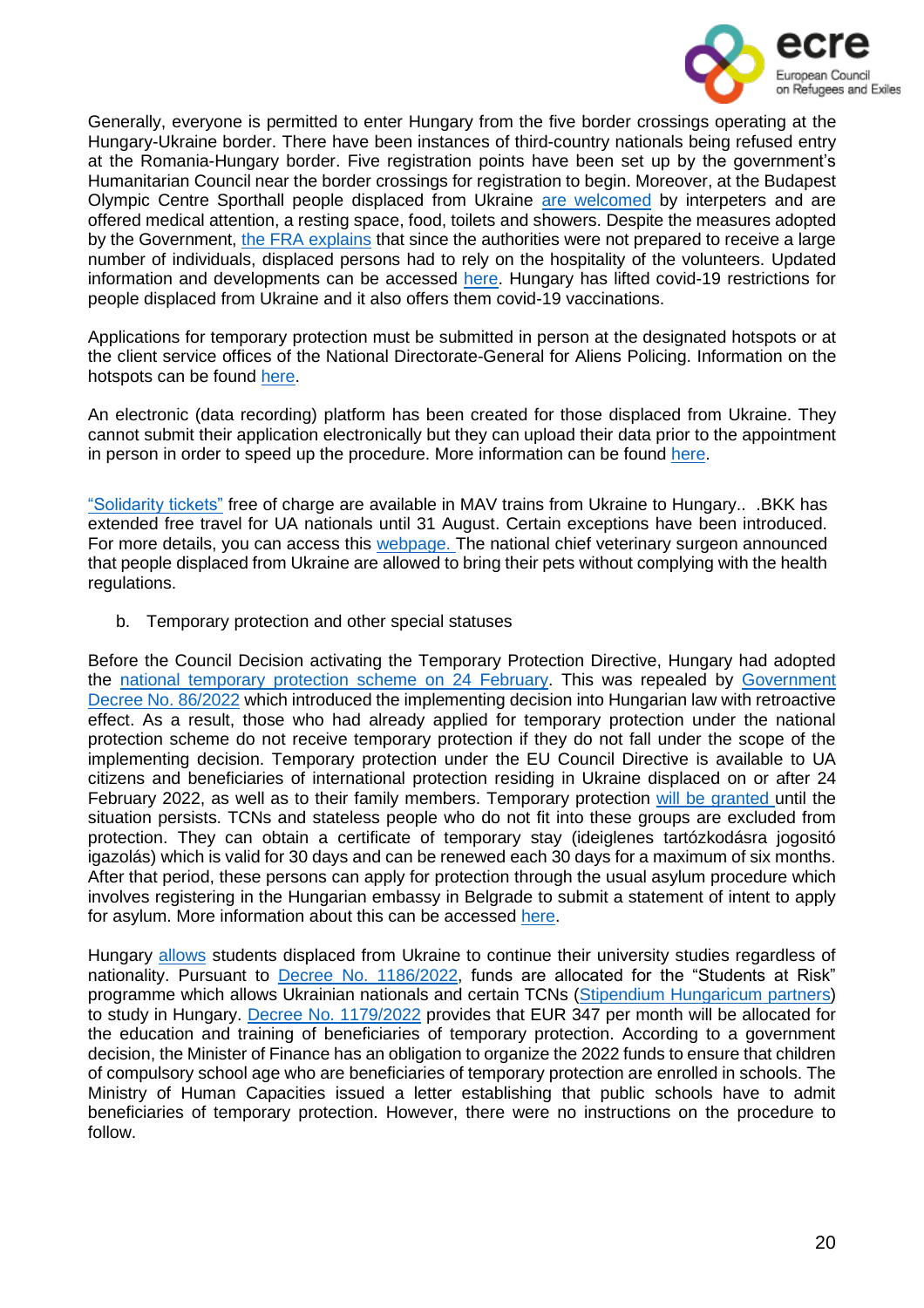

Generally, everyone is permitted to enter Hungary from the five border crossings operating at the Hungary-Ukraine border. There have been instances of third-country nationals being refused entry at the Romania-Hungary border. Five registration points have been set up by the government's Humanitarian Council near the border crossings for registration to begin. Moreover, at the Budapest Olympic Centre Sporthall people displaced from Ukraine are [welcomed](https://hvg.hu/itthon/20220330_ukran_menekult_bokcsarnok) by interpeters and are offered medical attention, a resting space, food, toilets and showers. Despite the measures adopted by the Government, the FRA [explains](https://fra.europa.eu/sites/default/files/fra_uploads/fra-2022-ukraine-bulletin-1_en.pdf) that since the authorities were not prepared to receive a large number of individuals, displaced persons had to rely on the hospitality of the volunteers. Updated information and developments can be accessed [here.](https://helsinki.hu/en/war-in-ukraine-protection-situation-in-hungary/) Hungary has lifted covid-19 restrictions for people displaced from Ukraine and it also offers them covid-19 vaccinations.

Applications for temporary protection must be submitted in person at the designated hotspots or at the client service offices of the National Directorate-General for Aliens Policing. Information on the hotspots can be found [here.](http://www.bmbah.hu/index.php?option=com_k2&view=item&id=1735:national-directorate-general-for-aliens-policing-information-for-people-fleeing-ukraine&Itemid=2108&lang=en)

An electronic (data recording) platform has been created for those displaced from Ukraine. They cannot submit their application electronically but they can upload their data prior to the appointment in person in order to speed up the procedure. More information can be found [here.](http://ukran2022.oif.gov.hu/en/Information)

["Solidarity](https://www.mavcsoport.hu/en/mav-start/international-travels/travel-ukraine-hungary) tickets" free of charge are available in MAV trains from Ukraine to Hungary.. .BKK has extended free travel for UA nationals until 31 August. Certain exceptions have been introduced. For more details, you can access this [webpage.](https://bkk.hu/hirek/2022/05/augusztus-31-ig-dijmentesen-utazhatnak-az-ukrajnabol-erkezo-menekultek-a-bkk-jaratain.7646/) The national chief veterinary surgeon announced that people displaced from Ukraine are allowed to bring their pets without complying with the health regulations.

b. Temporary protection and other special statuses

Before the Council Decision activating the Temporary Protection Directive, Hungary had adopted the national [temporary](https://magyarkozlony.hu/dokumentumok/c7310f25f86bb99e0d577ba024ad40f8f5544664/megtekintes) protection scheme on 24 February. This was repealed by [Government](https://magyarkozlony.hu/dokumentumok/d98058216e0e225e56baf304d5470bc38736c590/megtekintes) Decree No. [86/2022](https://magyarkozlony.hu/dokumentumok/d98058216e0e225e56baf304d5470bc38736c590/megtekintes) which introduced the implementing decision into Hungarian law with retroactive effect. As a result, those who had already applied for temporary protection under the national protection scheme do not receive temporary protection if they do not fall under the scope of the implementing decision. Temporary protection under the EU Council Directive is available to UA citizens and beneficiaries of international protection residing in Ukraine displaced on or after 24 February 2022, as well as to their family members. Temporary protection will be [granted](https://www.oecd.org/publications/rights-and-support-for-ukrainian-refugees-in-receiving-countries-09beb886-en.htm) until the situation persists. TCNs and stateless people who do not fit into these groups are excluded from protection. They can obtain a certificate of temporary stay (ideiglenes tartózkodásra jogositó igazolás) which is valid for 30 days and can be renewed each 30 days for a maximum of six months. After that period, these persons can apply for protection through the usual asylum procedure which involves registering in the Hungarian embassy in Belgrade to submit a statement of intent to apply for asylum. More information about this can be accessed [here.](https://helsinki.hu/en/information-for-people-fleeing-from-ukraine/)

Hungary [allows](https://www.oecd.org/publications/rights-and-support-for-ukrainian-refugees-in-receiving-countries-09beb886-en.htm) students displaced from Ukraine to continue their university studies regardless of nationality. Pursuant to **Decree No. 1186/2022**, funds are allocated for the "Students at Risk" programme which allows Ukrainian nationals and certain TCNs (Stipendium [Hungaricum](https://stipendiumhungaricum.hu/partners/) partners) to study in Hungary. Decree No. [1179/2022](https://njt.hu/jogszabaly/2022-1179-30-22) provides that EUR 347 per month will be allocated for the education and training of beneficiaries of temporary protection. According to a government decision, the Minister of Finance has an obligation to organize the 2022 funds to ensure that children of compulsory school age who are beneficiaries of temporary protection are enrolled in schools. The Ministry of Human Capacities issued a letter establishing that public schools have to admit beneficiaries of temporary protection. However, there were no instructions on the procedure to follow.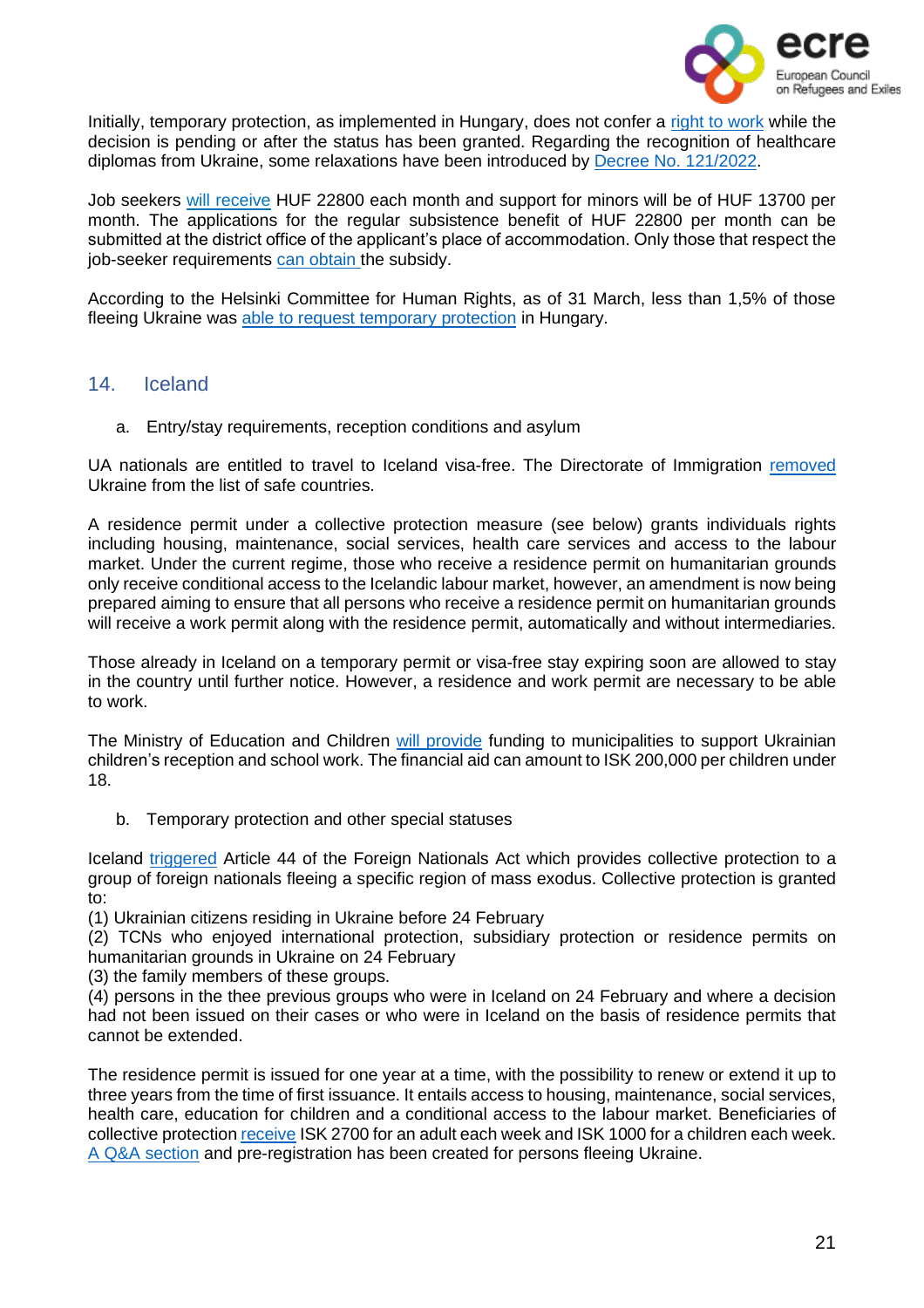

Initially, temporary protection, as implemented in Hungary, does not confer a [right](https://helsinki.hu/en/wp-content/uploads/sites/2/2022/03/War-in-Ukraine.pdf) to work while the decision is pending or after the status has been granted. Regarding the recognition of healthcare diplomas from Ukraine, some relaxations have been introduced by Decree No. [121/2022.](https://njt.hu/jogszabaly/2022-121-20-22)

Job seekers will [receive](https://www.oecd.org/publications/rights-and-support-for-ukrainian-refugees-in-receiving-countries-09beb886-en.htm) HUF 22800 each month and support for minors will be of HUF 13700 per month. The applications for the regular subsistence benefit of HUF 22800 per month can be submitted at the district office of the applicant's place of accommodation. Only those that respect the job-seeker requirements can [obtain](https://www.oecd.org/publications/rights-and-support-for-ukrainian-refugees-in-receiving-countries-09beb886-en.htm) the subsidy.

According to the Helsinki Committee for Human Rights, as of 31 March, less than 1,5% of those fleeing Ukraine was able to request [temporary](https://twitter.com/hhc_helsinki/status/1509451714390339585?ref_src=twsrc%5Etfw%7Ctwcamp%5Etweetembed%7Ctwterm%5E1509451714390339585%7Ctwgr%5E%7Ctwcon%5Es1_&ref_url=https%3A%2F%2Fwww.infomigrants.net%2Fen%2Fpost%2F40290%2Fquestions-raised-over-treatment-of-ukrainians-in-hungary-as-tensions-mount) protection in Hungary.

# <span id="page-20-0"></span>14. Iceland

a. Entry/stay requirements, reception conditions and asylum

UA nationals are entitled to travel to Iceland visa-free. The Directorate of Immigration [removed](https://www.stjornarradid.is/efst-a-baugi/frettir/stok-frett/2022/02/24/Ukraina-thegar-farin-af-lista-yfir-orugg-riki/) Ukraine from the list of safe countries.

A residence permit under a collective protection measure (see below) grants individuals rights including housing, maintenance, social services, health care services and access to the labour market. Under the current regime, those who receive a residence permit on humanitarian grounds only receive conditional access to the Icelandic labour market, however, an amendment is now being prepared aiming to ensure that all persons who receive a residence permit on humanitarian grounds will receive a work permit along with the residence permit, automatically and without intermediaries.

Those already in Iceland on a temporary permit or visa-free stay expiring soon are allowed to stay in the country until further notice. However, a residence and work permit are necessary to be able to work.

The Ministry of Education and Children will [provide](https://www-stjornarradid-is.translate.goog/efst-a-baugi/frettir/stok-frett/2022/05/12/Studningur-vid-sveitarfelog-vegna-mottoku-barna-a-flotta-fra-Ukrainu/?_x_tr_sl=is&_x_tr_tl=en&_x_tr_hl=es&_x_tr_pto=op) funding to municipalities to support Ukrainian children's reception and school work. The financial aid can amount to ISK 200,000 per children under 18.

b. Temporary protection and other special statuses

Iceland [triggered](https://www.government.is/diplomatic-missions/embassy-article/2022/03/07/The-Minister-of-Justice-permits-temporary-protection-due-to-mass-flight/) Article 44 of the Foreign Nationals Act which provides collective protection to a group of foreign nationals fleeing a specific region of mass exodus. Collective protection is granted to:

(1) Ukrainian citizens residing in Ukraine before 24 February

(2) TCNs who enjoyed international protection, subsidiary protection or residence permits on humanitarian grounds in Ukraine on 24 February

(3) the family members of these groups.

(4) persons in the thee previous groups who were in Iceland on 24 February and where a decision had not been issued on their cases or who were in Iceland on the basis of residence permits that cannot be extended.

The residence permit is issued for one year at a time, with the possibility to renew or extend it up to three years from the time of first issuance. It entails access to housing, maintenance, social services, health care, education for children and a conditional access to the labour market. Beneficiaries of collective protection [receive](https://www.oecd.org/publications/rights-and-support-for-ukrainian-refugees-in-receiving-countries-09beb886-en.htm) ISK 2700 for an adult each week and ISK 1000 for a children each week. A Q&A [section](https://island.is/en/information-for-ukrainian-citizens) and pre-registration has been created for persons fleeing Ukraine.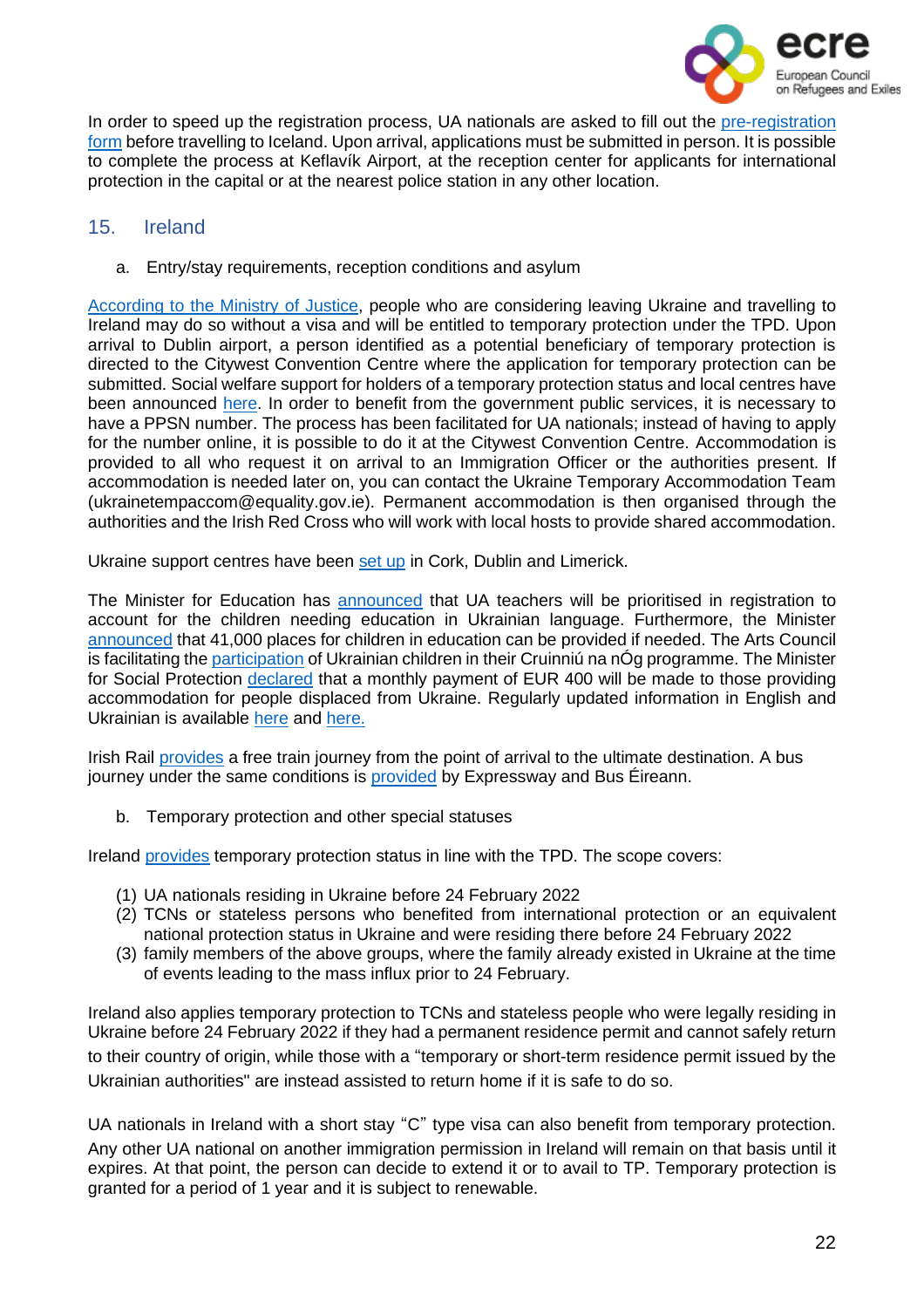

In order to speed up the registration process, UA nationals are asked to fill out the [pre-registration](https://www.firstmedical.is/en/) [form](https://www.firstmedical.is/en/) before travelling to Iceland. Upon arrival, applications must be submitted in person. It is possible to complete the process at Keflavík Airport, at the reception center for applicants for international protection in the capital or at the nearest police station in any other location.

# <span id="page-21-0"></span>15. Ireland

a. Entry/stay requirements, reception conditions and asylum

[According](https://www.justice.ie/en/JELR/Pages/PR22000044) to the Ministry of Justice, people who are considering leaving Ukraine and travelling to Ireland may do so without a visa and will be entitled to temporary protection under the TPD. Upon arrival to Dublin airport, a person identified as a potential beneficiary of temporary protection is directed to the Citywest Convention Centre where the application for temporary protection can be submitted. Social welfare support for holders of a temporary protection status and local centres have been announced [here.](https://www.gov.ie/en/publication/abf3e-social-welfare-supports-for-ukrainian-citizens-arriving-in-ireland-under-the-temporary-protection-directive/) In order to benefit from the government public services, it is necessary to have a PPSN number. The process has been facilitated for UA nationals; instead of having to apply for the number online, it is possible to do it at the Citywest Convention Centre. Accommodation is provided to all who request it on arrival to an Immigration Officer or the authorities present. If accommodation is needed later on, you can contact the Ukraine Temporary Accommodation Team (ukrainetempaccom@equality.gov.ie). Permanent accommodation is then organised through the authorities and the Irish Red Cross who will work with local hosts to provide shared accommodation.

Ukraine support centres have been [set](https://www.gov.ie/en/publication/c8e83-arriving-in-ireland/) up in Cork, Dublin and Limerick.

The Minister for Education has [announced](https://www.irishtimes.com/news/education/ukrainian-teachers-to-be-fast-tracked-through-registration-system-1.4825517) that UA teachers will be prioritised in registration to account for the children needing education in Ukrainian language. Furthermore, the Minister [announced](https://www.independent.ie/irish-news/education/40000-places-available-for-ukrainian-students-in-schools-41581754.html) that 41,000 places for children in education can be provided if needed. The Arts Council is facilitating the [participation](https://www.gov.ie/en/press-release/dbd3f-government-supports-young-ukrainians-in-ireland-through-arts-and-creativity/) of Ukrainian children in their Cruinniú na nÓg programme. The Minister for Social Protection [declared](https://www.gov.ie/en/press-release/131cb-ministers-ogorman-and-humphreys-announce-400-payment-to-those-who-provide-accommodation-for-those-fleeing-ukraine/) that a monthly payment of EUR 400 will be made to those providing accommodation for people displaced from Ukraine. Regularly updated information in English and Ukrainian is available [here](https://www.irishrefugeecouncil.ie/ukraine-information-note) and [here.](https://doras.org/info-for-ukrainian-nationals/)

Irish Rail [provides](https://www.irishrail.ie/en-ie/news/rail-travel-for-arriving-ukrainian-refugees) a free train journey from the point of arrival to the ultimate destination. A bus journey under the same conditions is [provided](https://www.buseireann.ie/service_updates.php?id=5680&month=Mar) by Expressway and Bus Éireann.

b. Temporary protection and other special statuses

Ireland [provides](https://www.gov.ie/en/publication/0f773-temporary-protection/) temporary protection status in line with the TPD. The scope covers:

- (1) UA nationals residing in Ukraine before 24 February 2022
- (2) TCNs or stateless persons who benefited from international protection or an equivalent national protection status in Ukraine and were residing there before 24 February 2022
- (3) family members of the above groups, where the family already existed in Ukraine at the time of events leading to the mass influx prior to 24 February.

Ireland also applies temporary protection to TCNs and stateless people who were legally residing in Ukraine before 24 February 2022 if they had a permanent residence permit and cannot safely return to their country of origin, while those with a "temporary or short-term residence permit issued by the Ukrainian authorities" are instead assisted to return home if it is safe to do so.

UA nationals in Ireland with a short stay "C" type visa can also benefit from temporary protection. Any other UA national on another immigration permission in Ireland will remain on that basis until it expires. At that point, the person can decide to extend it or to avail to TP. Temporary protection is granted for a period of 1 year and it is subject to renewable.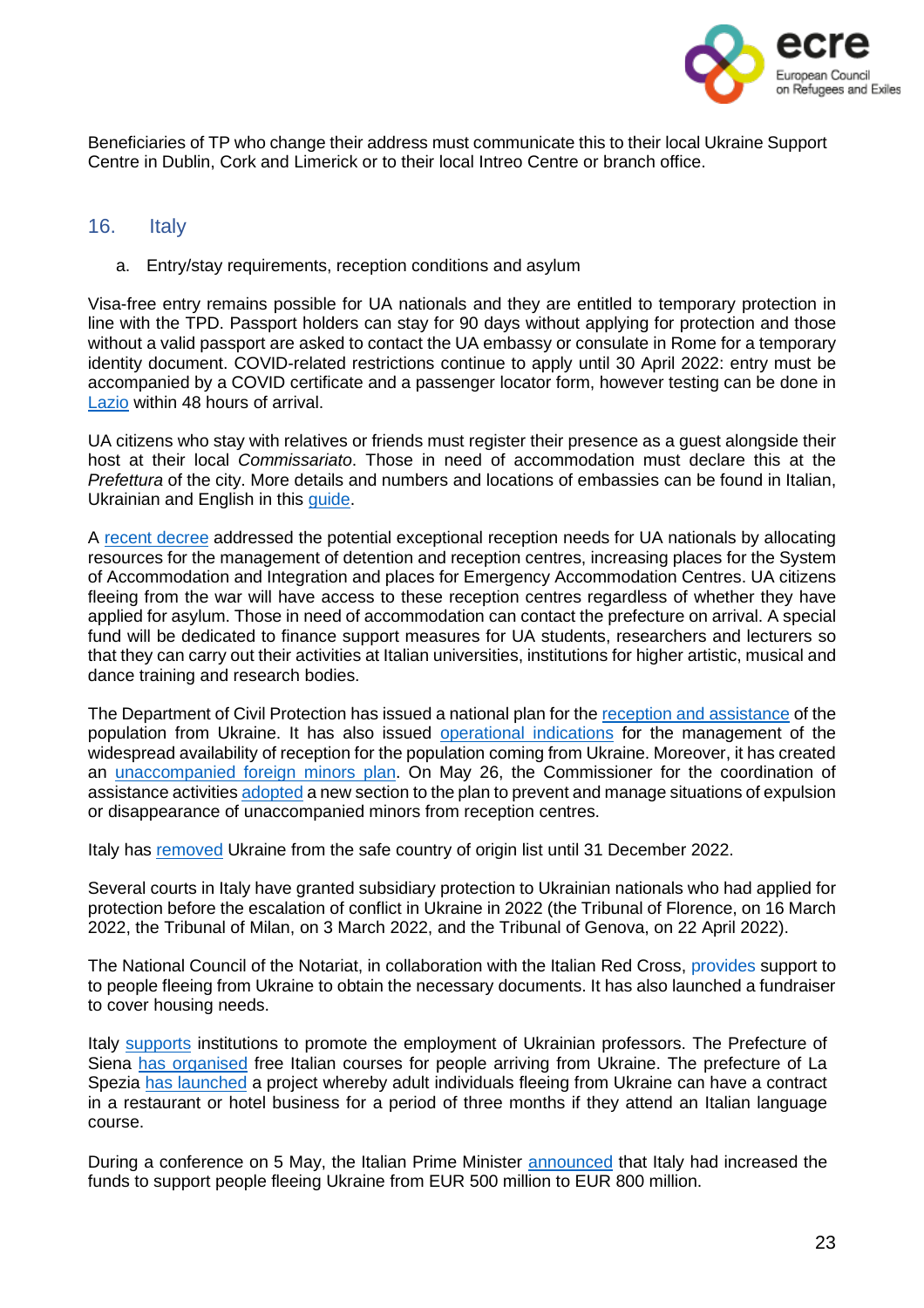

Beneficiaries of TP who change their address must communicate this to their local Ukraine Support Centre in Dublin, Cork and Limerick or to their local Intreo Centre or branch office.

#### 16. Italy

<span id="page-22-0"></span>a. Entry/stay requirements, reception conditions and asylum

Visa-free entry remains possible for UA nationals and they are entitled to temporary protection in line with the TPD. Passport holders can stay for 90 days without applying for protection and those without a valid passport are asked to contact the UA embassy or consulate in Rome for a temporary identity document. COVID-related restrictions continue to apply until 30 April 2022: entry must be accompanied by a COVID certificate and a passenger locator form, however testing can be done in [Lazio](https://www.salutelazio.it/informazioni-per-stranieri-rilascio-stp-eni#:~:text=Stranieri%2520STP%2520e%2520ENI&text=L) within 48 hours of arrival.

UA citizens who stay with relatives or friends must register their presence as a guest alongside their host at their local *Commissariato*. Those in need of accommodation must declare this at the *Prefettura* of the city. More details and numbers and locations of embassies can be found in Italian, Ukrainian and English in this [guide.](https://www.comune.roma.it/web/it/informazione-di-servizio.page?contentId=IDS900870&fbclid=IwAR1-ltA3ymAnuQ8iGvcmni9kQL6XSlo3PzkRaUudHI_yNgbtHZ67e8qrEDQ)

A recent [decree](https://www.gazzettaufficiale.it/eli/id/2022/02/28/22G00025/sg) addressed the potential exceptional reception needs for UA nationals by allocating resources for the management of detention and reception centres, increasing places for the System of Accommodation and Integration and places for Emergency Accommodation Centres. UA citizens fleeing from the war will have access to these reception centres regardless of whether they have applied for asylum. Those in need of accommodation can contact the prefecture on arrival. A special fund will be dedicated to finance support measures for UA students, researchers and lecturers so that they can carry out their activities at Italian universities, institutions for higher artistic, musical and dance training and research bodies.

The Department of Civil Protection has issued a national plan for the reception and [assistance](https://emergenze.protezionecivile.gov.it/static/8acce8d2f3ed23eff62df9066bb4e3d2/piano-nazionale-laccoglienza-e-lassistenza-alla-popolazione-proveniente-dallucraina.pdf) of the population from Ukraine. It has also issued [operational](https://emergenze.protezionecivile.gov.it/static/d2036b8b20fcbfb6b5e1a19ab306f1f6/indicazioni-operative-accoglienza-diffusa.pdf) indications for the management of the widespread availability of reception for the population coming from Ukraine. Moreover, it has created an [unaccompanied](https://emergenze.protezionecivile.gov.it/static/40f2e03c6bd2773c5e959382d793655e/piano-minori-stranieri-non-accompagnati-ricerca-caso-di-scomparsa.pdf) foreign minors plan. On May 26, the Commissioner for the coordination of assistance activitie[s adopted](https://www-interno-gov-it.translate.goog/it/notizie/adottato-piano-prevenire-allontanamento-e-scomparsa-minori-non-accompagnati-provenienti-dallucraina?_x_tr_sl=it&_x_tr_tl=en&_x_tr_hl=es) a new section to the plan to prevent and manage situations of expulsion or disappearance of unaccompanied minors from reception centres.

Italy has [removed](https://www.esteri.it/it/sala_stampa/archivionotizie/approfondimenti/2022/03/conflitto-russo-ucraino-sospensione-dellucraina-dalla-lista-dei-paesi-sicuri/) Ukraine from the safe country of origin list until 31 December 2022.

Several courts in Italy have granted subsidiary protection to Ukrainian nationals who had applied for protection before the escalation of conflict in Ukraine in 2022 (the Tribunal of Florence, on 16 March 2022, the Tribunal of Milan, on 3 March 2022, and the Tribunal of Genova, on 22 April 2022).

The National Council of the Notariat, in collaboration with the Italian Red Cross, [provides](https://www.altalex.com/documents/news/2022/04/22/ucraini-consiglio-nazionale-notariato-attiva-raccolta-fondi) support to to people fleeing from Ukraine to obtain the necessary documents. It has also launched a fundraiser to cover housing needs.

Italy [supports](https://www.oecd.org/publications/rights-and-support-for-ukrainian-refugees-in-receiving-countries-09beb886-en.htm) institutions to promote the employment of Ukrainian professors. The Prefecture of Siena has [organised](https://www-interno-gov-it.translate.goog/it/notizie/accoglienza-e-integrazione-siena-corsi-lingua-italiana-gratuiti-i-profughi-ucraini?_x_tr_sl=it&_x_tr_tl=en&_x_tr_hl=es) free Italian courses for people arriving from Ukraine. The prefecture of La Spezia has [launched](https://www.infomigrants.net/en/post/40833/italy-seasonal-labor-shortage--la-spezia-opens-to-ukrainians) a project whereby adult individuals fleeing from Ukraine can have a contract in a restaurant or hotel business for a period of three months if they attend an Italian language course.

During a conference on 5 May, the Italian Prime Minister [announced](https://www.infomigrants.net/en/post/40371/italian-pm-announces-%E2%82%AC800-million-for-ukrainian-refugees) that Italy had increased the funds to support people fleeing Ukraine from EUR 500 million to EUR 800 million.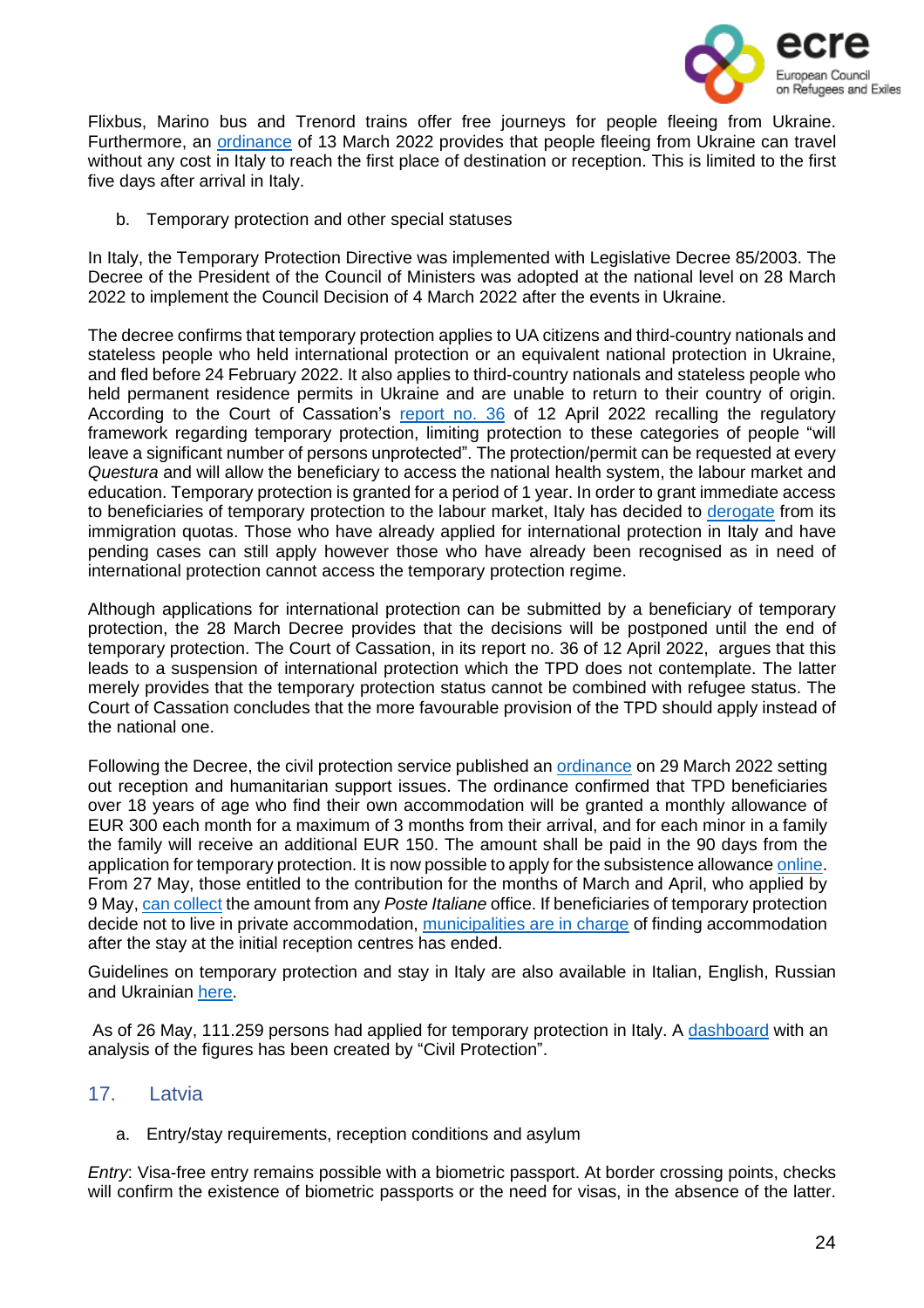

Flixbus, Marino bus and Trenord trains offer free journeys for people fleeing from Ukraine. Furthermore, an [ordinance](https://www.protezionecivile.gov.it/it/normativa/ocdpc-n-876-del-13-marzo-2022-0) of 13 March 2022 provides that people fleeing from Ukraine can travel without any cost in Italy to reach the first place of destination or reception. This is limited to the first five days after arrival in Italy.

b. Temporary protection and other special statuses

In Italy, the Temporary Protection Directive was implemented with Legislative Decree 85/2003. The Decree of the President of the Council of Ministers was adopted at the national level on 28 March 2022 to implement the Council Decision of 4 March 2022 after the events in Ukraine.

The decree confirms that temporary protection applies to UA citizens and third-country nationals and stateless people who held international protection or an equivalent national protection in Ukraine, and fled before 24 February 2022. It also applies to third-country nationals and stateless people who held permanent residence permits in Ukraine and are unable to return to their country of origin. According to the Court of Cassation's [report](https://images.go.wolterskluwer.com/Web/WoltersKluwer/%7B1e0c1ab6-59b5-45a3-99d2-2f92b40d4010%7D_cassazione-relazione-36-2022.pdf?_gl=1%2A1o6fmd5%2A_ga%2ANTQyMzExMzg3LjE2NTM0MDY4NDY.%2A_ga_B95LYZ7CD4%2AMTY1MzYzNTA1OC4yLjEuMTY1MzYzNTM4OS4w) no. 36 of 12 April 2022 recalling the regulatory framework regarding temporary protection, limiting protection to these categories of people "will leave a significant number of persons unprotected". The protection/permit can be requested at every *Questura* and will allow the beneficiary to access the national health system, the labour market and education. Temporary protection is granted for a period of 1 year. In order to grant immediate access to beneficiaries of temporary protection to the labour market, Italy has decided to [derogate](https://read.oecd-ilibrary.org/social-issues-migration-health/rights-and-support-for-ukrainian-refugees-in-receiving-countries_09beb886-en#page1) from its immigration quotas. Those who have already applied for international protection in Italy and have pending cases can still apply however those who have already been recognised as in need of international protection cannot access the temporary protection regime.

Although applications for international protection can be submitted by a beneficiary of temporary protection, the 28 March Decree provides that the decisions will be postponed until the end of temporary protection. The Court of Cassation, in its [report](https://images.go.wolterskluwer.com/Web/WoltersKluwer/%7B1e0c1ab6-59b5-45a3-99d2-2f92b40d4010%7D_cassazione-relazione-36-2022.pdf?_gl=1%2A1o6fmd5%2A_ga%2ANTQyMzExMzg3LjE2NTM0MDY4NDY.%2A_ga_B95LYZ7CD4%2AMTY1MzYzNTA1OC4yLjEuMTY1MzYzNTM4OS4w) no. 36 of 12 April 2022, argues that this leads to a suspension of international protection which the TPD does not contemplate. The latter merely provides that the temporary protection status cannot be combined with refugee status. The Court of Cassation concludes that the more favourable provision of the TPD should apply instead of the national one.

Following the Decree, the civil protection service published an [ordinance](https://www.protezionecivile.gov.it/it/normativa/ocdpc-n-881-del-29-marzo-2022-0) on 29 March 2022 setting out reception and humanitarian support issues. The ordinance confirmed that TPD beneficiaries over 18 years of age who find their own accommodation will be granted a monthly allowance of EUR 300 each month for a maximum of 3 months from their arrival, and for each minor in a family the family will receive an additional EUR 150. The amount shall be paid in the 90 days from the application for temporary protection. It is now possible to apply for the subsistence allowance [online.](https://emergenze.protezionecivile.gov.it/en/pagina-base/platform-request-subsistence-allowance) From 27 May, those entitled to the contribution for the months of March and April, who applied by 9 May, can [collect](https://www.protezionecivile.gov.it/it/comunicato-stampa/protezione-civile-al-lerogazione-del-contributo-gli-ucraini-0) the amount from any *Poste Italiane* office. If beneficiaries of temporary protection decide not to live in private accommodation, [municipalities](https://read.oecd-ilibrary.org/social-issues-migration-health/rights-and-support-for-ukrainian-refugees-in-receiving-countries_09beb886-en#page1) are in charge of finding accommodation after the stay at the initial reception centres has ended.

Guidelines on temporary protection and stay in Italy are also available in Italian, English, Russian and Ukrainian [here.](https://www.santannapisa.it/it/le-iniziative-della-scuola-santanna-sostegno-della-pace-ucraina)

As of 26 May, 111.259 persons had applied for temporary protection in Italy. A [dashboard](https://mappe.protezionecivile.gov.it/it/mappe-e-dashboards-emergenze/mappe-e-dashboards-ucraina/richieste-di-protezione-temporanea) with an analysis of the figures has been created by "Civil Protection".

# 17. Latvia

<span id="page-23-0"></span>a. Entry/stay requirements, reception conditions and asylum

*Entry*: Visa-free entry remains possible with a biometric passport. At border crossing points, checks will confirm the existence of biometric passports or the need for visas, in the absence of the latter.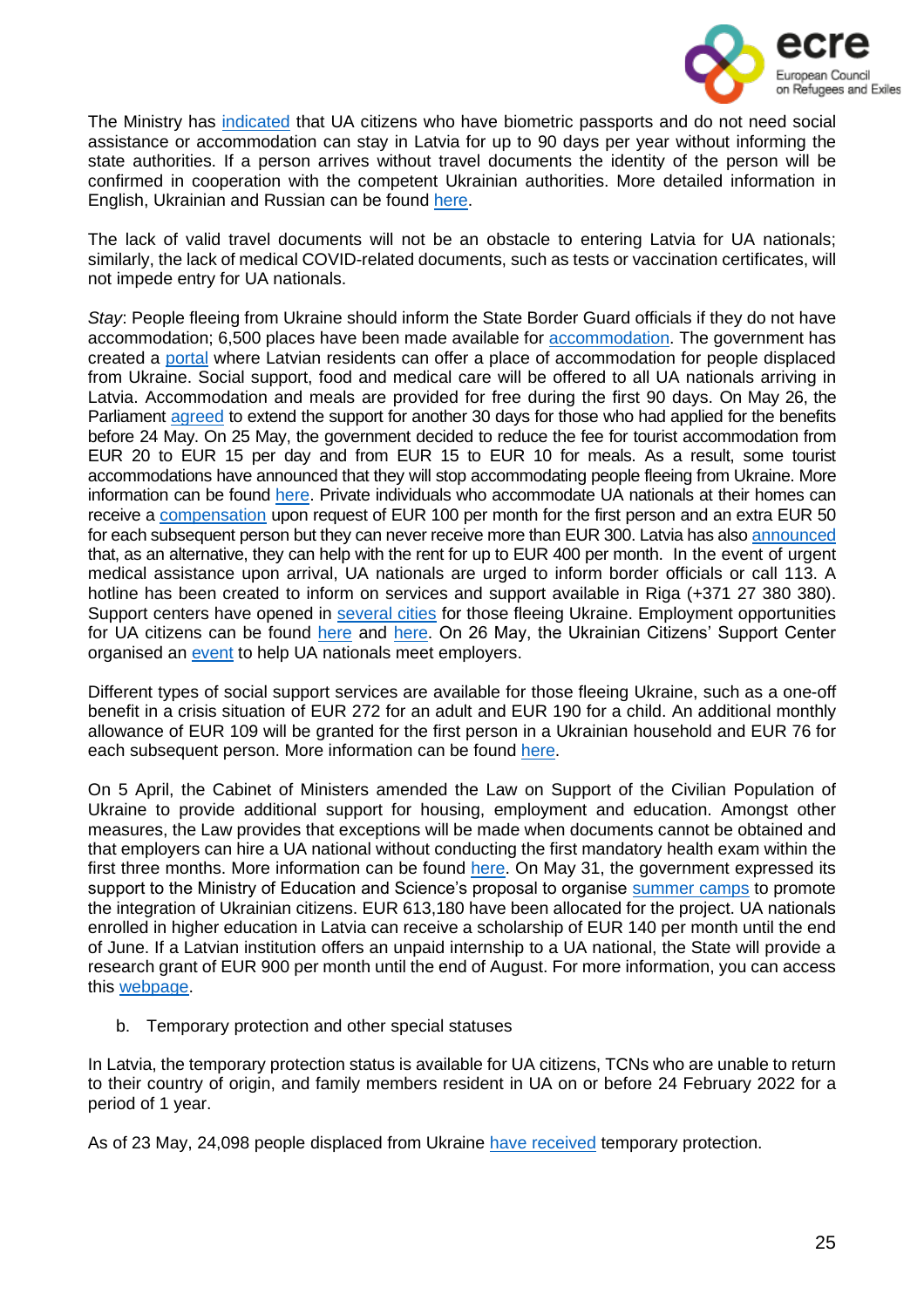

The Ministry has [indicated](https://leta.lv/home/important/3B111392-D547-4CCC-8BC2-68F8C547B167/) that UA citizens who have biometric passports and do not need social assistance or accommodation can stay in Latvia for up to 90 days per year without informing the state authorities. If a person arrives without travel documents the identity of the person will be confirmed in cooperation with the competent Ukrainian authorities. More detailed information in English, Ukrainian and Russian can be found [here.](https://www.pmlp.gov.lv/en/article/information-about-arrival-and-staying-latvia)

The lack of valid travel documents will not be an obstacle to entering Latvia for UA nationals; similarly, the lack of medical COVID-related documents, such as tests or vaccination certificates, will not impede entry for UA nationals.

*Stay*: People fleeing from Ukraine should inform the State Border Guard officials if they do not have accommodation; 6,500 places have been made available for [accommodation.](https://www.lsm.lv/raksts/zinas/latvija/ukrainas-beglu-izmitinasanas-vietu-pielagosanai-nepieciesami-aptuveni-30-miljoni-eiro.a452838/) The government has created a [portal](https://cak-iem-gov-lv.translate.goog/login?_x_tr_sl=lv&_x_tr_tl=en&_x_tr_hl=es) where Latvian residents can offer a place of accommodation for people displaced from Ukraine. Social support, food and medical care will be offered to all UA nationals arriving in Latvia. Accommodation and meals are provided for free during the first 90 days. On May 26, the Parliament [agreed](https://www-lsm-lv.translate.goog/raksts/zinas/latvija/ukrainas-kara-begliem-latvija-pagarina-atbalstu-par-30-dienam.a458564/?utm_source=lsm&utm_medium=widget-v2&utm_campaign=widget-v2&_x_tr_sl=lv&_x_tr_tl=en&_x_tr_hl=es) to extend the support for another 30 days for those who had applied for the benefits before 24 May. On 25 May, the government decided to reduce the fee for tourist accommodation from EUR 20 to EUR 15 per day and from EUR 15 to EUR 10 for meals. As a result, some tourist accommodations have announced that they will stop accommodating people fleeing from Ukraine. More information can be found [here.](https://www-lsm-lv.translate.goog/raksts/zinas/latvija/riga-isa-laika-japarmitina-570-ukrainas-begli-palidzes-atrast-darbu.a458482/?utm_source=lsm&utm_medium=theme&utm_campaign=theme&_x_tr_sl=lv&_x_tr_tl=en&_x_tr_hl=es) Private individuals who accommodate UA nationals at their homes can receive a [compensation](https://www.ukraine-latvia.com/#arrival) upon request of EUR 100 per month for the first person and an extra EUR 50 for each subsequent person but they can never receive more than EUR 300. Latvia has also [announced](https://www.oecd.org/publications/rights-and-support-for-ukrainian-refugees-in-receiving-countries-09beb886-en.htm) that, as an alternative, they can help with the rent for up to EUR 400 per month. In the event of urgent medical assistance upon arrival, UA nationals are urged to inform border officials or call 113. A hotline has been created to inform on services and support available in Riga (+371 27 380 380). Support centers have opened in [several](https://www.ukraine-latvia.com/#arrival) cities for those fleeing Ukraine. Employment opportunities for UA citizens can be found [here](https://cv.lv/ru/search?limit=20&offset=0&suitableForRefugees=true) and [here.](https://ukrainetolatvia.teamtailor.com/) On 26 May, the Ukrainian Citizens' Support Center organised an [event](https://www-lsm-lv.translate.goog/raksts/zinas/latvija/riga-isa-laika-japarmitina-570-ukrainas-begli-palidzes-atrast-darbu.a458482/?utm_source=lsm&utm_medium=theme&utm_campaign=theme&_x_tr_sl=lv&_x_tr_tl=en&_x_tr_hl=es) to help UA nationals meet employers.

Different types of social support services are available for those fleeing Ukraine, such as a one-off benefit in a crisis situation of EUR 272 for an adult and EUR 190 for a child. An additional monthly allowance of EUR 109 will be granted for the first person in a Ukrainian household and EUR 76 for each subsequent person. More information can be found [here.](https://www.ukraine-latvia.com/#arrival)

On 5 April, the Cabinet of Ministers amended the Law on Support of the Civilian Population of Ukraine to provide additional support for housing, employment and education. Amongst other measures, the Law provides that exceptions will be made when documents cannot be obtained and that employers can hire a UA national without conducting the first mandatory health exam within the first three months. More information can be found [here.](https://www.pmlp.gov.lv/en/article/zakon-pro-pidtrimku-civilnogo-naselennya-ukraini-dopovnyuetsya-mekhanizmami-pidtrimki-u-sferi-prozhivannya-pracevlashtuvannya-ta-osviti) On May 31, the government expressed its support to the Ministry of Education and Science's proposal to organise [summer](https://www-lsm-lv.translate.goog/raksts/zinas/latvija/vasaras-nometnu-organizesanai-ukrainu-berniem-pieskir-613-180-eiro.a459421/?utm_source=lsm&utm_medium=theme&utm_campaign=theme&_x_tr_sl=lv&_x_tr_tl=en&_x_tr_hl=es) camps to promote the integration of Ukrainian citizens. EUR 613,180 have been allocated for the project. UA nationals enrolled in higher education in Latvia can receive a scholarship of EUR 140 per month until the end of June. If a Latvian institution offers an unpaid internship to a UA national, the State will provide a research grant of EUR 900 per month until the end of August. For more information, you can access this [webpage.](https://www.ukraine-latvia.com/#arrival)

b. Temporary protection and other special statuses

In Latvia, the temporary protection status is available for UA citizens, TCNs who are unable to return to their country of origin, and family members resident in UA on or before 24 February 2022 for a period of 1 year.

As of 23 May, 24,098 people displaced from Ukraine have [received](https://www.lsm.lv/raksts/zinas/latvija/ukrainas-beglu-skaits-latvija-sasniedzis-30-000-skolas-macas-4000-ukrainu-beglu-berni.a458074/) temporary protection.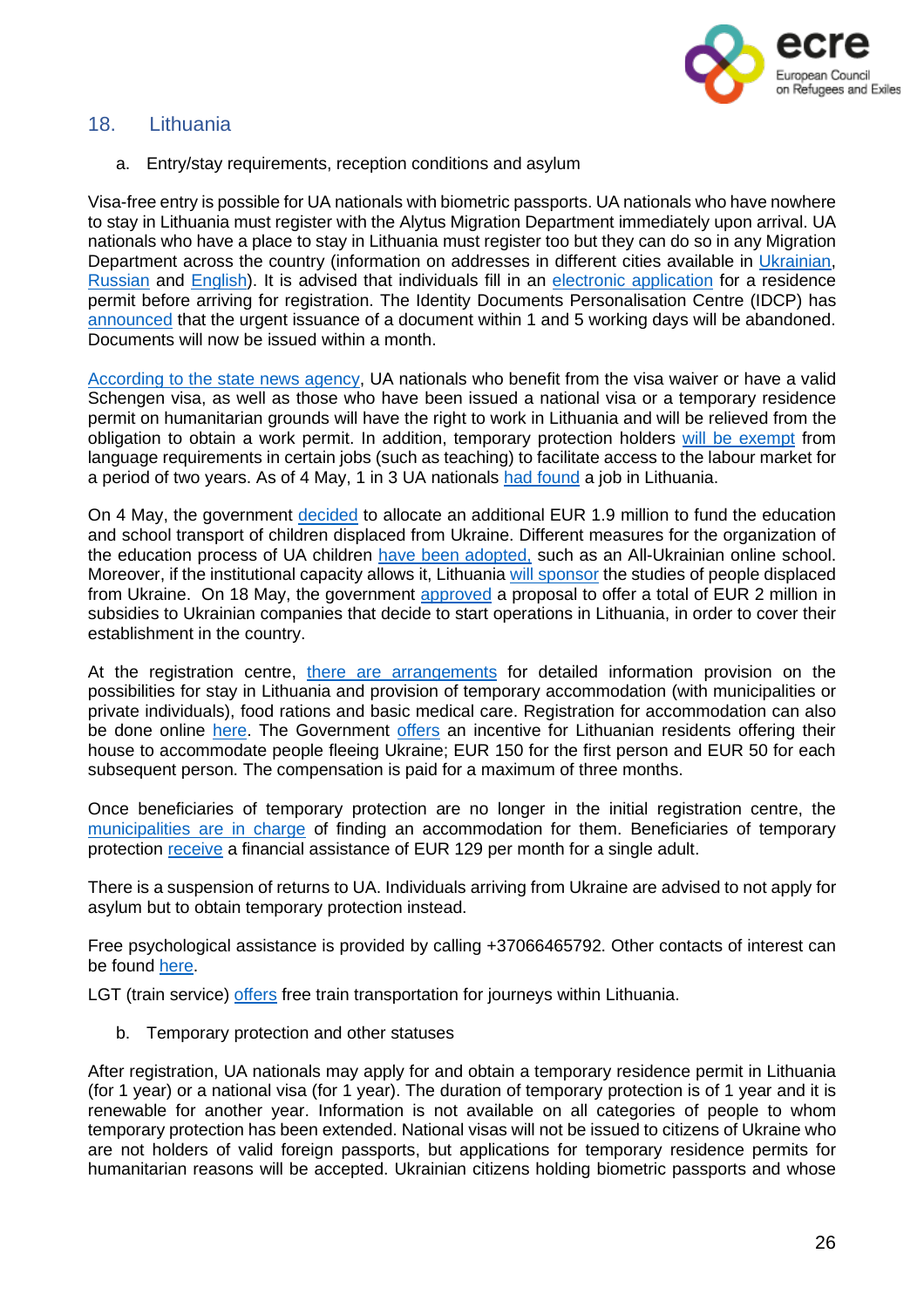

# 18. Lithuania

<span id="page-25-0"></span>a. Entry/stay requirements, reception conditions and asylum

Visa-free entry is possible for UA nationals with biometric passports. UA nationals who have nowhere to stay in Lithuania must register with the Alytus Migration Department immediately upon arrival. UA nationals who have a place to stay in Lithuania must register too but they can do so in any Migration Department across the country (information on addresses in different cities available in [Ukrainian,](https://migracija.lrv.lt/lt/naudinga-informacija/ukraina-ukrayina-ukraina-ukraine/informatsiia-dlia-gromadian-ukrayini) [Russian](https://migracija.lrv.lt/lt/naudinga-informacija/ukraina-ukrayina-ukraina-ukraine/informatsiia-dlia-grazhdan-ukrainy) and [English\)](https://migracija.lrv.lt/lt/naudinga-informacija/ukraina-ukrayina-ukraina-ukraine/information-for-ukrainian-citizens). It is advised that individuals fill in an electronic [application](https://migracija.lrv.lt/uploads/migracija/documents/files/Migris%20paskyros%20suk%C5%ABrimo%20ir%20LLG%20pra%C5%A1ymo%20pildymo%20atmintin%C4%97%20-%20savanoriams(2).pdf) for a residence permit before arriving for registration. The Identity Documents Personalisation Centre (IDCP) has [announced](https://migracija.lrv.lt/en/news/temporary-changes-to-passport-deadlines-from-20-april) that the urgent issuance of a document within 1 and 5 working days will be abandoned. Documents will now be issued within a month.

[According](https://www.lrt.lt/en/news-in-english/19/1629175/lithuania-facilitates-migration-procedures-for-refugees-from-ukraine) to the state news agency, UA nationals who benefit from the visa waiver or have a valid Schengen visa, as well as those who have been issued a national visa or a temporary residence permit on humanitarian grounds will have the right to work in Lithuania and will be relieved from the obligation to obtain a work permit. In addition, temporary protection holders will be [exempt](https://lrv.lt/lt/naujienos/j-siugzdiniene-ukrainieciai-spes-ismokti-lietuviskai-jiems-turime-sudaryti-galimybes-dirbti-jau-dabar) from language requirements in certain jobs (such as teaching) to facilitate access to the labour market for a period of two years. As of 4 May, 1 in 3 UA nationals had [found](https://www.lrt.lt/en/news-in-english/19/1687228/one-in-three-ukrainian-refugees-found-jobs-in-lithuania-ministry) a job in Lithuania.

On 4 May, the government [decided](https://lrv-lt.translate.goog/lt/naujienos/ukrainieciu-vaiku-svietimo-reikmems-papildomi-6-7-mln-euru?_x_tr_sl=lt&_x_tr_tl=en&_x_tr_hl=es&_x_tr_pto=op) to allocate an additional EUR 1.9 million to fund the education and school transport of children displaced from Ukraine. Different measures for the organization of the education process of UA children have been [adopted,](https://migracija.lrv.lt/lt/naudinga-informacija/ukraina-ukrayina-ukraina-ukraine/information-for-ukrainian-citizens-1/information-on-the-organization-of-the-educational-process-for-ukrainian-children) such as an All-Ukrainian online school. Moreover, if the institutional capacity allows it, Lithuania will [sponsor](https://www.oecd.org/publications/rights-and-support-for-ukrainian-refugees-in-receiving-countries-09beb886-en.htm) the studies of people displaced from Ukraine. On 18 May, the government [approved](https://lrv-lt.translate.goog/lt/naujienos/lietuvoje-besikuriantiems-ukrainos-verslams-2-mln-euru-subsidiju?_x_tr_sl=lt&_x_tr_tl=en&_x_tr_hl=es&_x_tr_pto=op) a proposal to offer a total of EUR 2 million in subsidies to Ukrainian companies that decide to start operations in Lithuania, in order to cover their establishment in the country.

At the registration centre, there are [arrangements](https://migracija.lrv.lt/lt/naudinga-informacija/ukraina-ukrayina-ukraina-ukraine/information-for-ukrainian-citizens) for detailed information provision on the possibilities for stay in Lithuania and provision of temporary accommodation (with municipalities or private individuals), food rations and basic medical care. Registration for accommodation can also be done online [here.](https://stipruskartu.lt/form-en-help/) The Government [offers](https://www.lrt.lt/en/news-in-english/19/1690662/while-society-mobilises-lithuanian-government-does-little-to-help-accommodate-ukrainian-refugees) an incentive for Lithuanian residents offering their house to accommodate people fleeing Ukraine; EUR 150 for the first person and EUR 50 for each subsequent person. The compensation is paid for a maximum of three months.

Once beneficiaries of temporary protection are no longer in the initial registration centre, the [municipalities](https://read.oecd-ilibrary.org/social-issues-migration-health/rights-and-support-for-ukrainian-refugees-in-receiving-countries_09beb886-en#page1) are in charge of finding an accommodation for them. Beneficiaries of temporary protection [receive](https://www.oecd.org/publications/rights-and-support-for-ukrainian-refugees-in-receiving-countries-09beb886-en.htm) a financial assistance of EUR 129 per month for a single adult.

There is a suspension of returns to UA. Individuals arriving from Ukraine are advised to not apply for asylum but to obtain temporary protection instead.

Free psychological assistance is provided by calling +37066465792. Other contacts of interest can be found [here.](https://lrv.lt/lt/informacija-apie-situacija-ukrainoje/aktuali-informacija-1/information-for-ukrainian-citizens)

LGT (train service) [offers](https://ltgcargo.ua/en/news/ukrainian-citizens-will-be-able-to-travel-by-train-in-lithuania-free-of-charge/) free train transportation for journeys within Lithuania.

b. Temporary protection and other statuses

After registration, UA nationals may apply for and obtain a temporary residence permit in Lithuania (for 1 year) or a national visa (for 1 year). The duration of temporary protection is of 1 year and it is renewable for another year. Information is not available on all categories of people to whom temporary protection has been extended. National visas will not be issued to citizens of Ukraine who are not holders of valid foreign passports, but applications for temporary residence permits for humanitarian reasons will be accepted. Ukrainian citizens holding biometric passports and whose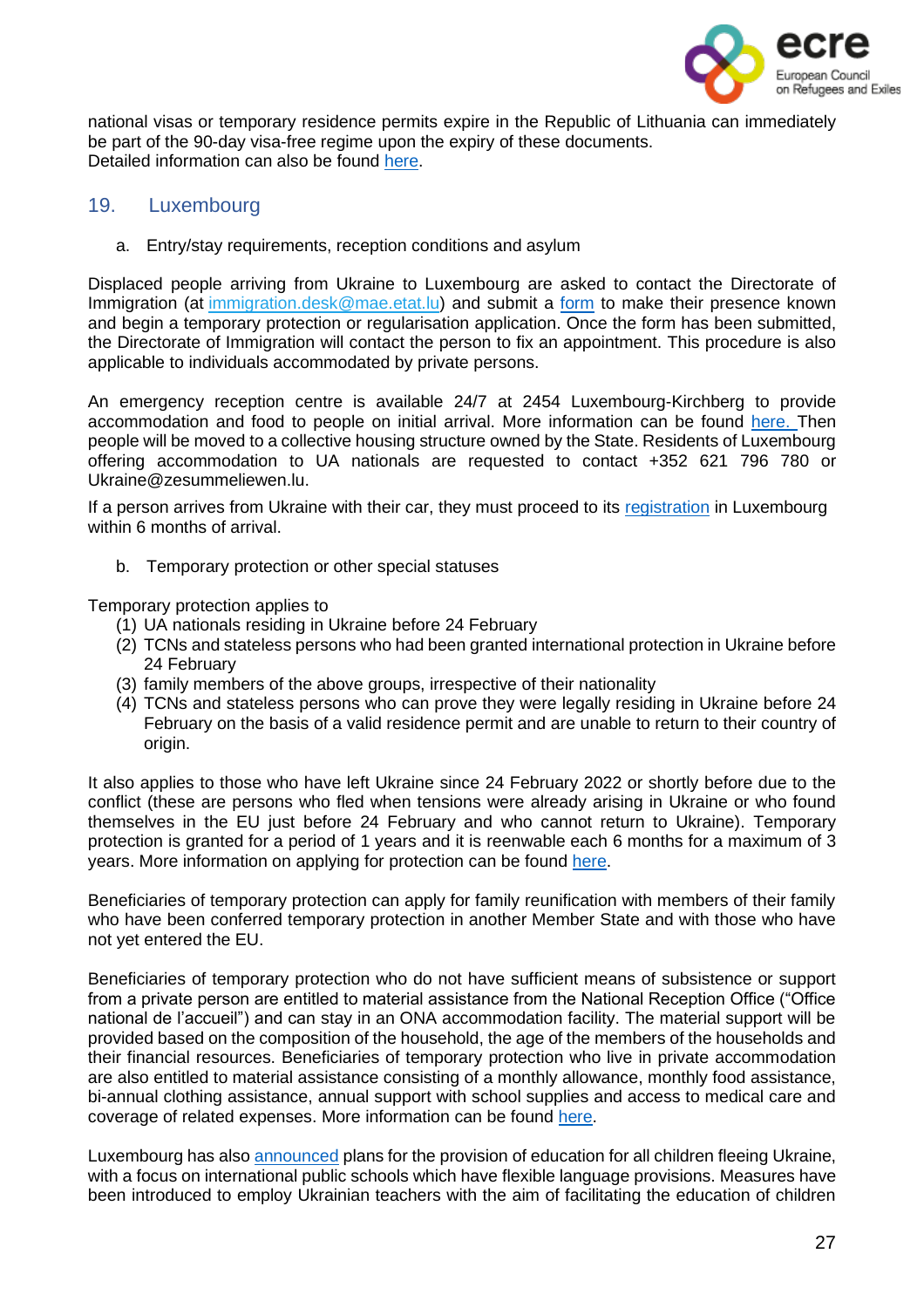

national visas or temporary residence permits expire in the Republic of Lithuania can immediately be part of the 90-day visa-free regime upon the expiry of these documents. Detailed information can also be found [here.](https://rise.articulate.com/share/B4LAPySg0wKNxwuo_I1h4BLmipJICVX2#/lessons/vuXKAFsCM0DdkITYH2XeZQrcVQ2eBZ98)

#### 19. Luxembourg

<span id="page-26-0"></span>a. Entry/stay requirements, reception conditions and asylum

Displaced people arriving from Ukraine to Luxembourg are asked to contact the Directorate of Immigration (at [immigration.desk@mae.etat.lu\)](mailto:immigration.desk@mae.etat.lu) and submit a [form](https://maee.gouvernement.lu/en/services-aux-citoyens/accueil-de-personnes-ukraine.html) to make their presence known and begin a temporary protection or regularisation application. Once the form has been submitted, the Directorate of Immigration will contact the person to fix an appointment. This procedure is also applicable to individuals accommodated by private persons.

An emergency reception centre is available 24/7 at 2454 Luxembourg-Kirchberg to provide accommodation and food to people on initial arrival. More information can be found [here.](https://maee.gouvernement.lu/en/services-aux-citoyens/accueil-de-personnes-ukraine.html) Then people will be moved to a collective housing structure owned by the State. Residents of Luxembourg offering accommodation to UA nationals are requested to contact +352 621 796 780 or [Ukraine@zesummeliewen.lu.](mailto:Ukraine@zesummeliewen.lu)

If a person arrives from Ukraine with their car, they must proceed to its registration in Luxembourg within 6 months of arrival.

b. Temporary protection or other special statuses

Temporary protection applies to

- (1) UA nationals residing in Ukraine before 24 February
- (2) TCNs and stateless persons who had been granted international protection in Ukraine before 24 February
- (3) family members of the above groups, irrespective of their nationality
- (4) TCNs and stateless persons who can prove they were legally residing in Ukraine before 24 February on the basis of a valid residence permit and are unable to return to their country of origin.

It also applies to those who have left Ukraine since 24 February 2022 or shortly before due to the conflict (these are persons who fled when tensions were already arising in Ukraine or who found themselves in the EU just before 24 February and who cannot return to Ukraine). Temporary protection is granted for a period of 1 years and it is reenwable each 6 months for a maximum of 3 years. More information on applying for protection can be found [here.](https://guichet.public.lu/en/citoyens/immigration/ukraine/protection-temporaire.html)

Beneficiaries of temporary protection can apply for family reunification with members of their family who have been conferred temporary protection in another Member State and with those who have not yet entered the EU.

Beneficiaries of temporary protection who do not have sufficient means of subsistence or support from a private person are entitled to material assistance from the National Reception Office ("Office national de l'accueil") and can stay in an ONA accommodation facility. The material support will be provided based on the composition of the household, the age of the members of the households and their financial resources. Beneficiaries of temporary protection who live in private accommodation are also entitled to material assistance consisting of a monthly allowance, monthly food assistance, bi-annual clothing assistance, annual support with school supplies and access to medical care and coverage of related expenses. More information can be found [here.](https://maee.gouvernement.lu/en/services-aux-citoyens/accueil-de-personnes-ukraine/FAQ.html)

Luxembourg has also [announced](https://gouvernement.lu/en/actualites/toutes_actualites/communiques/2022/03-mars/18-accueil-eleves-ukrainiens.html) plans for the provision of education for all children fleeing Ukraine, with a focus on international public schools which have flexible language provisions. Measures have been introduced to employ Ukrainian teachers with the aim of facilitating the education of children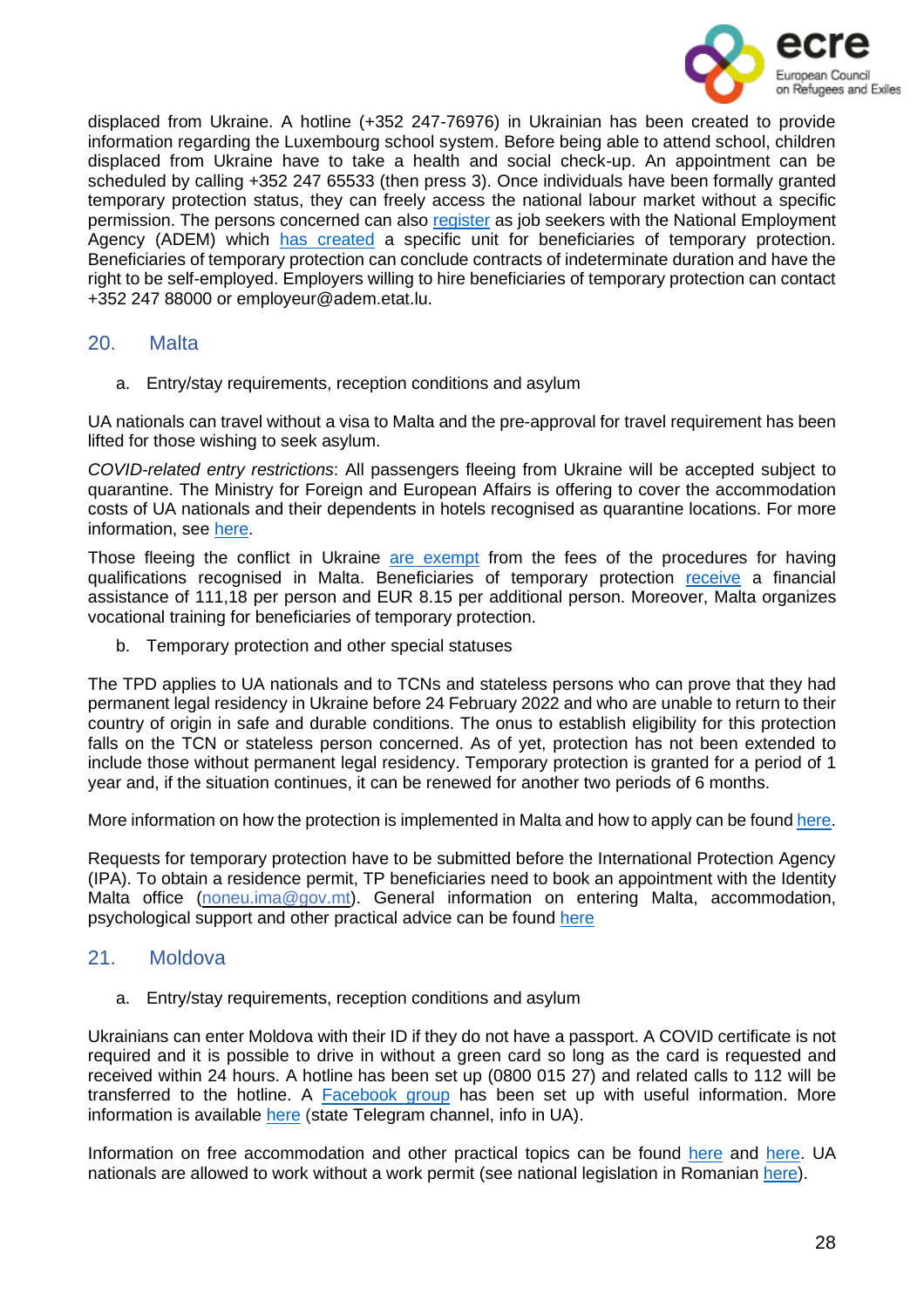

displaced from Ukraine. A hotline (+352 247-76976) in Ukrainian has been created to provide information regarding the Luxembourg school system. Before being able to attend school, children displaced from Ukraine have to take a health and social check-up. An appointment can be scheduled by calling +352 247 65533 (then press 3). Once individuals have been formally granted temporary protection status, they can freely access the national labour market without a specific permission. The persons concerned can also [register](https://maee.gouvernement.lu/en/services-aux-citoyens/accueil-de-personnes-ukraine/FAQ.html) as job seekers with the National Employment Agency (ADEM) which has [created](https://www.oecd.org/publications/rights-and-support-for-ukrainian-refugees-in-receiving-countries-09beb886-en.htm) a specific unit for beneficiaries of temporary protection. Beneficiaries of temporary protection can conclude contracts of indeterminate duration and have the right to be self-employed. Employers willing to hire beneficiaries of temporary protection can contact +352 247 88000 or employeur@adem.etat.lu.

#### 20. Malta

<span id="page-27-0"></span>a. Entry/stay requirements, reception conditions and asylum

UA nationals can travel without a visa to Malta and the pre-approval for travel requirement has been lifted for those wishing to seek asylum.

*COVID-related entry restrictions*: All passengers fleeing from Ukraine will be accepted subject to quarantine. The Ministry for Foreign and European Affairs is offering to cover the accommodation costs of UA nationals and their dependents in hotels recognised as quarantine locations. For more information, see [here.](https://foreignandeu.gov.mt/en/Government/Press%2520Releases/Pages/The-Ministry-for-Foreign-and-European-Affairs-is-offering-to-cover-the-accommodation-costs-of-Ukrainian-nationals-and-their.aspx)

Those fleeing the conflict in Ukraine are [exempt](https://maltarefugeecouncil.org.mt/Ukraine-Info-Fees-for-recognition-of-degrees-waived-for-Temporary) from the fees of the procedures for having qualifications recognised in Malta. Beneficiaries of temporary protection [receive](https://www.oecd.org/publications/rights-and-support-for-ukrainian-refugees-in-receiving-countries-09beb886-en.htm) a financial assistance of 111,18 per person and EUR 8.15 per additional person. Moreover, Malta organizes vocational training for beneficiaries of temporary protection.

b. Temporary protection and other special statuses

The TPD applies to UA nationals and to TCNs and stateless persons who can prove that they had permanent legal residency in Ukraine before 24 February 2022 and who are unable to return to their country of origin in safe and durable conditions. The onus to establish eligibility for this protection falls on the TCN or stateless person concerned. As of yet, protection has not been extended to include those without permanent legal residency. Temporary protection is granted for a period of 1 year and, if the situation continues, it can be renewed for another two periods of 6 months.

More information on how the protection is implemented in Malta and how to apply can be found [here.](https://homeaffairs.gov.mt/en/MHAS-Departments/International%20Protection%20Agency/Pages/Temporary-Protection-Directive---Ukraine.aspx)

Requests for temporary protection have to be submitted before the International Protection Agency (IPA). To obtain a residence permit, TP beneficiaries need to book an appointment with the Identity Malta office [\(noneu.ima@gov.mt\)](mailto:noneu.ima@gov.mt). General information on entering Malta, accommodation, psychological support and other practical advice can be found [here](https://maltarefugeecouncil.org.mt/Ukraine-Info-Ukraine-Community-Crisis-Centre-Malta)

# 21. Moldova

<span id="page-27-1"></span>a. Entry/stay requirements, reception conditions and asylum

Ukrainians can enter Moldova with their ID if they do not have a passport. A COVID certificate is not required and it is possible to drive in without a green card so long as the card is requested and received within 24 hours. A hotline has been set up (0800 015 27) and related calls to 112 will be transferred to the hotline. A [Facebook](https://www.facebook.com/groups/347615063908402) group has been set up with useful information. More information is available [here](https://t.me/prima_sursa_md/24) (state Telegram channel, info in UA).

Information on free accommodation and other practical topics can be found [here](https://simpals.999.md/help_refugees) and [here.](https://cda.md/2022/02/24/how-to-apply-for-asylum-in-moldova/) UA nationals are allowed to work without a work permit (see national legislation in Romanian [here\)](https://gov.md/sites/default/files/document/attachments/dispozitia_cse_4_01.03.2022.pdf).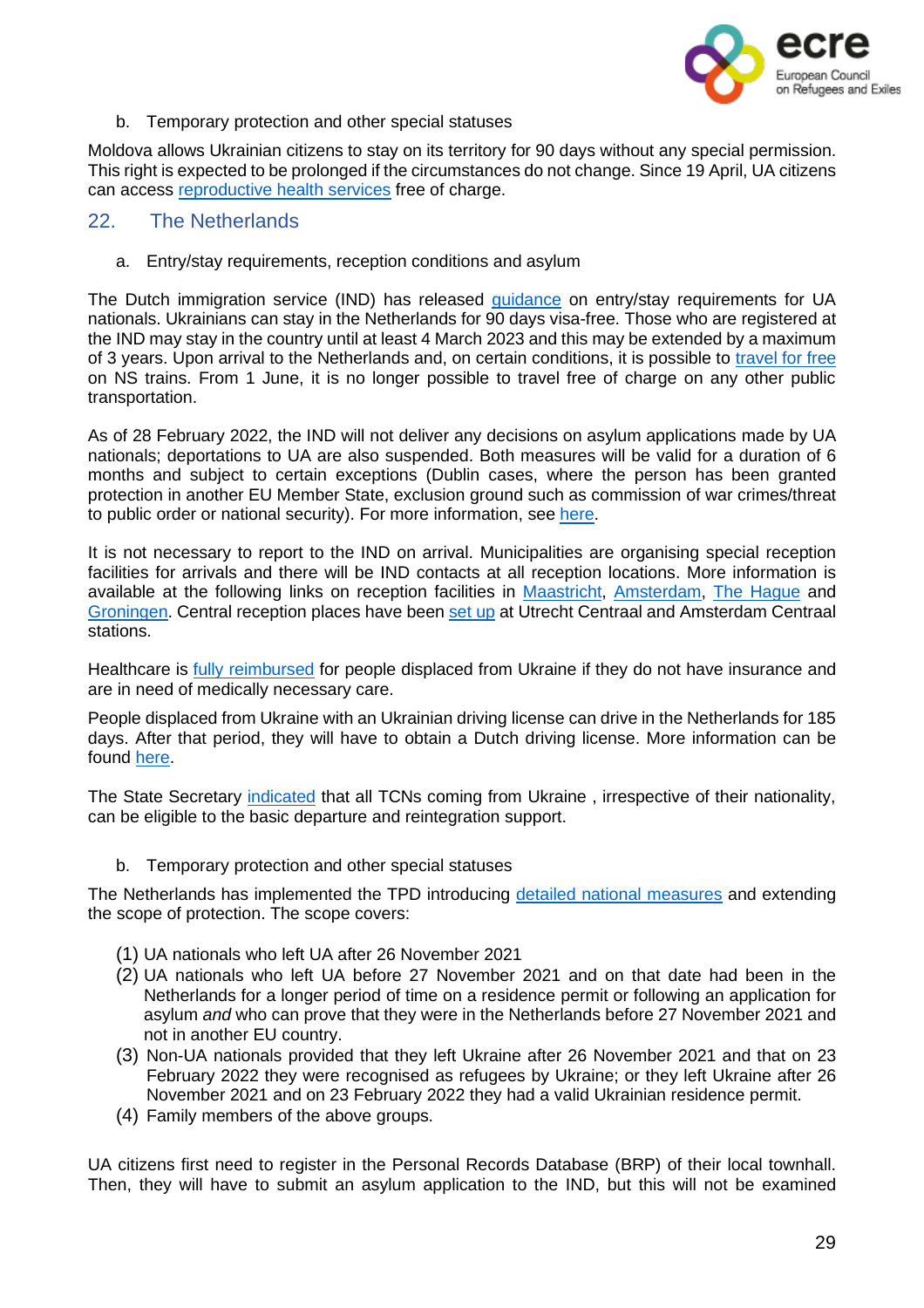

b. Temporary protection and other special statuses

Moldova allows Ukrainian citizens to stay on its territory for 90 days without any special permission. This right is expected to be prolonged if the circumstances do not change. Since 19 April, UA citizens can access [reproductive](https://gov.md/en/content/ukrainian-refugees-benefit-free-charge-reproductive-health-services) health services free of charge.

#### 22. The Netherlands

<span id="page-28-0"></span>a. Entry/stay requirements, reception conditions and asylum

The Dutch immigration service (IND) has released [guidance](https://ind.nl/oekraine/Paginas/Naar-Nederland-komen-en-opvang.aspx) on entry/stay requirements for UA nationals. Ukrainians can stay in the Netherlands for 90 days visa-free. Those who are registered at the IND may stay in the country until at least 4 March 2023 and this may be extended by a maximum of 3 years. Upon arrival to the Netherlands and, on certain conditions, it is possible to [travel](https://www.refugeehelp.nl/get-help/travel/important-information) for free on NS trains. From 1 June, it is no longer possible to travel free of charge on any other public transportation.

As of 28 February 2022, the IND will not deliver any decisions on asylum applications made by UA nationals; deportations to UA are also suspended. Both measures will be valid for a duration of 6 months and subject to certain exceptions (Dublin cases, where the person has been granted protection in another EU Member State, exclusion ground such as commission of war crimes/threat to public order or national security). For more information, see [here.](https://ind.nl/Paginas/oekraine-gevolgen-verblijf-en-aanvragen.aspx)

It is not necessary to report to the IND on arrival. Municipalities are organising special reception facilities for arrivals and there will be IND contacts at all reception locations. More information is available at the following links on reception facilities in [Maastricht,](https://www.gemeentemaastricht.nl/en/ukraine) [Amsterdam,](https://www.amsterdam.nl/en/news/amsterdam-supports-ukraine/) The [Hague](https://www.denhaag.nl/en/municipality-of-the-hague/ukraine/ukraine-frequently-asked-questions.htm) and [Groningen.](https://iwcn.nl/ukraine/?cn-reloaded=1) Central reception places have been [set](https://ind.nl/oekraine/Paginas/Naar-Nederland-komen-en-opvang.aspx) up at Utrecht Centraal and Amsterdam Centraal stations.

Healthcare is **fully [reimbursed](https://www.refugeehelp.nl/get-help/category/health-care)** for people displaced from Ukraine if they do not have insurance and are in need of medically necessary care.

People displaced from Ukraine with an Ukrainian driving license can drive in the Netherlands for 185 days. After that period, they will have to obtain a Dutch driving license. More information can be found [here.](https://www.refugeehelp.nl/get-help/travel/car)

The State Secretary [indicated](https://www.dienstterugkeerenvertrek.nl/actueel/nieuws/2022/03/31/terugkeerondersteuning-niet-oekrainers) that all TCNs coming from Ukraine , irrespective of their nationality, can be eligible to the basic departure and reintegration support.

b. Temporary protection and other special statuses

The Netherlands has implemented the TPD introducing detailed national [measures](https://ind.nl/en/ukraine/Pages/Temporary-scheme-Ukraine.aspx) and extending the scope of protection. The scope covers:

- (1) UA nationals who left UA after 26 November 2021
- (2) UA nationals who left UA before 27 November 2021 and on that date had been in the Netherlands for a longer period of time on a residence permit or following an application for asylum *and* who can prove that they were in the Netherlands before 27 November 2021 and not in another EU country.
- (3) Non-UA nationals provided that they left Ukraine after 26 November 2021 and that on 23 February 2022 they were recognised as refugees by Ukraine; or they left Ukraine after 26 November 2021 and on 23 February 2022 they had a valid Ukrainian residence permit.
- (4) Family members of the above groups.

UA citizens first need to register in the Personal Records Database (BRP) of their local townhall. Then, they will have to submit an asylum application to the IND, but this will not be examined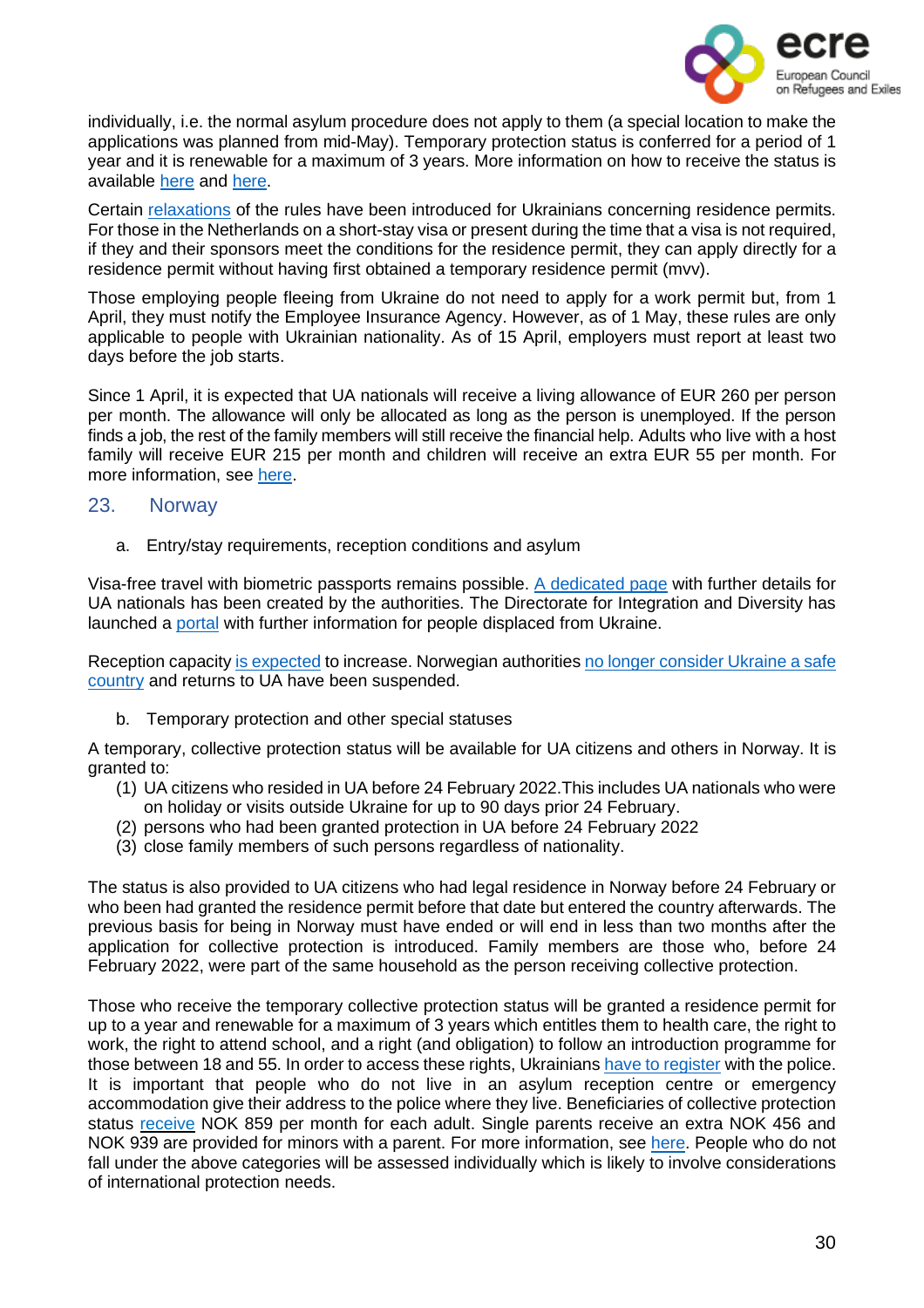

individually, i.e. the normal asylum procedure does not apply to them (a special location to make the applications was planned from mid-May). Temporary protection status is conferred for a period of 1 year and it is renewable for a maximum of 3 years. More information on how to receive the status is available [here](https://ind.nl/en/ukraine/Pages/Temporary-scheme-Ukraine.aspx) and [here.](https://www.refugeehelp.nl/get-help/category/legal-registration)

Certain [relaxations](https://ind.nl/oekraine/Paginas/Versoepelingen-verblijfsvergunningen-Oekra%C3%AFners-.aspx) of the rules have been introduced for Ukrainians concerning residence permits. For those in the Netherlands on a short-stay visa or present during the time that a visa is not required, if they and their sponsors meet the conditions for the residence permit, they can apply directly for a residence permit without having first obtained a temporary residence permit (mvv).

Those employing people fleeing from Ukraine do not need to apply for a work permit but, from 1 April, they must notify the Employee Insurance Agency. However, as of 1 May, these rules are only applicable to people with Ukrainian nationality. As of 15 April, employers must report at least two days before the job starts.

Since 1 April, it is expected that UA nationals will receive a living allowance of EUR 260 per person per month. The allowance will only be allocated as long as the person is unemployed. If the person finds a job, the rest of the family members will still receive the financial help. Adults who live with a host family will receive EUR 215 per month and children will receive an extra EUR 55 per month. For more information, see [here.](https://www.refugeehelp.nl/get-help/category/work-income)

#### 23. Norway

<span id="page-29-0"></span>a. Entry/stay requirements, reception conditions and asylum

Visa-free travel with biometric passports remains possible. A [dedicated](https://www.udi.no/en/important-messages/information-regarding-the-situation-in-ukraine/) page with further details for UA nationals has been created by the authorities. The Directorate for Integration and Diversity has launched a [portal](https://www-imdi-no.translate.goog/ukraina/informasjon-pa-eget-sprak/?_x_tr_sl=no&_x_tr_tl=en&_x_tr_hl=es) with further information for people displaced from Ukraine.

Reception capacity is [expected](https://www.regjeringen.no/en/aktuelt/temporary-collective-protection-for-ukrainians/id2903140/) to increase. Norwegian authorities no longer [consider](https://www.udi.no/en/important-messages/information-regarding-the-situation-in-ukraine/#link-30069) Ukraine a safe [country](https://www.udi.no/en/important-messages/information-regarding-the-situation-in-ukraine/#link-30069) and returns to UA have been suspended.

b. Temporary protection and other special statuses

A temporary, collective protection status will be available for UA citizens and others in Norway. It is granted to:

- (1) UA citizens who resided in UA before 24 February 2022.This includes UA nationals who were on holiday or visits outside Ukraine for up to 90 days prior 24 February.
- (2) persons who had been granted protection in UA before 24 February 2022
- (3) close family members of such persons regardless of nationality.

The status is also provided to UA citizens who had legal residence in Norway before 24 February or who been had granted the residence permit before that date but entered the country afterwards. The previous basis for being in Norway must have ended or will end in less than two months after the application for collective protection is introduced. Family members are those who, before 24 February 2022, were part of the same household as the person receiving collective protection.

Those who receive the temporary collective protection status will be granted a residence permit for up to a year and renewable for a maximum of 3 years which entitles them to health care, the right to work, the right to attend school, and a right (and obligation) to follow an introduction programme for those between 18 and 55. In order to access these rights, Ukrainians have to [register](https://www.regjeringen.no/en/aktuelt/ukrainians-in-norway-need-to-register/id2909704/) with the police. It is important that people who do not live in an asylum reception centre or emergency accommodation give their address to the police where they live. Beneficiaries of collective protection status [receive](https://read.oecd-ilibrary.org/social-issues-migration-health/rights-and-support-for-ukrainian-refugees-in-receiving-countries_09beb886-en#page1) NOK 859 per month for each adult. Single parents receive an extra NOK 456 and NOK 939 are provided for minors with a parent. For more information, see [here.](https://www.politiet.no/en/services/residence-permits-and-protection/the-war-in-ukraine/applying-for-collective-protection-as-a-ukrainian-national/#undefined) People who do not fall under the above categories will be assessed individually which is likely to involve considerations of international protection needs.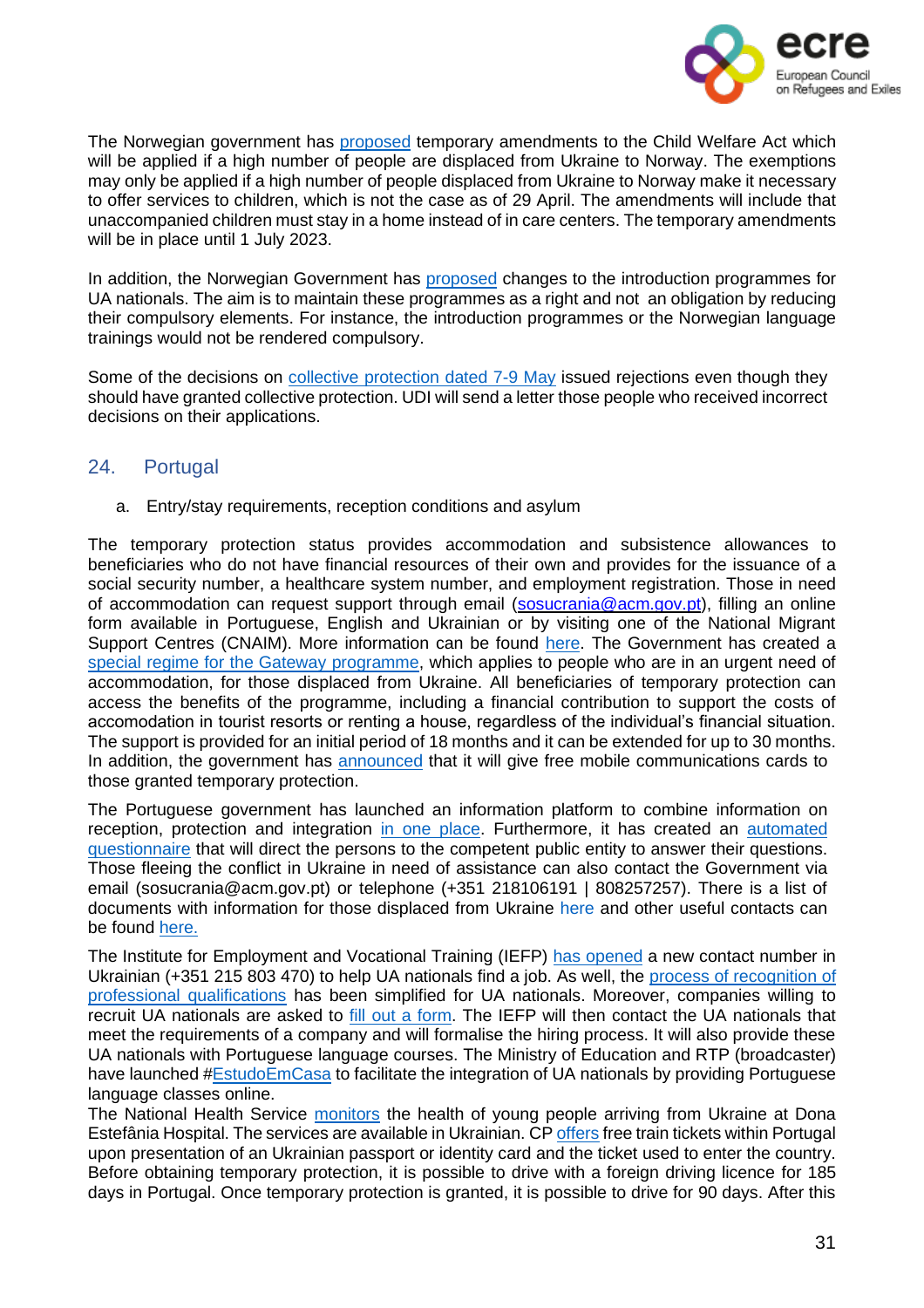

The Norwegian government has [proposed](https://www.regjeringen.no/en/aktuelt/proposal-for-temporary-amendments-to-the-child-welfare-act-to-handle-the-increase-in-refugees-from-ukraine-to-norway/id2910748/) temporary amendments to the Child Welfare Act which will be applied if a high number of people are displaced from Ukraine to Norway. The exemptions may only be applied if a high number of people displaced from Ukraine to Norway make it necessary to offer services to children, which is not the case as of 29 April. The amendments will include that unaccompanied children must stay in a home instead of in care centers. The temporary amendments will be in place until 1 July 2023.

In addition, the Norwegian Government has [proposed](https://www.regjeringen.no/en/aktuelt/the-norwegian-government-wants-to-ensure-that-ukrainian-refugees-are-included-more-quickly-in-norwegian-society2/id2910665/) changes to the introduction programmes for UA nationals. The aim is to maintain these programmes as a right and not an obligation by reducing their compulsory elements. For instance, the introduction programmes or the Norwegian language trainings would not be rendered compulsory.

Some of the decisions on collective [protection](https://www.udi.no/en/situation-in-ukraine/stay-in-norway/protection-asylum-in-norway/received-an-answer/) dated 7-9 May issued rejections even though they should have granted collective protection. UDI will send a letter those people who received incorrect decisions on their applications.

# <span id="page-30-0"></span>24. Portugal

a. Entry/stay requirements, reception conditions and asylum

The temporary protection status provides accommodation and subsistence allowances to beneficiaries who do not have financial resources of their own and provides for the issuance of a social security number, a healthcare system number, and employment registration. Those in need of accommodation can request support through email [\(sosucrania@acm.gov.pt\)](mailto:sosucrania@acm.gov.pt), filling an online form available in Portuguese, English and Ukrainian or by visiting one of the National Migrant Support Centres (CNAIM). More information can be found [here.](https://eportugal-gov-pt.translate.goog/migrantes-viver-e-trabalhar-em-portugal/ucrania-informacoes-e-apoios-disponiveis-em-portugal?_x_tr_sl=pt&_x_tr_tl=en&_x_tr_hl=es) The Government has created a special regime for the [Gateway](https://portugalforukraine-gov-pt.translate.goog/alojamento/?_x_tr_sl=pt&_x_tr_tl=en&_x_tr_hl=es) programme, which applies to people who are in an urgent need of accommodation, for those displaced from Ukraine. All beneficiaries of temporary protection can access the benefits of the programme, including a financial contribution to support the costs of accomodation in tourist resorts or renting a house, regardless of the individual's financial situation. The support is provided for an initial period of 18 months and it can be extended for up to 30 months. In addition, the government has [announced](https://eportugal.gov.pt/pt/noticias/servicos-de-comunicacoes-moveis-gratuitos-para-refugiados-da-ucrania) that it will give free mobile communications cards to those granted temporary protection.

The Portuguese government has launched an information platform to combine information on reception, protection and integration in one [place.](https://portugalforukraine.gov.pt/en/pagina-inicial-english/) Furthermore, it has created an [automated](https://portugalforukraine.gov.pt/en/contact-form/) [questionnaire](https://portugalforukraine.gov.pt/en/contact-form/) that will direct the persons to the competent public entity to answer their questions. Those fleeing the conflict in Ukraine in need of assistance can also contact the Government via email (sosucrania@acm.gov.pt) or telephone (+351 218106191 | 808257257). There is a list of documents with information for those displaced from Ukraine [here](https://www.acm.gov.pt/-/sos-ucrania) and other useful contacts can be found [here.](https://portugalforukraine.gov.pt/en/contacts/)

The Institute for Employment and Vocational Training (IEFP) has [opened](https://eportugal.gov.pt/pt/noticias/iefp-tem-novo-centro-de-contacto-em-ucraniano) a new contact number in Ukrainian (+351 215 803 470) to help UA nationals find a job. As well, the process of [recognition](https://eportugal-gov-pt.translate.goog/migrantes-viver-e-trabalhar-em-portugal/ucrania-informacoes-e-apoios-disponiveis-em-portugal/ucrania-cidadaos-refugiados-a-viver-em-portugal?_x_tr_sl=pt&_x_tr_tl=en&_x_tr_hl=es) of professional [qualifications](https://eportugal-gov-pt.translate.goog/migrantes-viver-e-trabalhar-em-portugal/ucrania-informacoes-e-apoios-disponiveis-em-portugal/ucrania-cidadaos-refugiados-a-viver-em-portugal?_x_tr_sl=pt&_x_tr_tl=en&_x_tr_hl=es) has been simplified for UA nationals. Moreover, companies willing to recruit UA nationals are asked to fill out a [form.](https://portugalforukraine.gov.pt/en/employment-and-training/) The IEFP will then contact the UA nationals that meet the requirements of a company and will formalise the hiring process. It will also provide these UA nationals with Portuguese language courses. The Ministry of Education and RTP (broadcaster) have launched [#EstudoEmCasa](https://eportugal.gov.pt/pt/noticias/ministerio-da-educacao-e-rtp-lancam-estudoemcasa-para-ucranianos) to facilitate the integration of UA nationals by providing Portuguese language classes online.

The National Health Service [monitors](https://eportugal-gov-pt.translate.goog/migrantes-viver-e-trabalhar-em-portugal/ucrania-informacoes-e-apoios-disponiveis-em-portugal/ucrania-cidadaos-refugiados-a-viver-em-portugal?_x_tr_sl=pt&_x_tr_tl=en&_x_tr_hl=es) the health of young people arriving from Ukraine at Dona Estefânia Hospital. The services are available in Ukrainian. C[P offers](https://eportugal-gov-pt.translate.goog/migrantes-viver-e-trabalhar-em-portugal/ucrania-informacoes-e-apoios-disponiveis-em-portugal?_x_tr_sl=pt&_x_tr_tl=en&_x_tr_hl=es) free train tickets within Portugal upon presentation of an Ukrainian passport or identity card and the ticket used to enter the country. Before obtaining temporary protection, it is possible to drive with a foreign driving licence for 185 days in Portugal. Once temporary protection is granted, it is possible to drive for 90 days. After this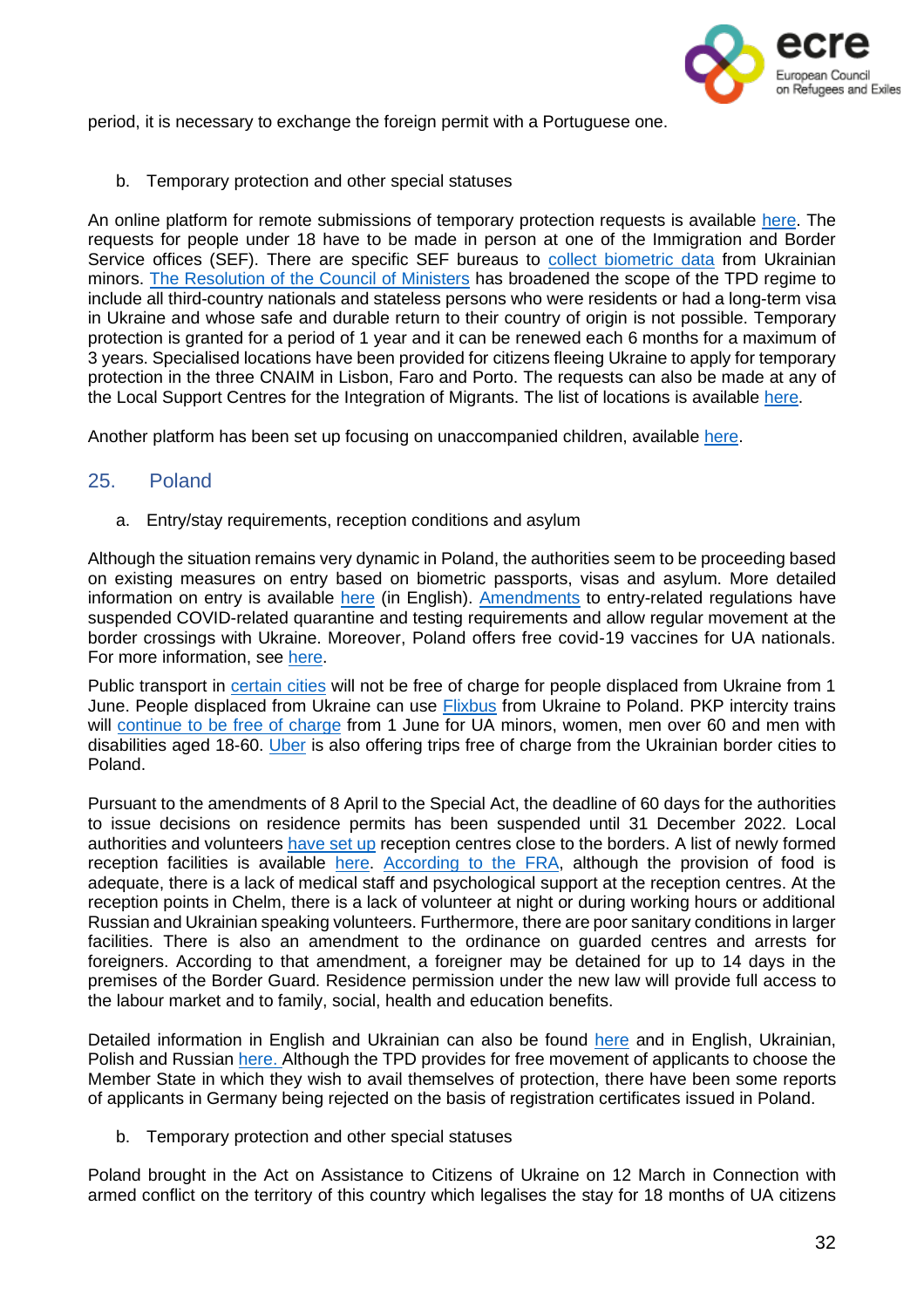

period, it is necessary to exchange the foreign permit with a Portuguese one.

b. Temporary protection and other special statuses

An online platform for remote submissions of temporary protection requests is available [here.](https://sefforukraine.sef.pt/) The requests for people under 18 have to be made in person at one of the Immigration and Border Service offices (SEF). There are specific SEF bureaus to collect [biometric](https://www.acm.gov.pt/-/sos-ucrania) data from Ukrainian minors. The [Resolution](https://bit.ly/3tlPx7b) of the Council of Ministers has broadened the scope of the TPD regime to include all third-country nationals and stateless persons who were residents or had a long-term visa in Ukraine and whose safe and durable return to their country of origin is not possible. Temporary protection is granted for a period of 1 year and it can be renewed each 6 months for a maximum of 3 years. Specialised locations have been provided for citizens fleeing Ukraine to apply for temporary protection in the three CNAIM in Lisbon, Faro and Porto. The requests can also be made at any of the Local Support Centres for the Integration of Migrants. The list of locations is available [here.](https://imigrante.sef.pt/deslocacao-sef/)

Another platform has been set up focusing on unaccompanied children, available [here.](https://portugalforukraine.gov.pt/registo-e-protecao-de-criancas-deslocadas-da-ucrania/)

# 25. Poland

<span id="page-31-0"></span>a. Entry/stay requirements, reception conditions and asylum

Although the situation remains very dynamic in Poland, the authorities seem to be proceeding based on existing measures on entry based on biometric passports, visas and asylum. More detailed information on entry is available [here](https://ukraina.interwencjaprawna.pl/en/) (in English). [Amendments](https://www.dziennikustaw.gov.pl/D2022000046201.pdf) to entry-related regulations have suspended COVID-related quarantine and testing requirements and allow regular movement at the border crossings with Ukraine. Moreover, Poland offers free covid-19 vaccines for UA nationals. For more information, see [here.](https://www.gov.pl/web/ua)

Public transport in [certain](https://visitukraine.today/blog/467/europe-cancels-free-travel-for-ukrainians-list-of-countries) cities will not be free of charge for people displaced from Ukraine from 1 June. People displaced from Ukraine can use [Flixbus](https://corporate.flixbus.com/flixbus-supports-ukraine/) from Ukraine to Poland. PKP intercity trains will [continue](https://www.gov.pl/web/ua/Z-1-chervnya-vy-zmozhete-skorystatysya-bezkoshtovnym-proyizdom-zaliznytseyu-za-novymy-pravylamy) to be free of charge from 1 June for UA minors, women, men over 60 and men with disabilities aged 18-60. [Uber](https://www.uber.com/uk-UA/newsroom/update-on-our-support-for-ukraine/) is also offering trips free of charge from the Ukrainian border cities to Poland.

Pursuant to the amendments of 8 April to the Special Act, the deadline of 60 days for the authorities to issue decisions on residence permits has been suspended until 31 December 2022. Local authorities and volunteers [have](https://fra.europa.eu/sites/default/files/fra_uploads/fra-2022-ukraine-bulletin-1_en.pdf) set up reception centres close to the borders. A list of newly formed reception facilities is available [here.](https://www.gov.pl/web/ua) [According](https://fra.europa.eu/sites/default/files/fra_uploads/fra-2022-ukraine-bulletin-1_en.pdf) to the FRA, although the provision of food is adequate, there is a lack of medical staff and psychological support at the reception centres. At the reception points in Chelm, there is a lack of volunteer at night or during working hours or additional Russian and Ukrainian speaking volunteers. Furthermore, there are poor sanitary conditions in larger facilities. There is also an amendment to the ordinance on guarded centres and arrests for foreigners. According to that amendment, a foreigner may be detained for up to 14 days in the premises of the Border Guard. Residence permission under the new law will provide full access to the labour market and to family, social, health and education benefits.

Detailed information in English and Ukrainian can also be found [here](https://ukraina.interwencjaprawna.pl/) and in English, Ukrainian, Polish and Russian [here.](https://pomagamukrainie.gov.pl/) Although the TPD provides for free movement of applicants to choose the Member State in which they wish to avail themselves of protection, there have been some reports of applicants in Germany being rejected on the basis of registration certificates issued in Poland.

b. Temporary protection and other special statuses

Poland brought in the Act on Assistance to Citizens of Ukraine on 12 March in Connection with armed conflict on the territory of this country which legalises the stay for 18 months of UA citizens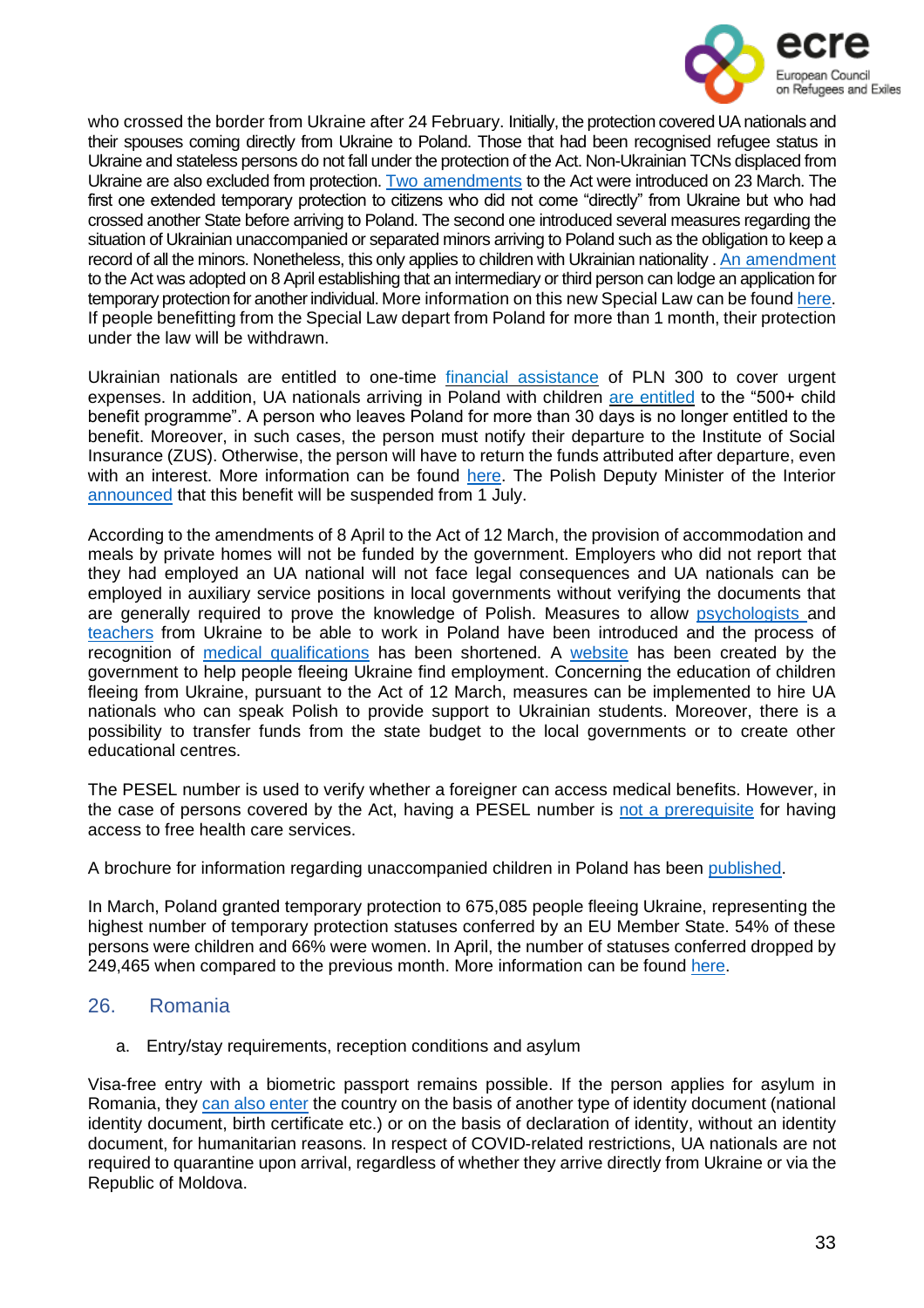

who crossed the border from Ukraine after 24 February. Initially, the protection covered UA nationals and their spouses coming directly from Ukraine to Poland. Those that had been recognised refugee status in Ukraine and stateless persons do not fall under the protection of the Act. Non-Ukrainian TCNs displaced from Ukraine are also excluded from protection. Two [amendments](https://www.prezydent.pl/prawo/ustawy-podpisane/ustawy-podpisane-w-marcu-2022-r,49929) to the Act were introduced on 23 March. The first one extended temporary protection to citizens who did not come "directly" from Ukraine but who had crossed another State before arriving to Poland. The second one introduced several measures regarding the situation of Ukrainian unaccompanied or separated minors arriving to Poland such as the obligation to keep a record of all the minors. Nonetheless, this only applies to children with Ukrainian nationality . An [amendment](https://isap.sejm.gov.pl/isap.nsf/DocDetails.xsp?id=WDU20220000830) to the Act was adopted on 8 April establishing that an intermediary or third person can lodge an application for temporary protection for another individual. More information on this new Special Law can be found [here.](https://koniecznywierzbicki.pl/en/major-changes-in-terms-of-employment-and-legalisation-of-residence-of-foreigners-in-poland-resulting-from-the-draft-law-on-assistance-to-citizens-of-ukraine-in-connection-with-armed-conflict-on-the-t/) If people benefitting from the Special Law depart from Poland for more than 1 month, their protection under the law will be withdrawn.

Ukrainian nationals are entitled to one-time *[financial assistance](https://www.gov.pl/web/gov/otrymayte-odnorazovu-hroshovu-dopomohu)* of PLN 300 to cover urgent expenses. In addition, UA nationals arriving in Poland with children [are entitled](https://notesfrompoland.com/2022/03/02/poland-to-make-it-easier-for-ukrainian-refugees-to-work-and-receive-child-benefits/) to the "500+ child benefit programme". A person who leaves Poland for more than 30 days is no longer entitled to the benefit. Moreover, in such cases, the person must notify their departure to the Institute of Social Insurance (ZUS). Otherwise, the person will have to return the funds attributed after departure, even with an interest. More information can be found [here.](https://www.yavp.pl/uk/zhittya-v-polshchi/khto-z-bizhentsiv-z-ukrainy-maie-povidomliaty-zus-pro-vyizd-z-polshchi-ta-iak-tse-zrobyty-instruktsiia-20001.html) The Polish Deputy Minister of the Interior [announced](https://www-lsm-lv.translate.goog/raksts/zinas/arzemes/polija-no-1-julija-varetu-partraukt-pabalstu-maksasanu-ukrainas-kara-begliem.a459744/?utm_source=lsm&utm_medium=theme&utm_campaign=theme&_x_tr_sl=lv&_x_tr_tl=en&_x_tr_hl=es) that this benefit will be suspended from 1 July.

According to the amendments of 8 April to the Act of 12 March, the provision of accommodation and meals by private homes will not be funded by the government. Employers who did not report that they had employed an UA national will not face legal consequences and UA nationals can be employed in auxiliary service positions in local governments without verifying the documents that are generally required to prove the knowledge of Polish. Measures to allow [psychologists](https://ukraina.interwencjaprawna.pl/facilitations-for-psychologists-from-ukraine/) and [teachers](https://ukraina.interwencjaprawna.pl/facilitations-for-teachers-from-ukraine/) from Ukraine to be able to work in Poland have been introduced and the process of recognition of medical [qualifications](https://www.oecd.org/publications/rights-and-support-for-ukrainian-refugees-in-receiving-countries-09beb886-en.htm) has been shortened. A [website](https://psz-praca-gov-pl.translate.goog/pomocdlaukrainy?_x_tr_sl=uk&_x_tr_tl=en&_x_tr_hl=es) has been created by the government to help people fleeing Ukraine find employment. Concerning the education of children fleeing from Ukraine, pursuant to the Act of 12 March, measures can be implemented to hire UA nationals who can speak Polish to provide support to Ukrainian students. Moreover, there is a possibility to transfer funds from the state budget to the local governments or to create other educational centres.

The PESEL number is used to verify whether a foreigner can access medical benefits. However, in the case of persons covered by the Act, having a PESEL number is not a [prerequisite](https://ukraina.interwencjaprawna.pl/i-entered-poland-from-ukraine-on-1-03-2022-i-did-not-apply-for-a-pesel-number-does-this-mean-that-i-cannot-receive-medical-benefits/) for having access to free health care services.

A brochure for information regarding unaccompanied children in Poland has been [published.](https://ukraina.interwencjaprawna.pl/we-provide-the-brochure-unaccompanied-child-in-poland-and-ukraine-law-and-institutions-basic-issues/)

In March, Poland granted temporary protection to 675,085 people fleeing Ukraine, representing the highest number of temporary protection statuses conferred by an EU Member State. 54% of these persons were children and 66% were women. In April, the number of statuses conferred dropped by 249,465 when compared to the previous month. More information can be found [here.](https://ec.europa.eu/eurostat/web/products-eurostat-news/-/ddn-20220603-1)

# 26. Romania

<span id="page-32-0"></span>a. Entry/stay requirements, reception conditions and asylum

Visa-free entry with a biometric passport remains possible. If the person applies for asylum in Romania, they can also [enter](https://www.gov.ro/ro/ucraina-impreuna-ajutam-mai-mult#null) the country on the basis of another type of identity document (national identity document, birth certificate etc.) or on the basis of declaration of identity, without an identity document, for humanitarian reasons. In respect of COVID-related restrictions, UA nationals are not required to quarantine upon arrival, regardless of whether they arrive directly from Ukraine or via the Republic of Moldova.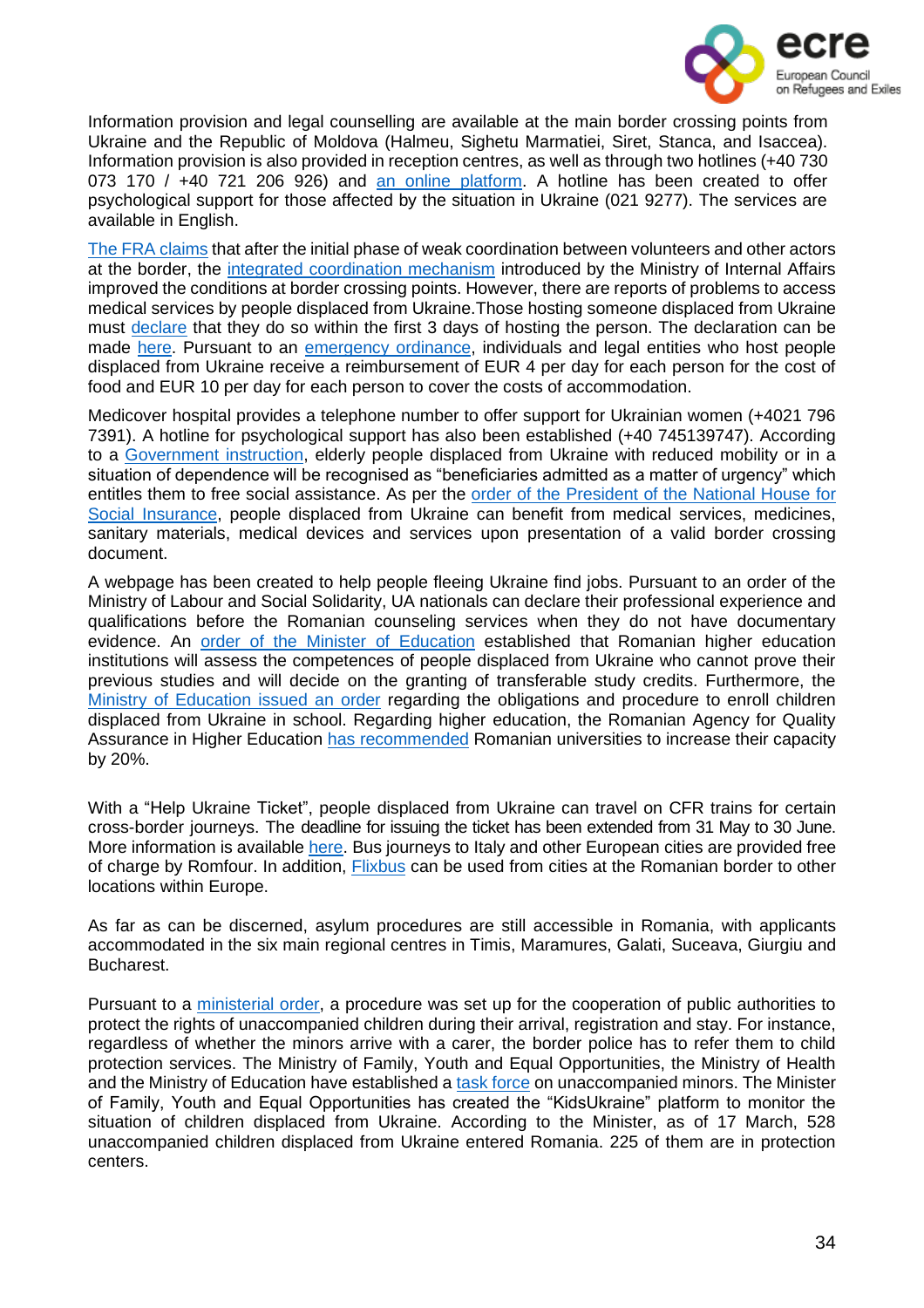

Information provision and legal counselling are available at the main border crossing points from Ukraine and the Republic of Moldova (Halmeu, Sighetu Marmatiei, Siret, Stanca, and Isaccea). Information provision is also provided in reception centres, as well as through two hotlines (+40 730 073 170 / +40 721 206 926) and an online [platform.](https://dopomoha.ro/en) A hotline has been created to offer psychological support for those affected by the situation in Ukraine (021 9277). The services are available in English.

The FRA [claims](https://fra.europa.eu/sites/default/files/fra_uploads/fra-2022-ukraine-bulletin-1_en.pdf) that after the initial phase of weak coordination between volunteers and other actors at the border, the integrated [coordination](https://gov.ro/ro/print?modul=stiri&link=briefing-de-presa-sustinut-de-ministrul-afacerilor-interne-lucian-bode-secretarul-de-stat-raed-arafat-eful-dsu-si-purtatorul-de-cuvant-al-guvernului-dan-carbunaru-la-finalul-edintei-de-guvern1645978102) mechanism introduced by the Ministry of Internal Affairs improved the conditions at border crossing points. However, there are reports of problems to access medical services by people displaced from Ukraine.Those hosting someone displaced from Ukraine must [declare](https://dopomoha.ro/en/temporary-protection) that they do so within the first 3 days of hosting the person. The declaration can be made [here.](https://portaligi.mai.gov.ro/inregistrarestraini/) Pursuant to an [emergency](https://legislatie.just.ro/Public/DetaliiDocumentAfis/253117) ordinance, individuals and legal entities who host people displaced from Ukraine receive a reimbursement of EUR 4 per day for each person for the cost of food and EUR 10 per day for each person to cover the costs of accommodation.

Medicover hospital provides a telephone number to offer support for Ukrainian women (+4021 796 7391). A hotline for psychological support has also been established (+40 745139747). According to a [Government](https://legislatie.just.ro/Public/DetaliiDocument/253653) instruction, elderly people displaced from Ukraine with reduced mobility or in a situation of dependence will be recognised as "beneficiaries admitted as a matter of urgency" which entitles them to free social assistance. As per the order of the [President](https://legislatie.just.ro/Public/DetaliiDocument/252372) of the National House for Social [Insurance,](https://legislatie.just.ro/Public/DetaliiDocument/252372) people displaced from Ukraine can benefit from medical services, medicines, sanitary materials, medical devices and services upon presentation of a valid border crossing document.

A webpage has been created to help people fleeing Ukraine find jobs. Pursuant to an order of the Ministry of Labour and Social Solidarity, UA nationals can declare their professional experience and qualifications before the Romanian counseling services when they do not have documentary evidence. An order of the Minister of [Education](https://legislatie.just.ro/Public/DetaliiDocument/252337) established that Romanian higher education institutions will assess the competences of people displaced from Ukraine who cannot prove their previous studies and will decide on the granting of transferable study credits. Furthermore, the Ministry of [Education](https://legislatie.just.ro/Public/DetaliiDocument/252569) issued an order regarding the obligations and procedure to enroll children displaced from Ukraine in school. Regarding higher education, the Romanian Agency for Quality Assurance in Higher Education has [recommended](https://www.oecd.org/publications/rights-and-support-for-ukrainian-refugees-in-receiving-countries-09beb886-en.htm) Romanian universities to increase their capacity by 20%.

With a "Help Ukraine Ticket", people displaced from Ukraine can travel on CFR trains for certain cross-border journeys. The deadline for issuing the ticket has been extended from 31 May to 30 June. More information is available [here.](https://www.cfrcalatori.ro/en/information-for-refugees-from-ukraine-about-free-travel-by-train-on-the-romanias-territory/) Bus journeys to Italy and other European cities are provided free of charge by Romfour. In addition, [Flixbus](https://corporate.flixbus.com/flixbus-supports-ukraine/) can be used from cities at the Romanian border to other locations within Europe.

As far as can be discerned, asylum procedures are still accessible in Romania, with applicants accommodated in the six main regional centres in Timis, Maramures, Galati, Suceava, Giurgiu and Bucharest.

Pursuant to a [ministerial](https://legislatie.just.ro/Public/DetaliiDocument/252735) order, a procedure was set up for the cooperation of public authorities to protect the rights of unaccompanied children during their arrival, registration and stay. For instance, regardless of whether the minors arrive with a carer, the border police has to refer them to child protection services. The Ministry of Family, Youth and Equal Opportunities, the Ministry of Health and the Ministry of Education have established a task [force](https://legislatie.just.ro/Public/DetaliiDocument/252573) on unaccompanied minors. The Minister of Family, Youth and Equal Opportunities has created the "KidsUkraine" platform to monitor the situation of children displaced from Ukraine. According to the Minister, as of 17 March, 528 unaccompanied children displaced from Ukraine entered Romania. 225 of them are in protection centers.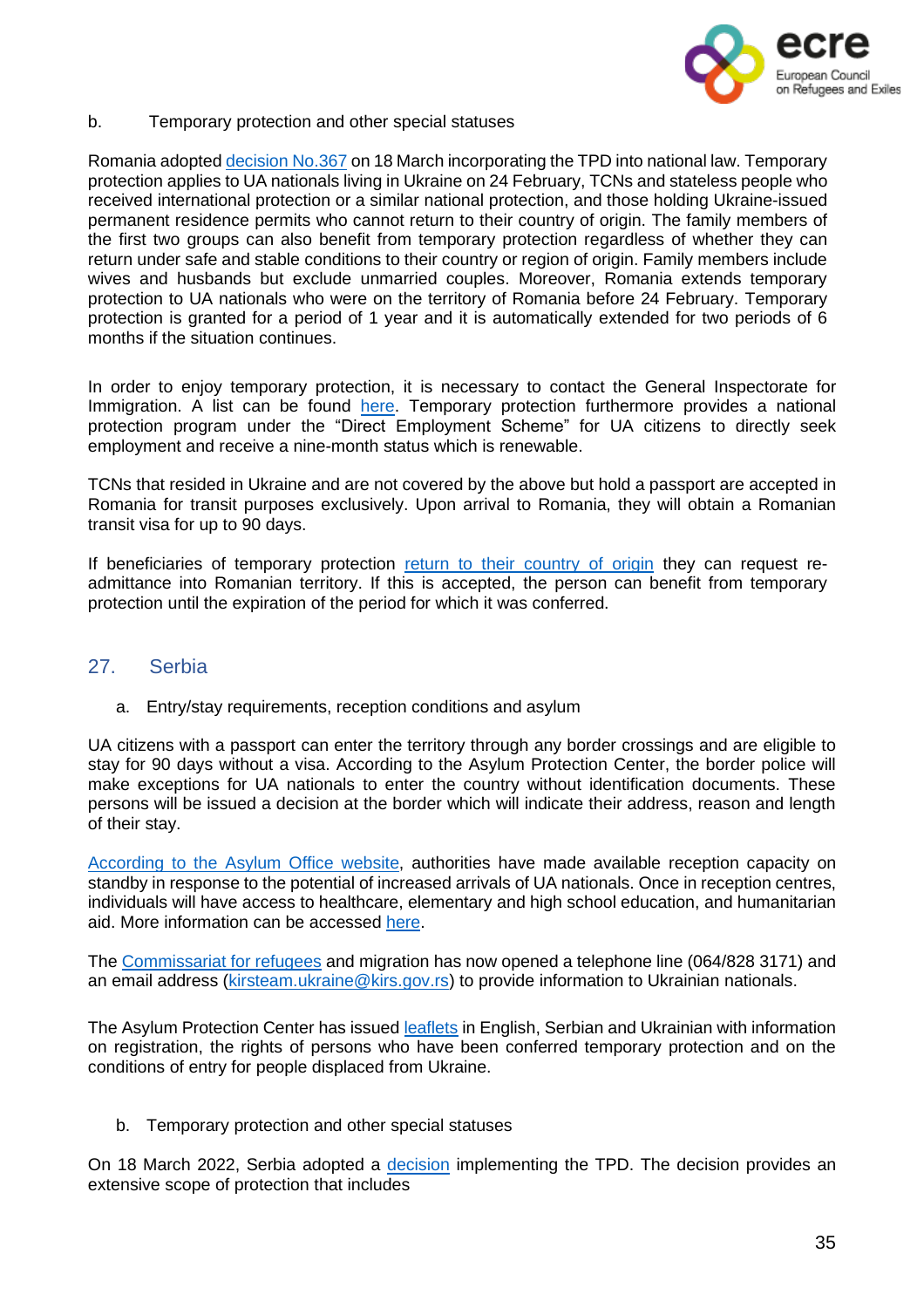

b. Temporary protection and other special statuses

Romania adopted decision No.367 [on 18 March](https://legislatie.just.ro/Public/DetaliiDocument/252745) incorporating the TPD into national law. Temporary protection applies to UA nationals living in Ukraine on 24 February, TCNs and stateless people who received international protection or a similar national protection, and those holding Ukraine-issued permanent residence permits who cannot return to their country of origin. The family members of the first two groups can also benefit from temporary protection regardless of whether they can return under safe and stable conditions to their country or region of origin. Family members include wives and husbands but exclude unmarried couples. Moreover, Romania extends temporary protection to UA nationals who were on the territory of Romania before 24 February. Temporary protection is granted for a period of 1 year and it is automatically extended for two periods of 6 months if the situation continues.

In order to enjoy temporary protection, it is necessary to contact the General Inspectorate for Immigration. A list can be found [here.](https://dopomoha.ro/en/issue-of-the-residence-permit) Temporary protection furthermore provides a national protection program under the "Direct Employment Scheme" for UA citizens to directly seek employment and receive a nine-month status which is renewable.

TCNs that resided in Ukraine and are not covered by the above but hold a passport are accepted in Romania for transit purposes exclusively. Upon arrival to Romania, they will obtain a Romanian transit visa for up to 90 days.

If beneficiaries of temporary protection return to their [country](https://dopomoha.ro/en/temporary-protection) of origin they can request readmittance into Romanian territory. If this is accepted, the person can benefit from temporary protection until the expiration of the period for which it was conferred.

# 27. Serbia

<span id="page-34-0"></span>a. Entry/stay requirements, reception conditions and asylum

UA citizens with a passport can enter the territory through any border crossings and are eligible to stay for 90 days without a visa. According to the Asylum Protection Center, the border police will make exceptions for UA nationals to enter the country without identification documents. These persons will be issued a decision at the border which will indicate their address, reason and length of their stay.

[According](https://kirs.gov.rs/cir/aktuelno/spremni-za-prihvat-izbeglica-iz-ukrajine/3893) to the Asylum Office website, authorities have made available reception capacity on standby in response to the potential of increased arrivals of UA nationals. Once in reception centres, individuals will have access to healthcare, elementary and high school education, and humanitarian aid. More information can be accessed [here.](https://www.azilsrbija.rs/vazne-informacije-za-izbeglice-iz-ukrajine/?lang=en)

The [Commissariat](https://kirs.gov.rs/eng/aktuelno/contact-number-and-email-address-for-refugees-coming-from-ukraine-and-those-that-have-accommodated-them-in-serbia/3901) for refugees and migration has now opened a telephone line (064/828 3171) and an email address [\(kirsteam.ukraine@kirs.gov.rs\)](mailto:kirsteam.ukraine@kirs.gov.rs) to provide information to Ukrainian nationals.

The Asylum Protection Center has issued [leaflets](https://www.azilsrbija.rs/vazne-informacije-za-izbeglice-iz-ukrajine/?lang=en) in English, Serbian and Ukrainian with information on registration, the rights of persons who have been conferred temporary protection and on the conditions of entry for people displaced from Ukraine.

b. Temporary protection and other special statuses

On 18 March 2022, Serbia adopted a [decision](https://www.pravno-informacioni-sistem.rs/SlGlasnikPortal/eli/rep/sgrs/vlada/odluka/2022/36/1/reg) implementing the TPD. The decision provides an extensive scope of protection that includes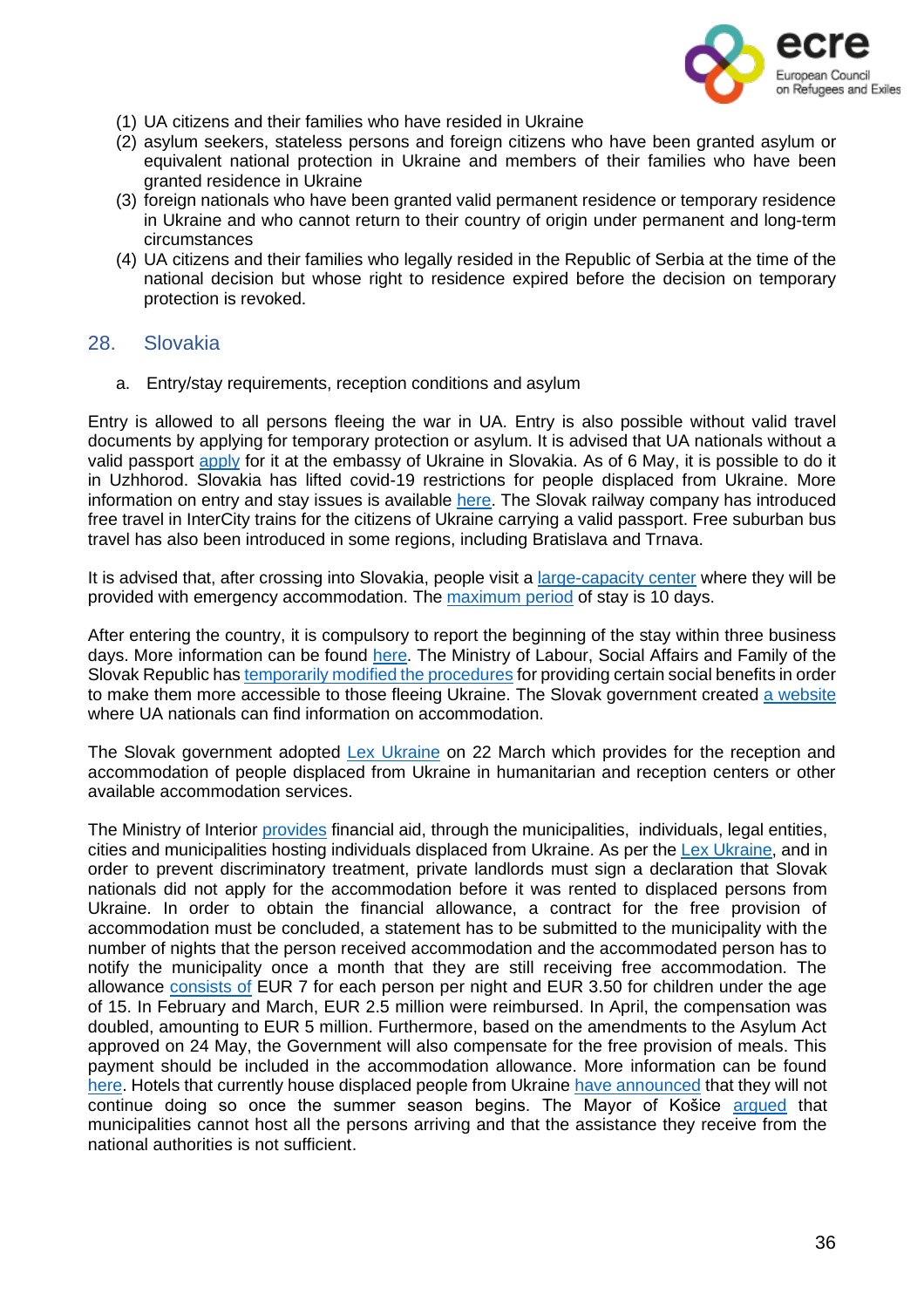

- (1) UA citizens and their families who have resided in Ukraine
- (2) asylum seekers, stateless persons and foreign citizens who have been granted asylum or equivalent national protection in Ukraine and members of their families who have been granted residence in Ukraine
- (3) foreign nationals who have been granted valid permanent residence or temporary residence in Ukraine and who cannot return to their country of origin under permanent and long-term circumstances
- (4) UA citizens and their families who legally resided in the Republic of Serbia at the time of the national decision but whose right to residence expired before the decision on temporary protection is revoked.

#### <span id="page-35-0"></span>28. Slovakia

a. Entry/stay requirements, reception conditions and asylum

Entry is allowed to all persons fleeing the war in UA. Entry is also possible without valid travel documents by applying for temporary protection or asylum. It is advised that UA nationals without a valid passport [apply](https://www-minv-sk.translate.goog/?tlacove-spravy&sprava=vojna-na-ukrajine-prakticke-informacie-pre-prichadzajucich-na-slovensko&_x_tr_sl=sk&_x_tr_tl=en&_x_tr_hl=es) for it at the embassy of Ukraine in Slovakia. As of 6 May, it is possible to do it in Uzhhorod. Slovakia has lifted covid-19 restrictions for people displaced from Ukraine. More information on entry and stay issues is available [here.](https://ua.gov.sk/en.html) The Slovak railway company has introduced free travel in InterCity trains for the citizens of Ukraine carrying a valid passport. Free suburban bus travel has also been introduced in some regions, including Bratislava and Trnava.

It is advised that, after crossing into Slovakia, people visit a [large-capacity](https://www.minv.sk/?vizova-info-typy-viz-1) center where they will be provided with emergency accommodation. The [maximum](https://www-minv-sk.translate.goog/?tlacove-spravy&sprava=ludom-utekajucim-pred-vojnou-ministerstvo-vnutra-zabezpecuje-nudzove-ubytovanie&_x_tr_sl=sk&_x_tr_tl=en&_x_tr_hl=es) period of stay is 10 days.

After entering the country, it is compulsory to report the beginning of the stay within three business days. More information can be found [here.](https://www.mic.iom.sk/en/news/758-info-ukraine.html) The Ministry of Labour, Social Affairs and Family of the Slovak Republic has temporarily modified the [procedures](https://www.employment.gov.sk/sk/uvodna-stranka/informacie-media/aktuality/statne-socialne-davky-pomoc-hmotnej-nudzi-budu-odidencov-z-ukrajiny-dostupnejsie.html) for providing certain social benefits in order to make them more accessible to those fleeing Ukraine. The Slovak government created a [website](https://pomocpreukrajinu.sk/) where UA nationals can find information on accommodation.

The Slovak government adopted Lex [Ukraine](https://www.slov-lex.sk/pravne-predpisy/SK/ZZ/2022/92/20220330) on 22 March which provides for the reception and accommodation of people displaced from Ukraine in humanitarian and reception centers or other available accommodation services.

The Ministry of Interior [provides](https://www-minv-sk.translate.goog/?tlacove-spravy&sprava=vojna-na-ukrajine-mv-sr-vyplatilo-obciam-takmer-2-5-miliona-eur&_x_tr_sl=sk&_x_tr_tl=en&_x_tr_hl=es&_x_tr_pto=op) financial aid, through the municipalities, individuals, legal entities, cities and municipalities hosting individuals displaced from Ukraine. As per the Lex [Ukraine,](https://www.slov-lex.sk/pravne-predpisy/SK/ZZ/2022/92/20220330) and in order to prevent discriminatory treatment, private landlords must sign a declaration that Slovak nationals did not apply for the accommodation before it was rented to displaced persons from Ukraine. In order to obtain the financial allowance, a contract for the free provision of accommodation must be concluded, a statement has to be submitted to the municipality with the number of nights that the person received accommodation and the accommodated person has to notify the municipality once a month that they are still receiving free accommodation. The allowance [consists](https://www.oecd.org/publications/rights-and-support-for-ukrainian-refugees-in-receiving-countries-09beb886-en.htm) of EUR 7 for each person per night and EUR 3.50 for children under the age of 15. In February and March, EUR 2.5 million were reimbursed. In April, the compensation was doubled, amounting to EUR 5 million. Furthermore, based on the amendments to the Asylum Act approved on 24 May, the Government will also compensate for the free provision of meals. This payment should be included in the accommodation allowance. More information can be found [here.](https://www-minv-sk.translate.goog/?tlacove-spravy&sprava=mestam-a-obciam-ministerstvo-vnutra-za-april-vyplati-5-milionov-eur-na-prispevky-za-ubytovanie&_x_tr_sl=sk&_x_tr_tl=en&_x_tr_hl=es) Hotels that currently house displaced people from Ukraine have [announced](https://mynovohrad.sme.sk/c/22880751/hotelieri-uz-s-ukrajincami-nepocitaju-chcu-sa-pripravovat-na-letnu-sezonu.html) that they will not continue doing so once the summer season begins. The Mayor of Košice [argued](https://dennikn.sk/2759358/primator-kosic-varuje-pred-humanitarnou-katastrofou-minister-vnutra-jeho-vystupenie-nazval-teatrom/) that municipalities cannot host all the persons arriving and that the assistance they receive from the national authorities is not sufficient.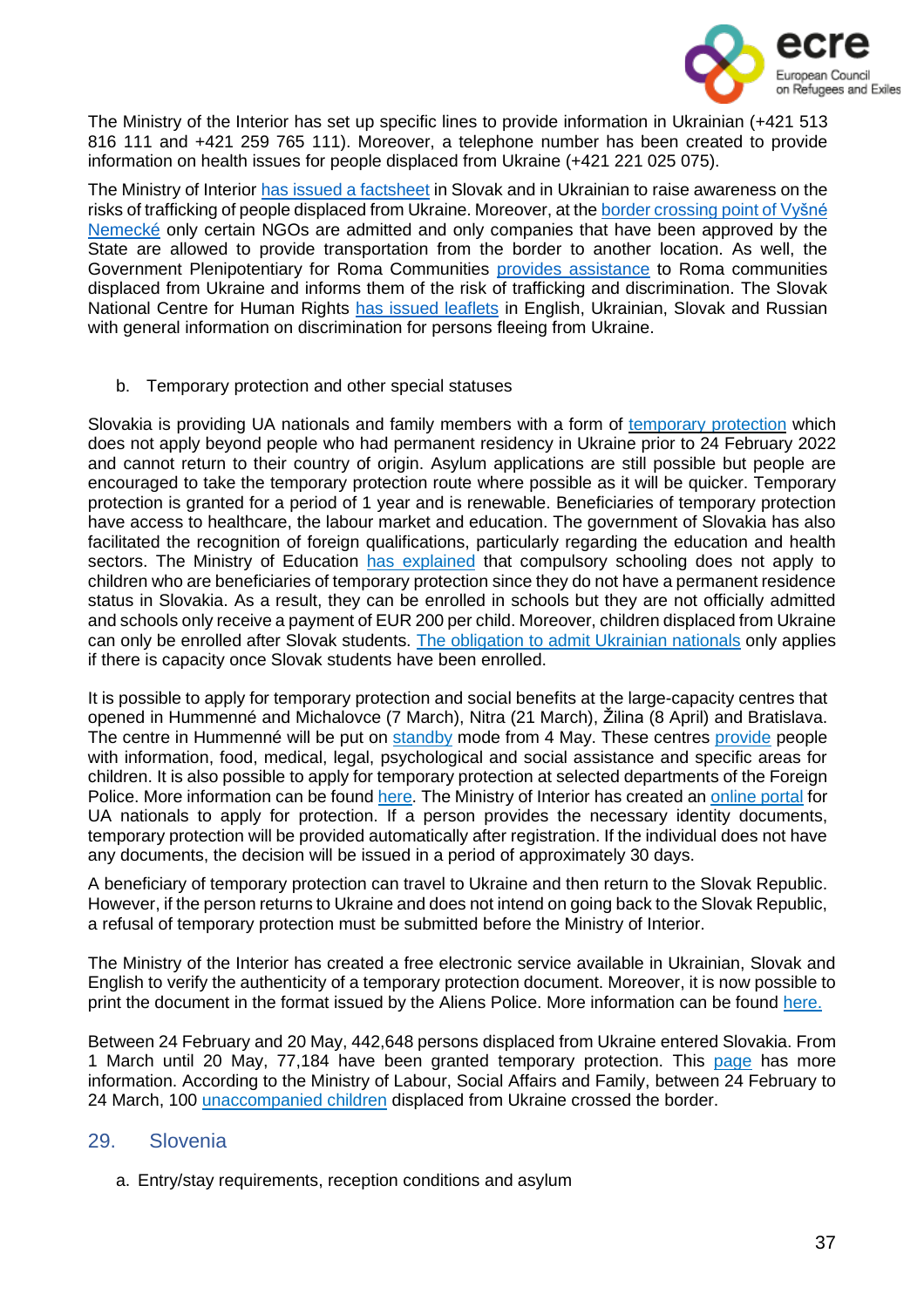

The Ministry of the Interior has set up specific lines to provide information in Ukrainian (+421 513 816 111 and +421 259 765 111). Moreover, a telephone number has been created to provide information on health issues for people displaced from Ukraine (+421 221 025 075).

The Ministry of Interior has [issued](https://www.minv.sk/?tlacove-spravy&sprava=upozornujeme-ze-tazku-situaciu-vojnovych-utecencov-z-ukrajiny-mozu-zneuzit-obchodnici-s-ludmi) a factsheet in Slovak and in Ukrainian to raise awareness on the risks of trafficking of people displaced from Ukraine. Moreover, at the border [crossing](https://fra.europa.eu/sites/default/files/fra_uploads/fra-2022-ukraine-bulletin-1_en.pdf) point of Vyšné [Nemecké](https://fra.europa.eu/sites/default/files/fra_uploads/fra-2022-ukraine-bulletin-1_en.pdf) only certain NGOs are admitted and only companies that have been approved by the State are allowed to provide transportation from the border to another location. As well, the Government Plenipotentiary for Roma Communities provides [assistance](https://www.facebook.com/splnomocnenecRK/posts/136458558891831) to Roma communities displaced from Ukraine and informs them of the risk of trafficking and discrimination. The Slovak National Centre for Human Rights has [issued](https://www.snslp.sk/en/aktuality/information-about-providing-legal-assistance-to-persons-fleeing-from-ukraine/) leaflets in English, Ukrainian, Slovak and Russian with general information on discrimination for persons fleeing from Ukraine.

b. Temporary protection and other special statuses

Slovakia is providing UA nationals and family members with a form of [temporary](https://www.minv.sk/?tlacove-spravy&sprava=slovensko-od-1-marca-poskytuje-docasne-utocisko-obcanom-ukrajiny-a-ich-pribuznym-k-dispozicii-je-informacny-letak) protection which does not apply beyond people who had permanent residency in Ukraine prior to 24 February 2022 and cannot return to their country of origin. Asylum applications are still possible but people are encouraged to take the temporary protection route where possible as it will be quicker. Temporary protection is granted for a period of 1 year and is renewable. Beneficiaries of temporary protection have access to healthcare, the labour market and education. The government of Slovakia has also facilitated the recognition of foreign qualifications, particularly regarding the education and health sectors. The Ministry of Education has [explained](https://ukrajina.minedu.sk/data/att/22984.pdf) that compulsory schooling does not apply to children who are beneficiaries of temporary protection since they do not have a permanent residence status in Slovakia. As a result, they can be enrolled in schools but they are not officially admitted and schools only receive a payment of EUR 200 per child. Moreover, children displaced from Ukraine can only be enrolled after Slovak students. The [obligation](https://fra.europa.eu/sites/default/files/fra_uploads/fra-2022-ukraine-bulletin-1_en.pdf) to admit Ukrainian nationals only applies if there is capacity once Slovak students have been enrolled.

It is possible to apply for temporary protection and social benefits at the large-capacity centres that opened in Hummenné and Michalovce (7 March), Nitra (21 March), Žilina (8 April) and Bratislava. The centre in Hummenné will be put on [standby](https://www-minv-sk.translate.goog/?tlacove-spravy&sprava=ludom-utekajucim-pred-vojnou-ministerstvo-vnutra-zabezpecuje-nudzove-ubytovanie&_x_tr_sl=sk&_x_tr_tl=en&_x_tr_hl=es) mode from 4 May. These centres [provide](https://fra.europa.eu/sites/default/files/fra_uploads/fra-2022-ukraine-bulletin-1_en.pdf) people with information, food, medical, legal, psychological and social assistance and specific areas for children. It is also possible to apply for temporary protection at selected departments of the Foreign Police. More information can be found [here.](https://www.mic.iom.sk/en/news/758-info-ukraine.html) The Ministry of Interior has created an [online](https://portal.minv.sk/wps/portal/domov/ecu/ecu_elektronicke_sluzby/ECU-UA/!ut/p/a1/pdFNC4IwGMDxz9LBY-7Jt7LbzPKlJHpZ2S6hYCqZhlrSt8-kg4GZ0G4bvz9sexBFNqKxcw99Jw-T2IleeyodBZhMdXMOprZWFVjtuM1MNAgHc74EhzpYWgMJMLG2CpZLAOKfvdCtn2hYF4YLKIMRB4aq6OpQtgAMqVsPXxaGX_0e0U_S8APtQHiDtjdUoOWSJqJ-lLjVwA44dvmRj2jqnbzUS9lbWh4HeX7NxgwwUBQFewnjO5udGWjyQZLlyK4xdL0QQmwIjT51HwXuPQG8_s86/dl5/d5/L2dBISEvZ0FBIS9nQSEh/) portal for UA nationals to apply for protection. If a person provides the necessary identity documents, temporary protection will be provided automatically after registration. If the individual does not have any documents, the decision will be issued in a period of approximately 30 days.

A beneficiary of temporary protection can travel to Ukraine and then return to the Slovak Republic. However, if the person returns to Ukraine and does not intend on going back to the Slovak Republic, a refusal of temporary protection must be submitted before the Ministry of Interior.

The Ministry of the Interior has created a free electronic service available in Ukrainian, Slovak and English to verify the authenticity of a temporary protection document. Moreover, it is now possible to print the document in the format issued by the Aliens Police. More information can be found [here.](https://www-minv-sk.translate.goog/?tlacove-spravy&sprava=bezplatna-e-sluzba-na-overenie-dokladu-o-udeleni-docasneho-utociska-je-doplnena-o-moznost-tlace-dokladu&_x_tr_sl=sk&_x_tr_tl=en&_x_tr_hl=es)

Between 24 February and 20 May, 442,648 persons displaced from Ukraine entered Slovakia. From 1 March until 20 May, 77,184 have been granted temporary protection. This [page](https://www-minv-sk.translate.goog/?tlacove-spravy&sprava=o-docasne-utocisko-na-slovensku-poziadalo-viac-ako-77-tisic-utecencov-z-ukrajiny&_x_tr_sl=sk&_x_tr_tl=en&_x_tr_hl=es) has more information. According to the Ministry of Labour, Social Affairs and Family, between 24 February to 24 March, 100 [unaccompanied](https://fra.europa.eu/sites/default/files/fra_uploads/fra-2022-ukraine-bulletin-1_en.pdf) children displaced from Ukraine crossed the border.

# 29. Slovenia

<span id="page-36-0"></span>a. Entry/stay requirements, reception conditions and asylum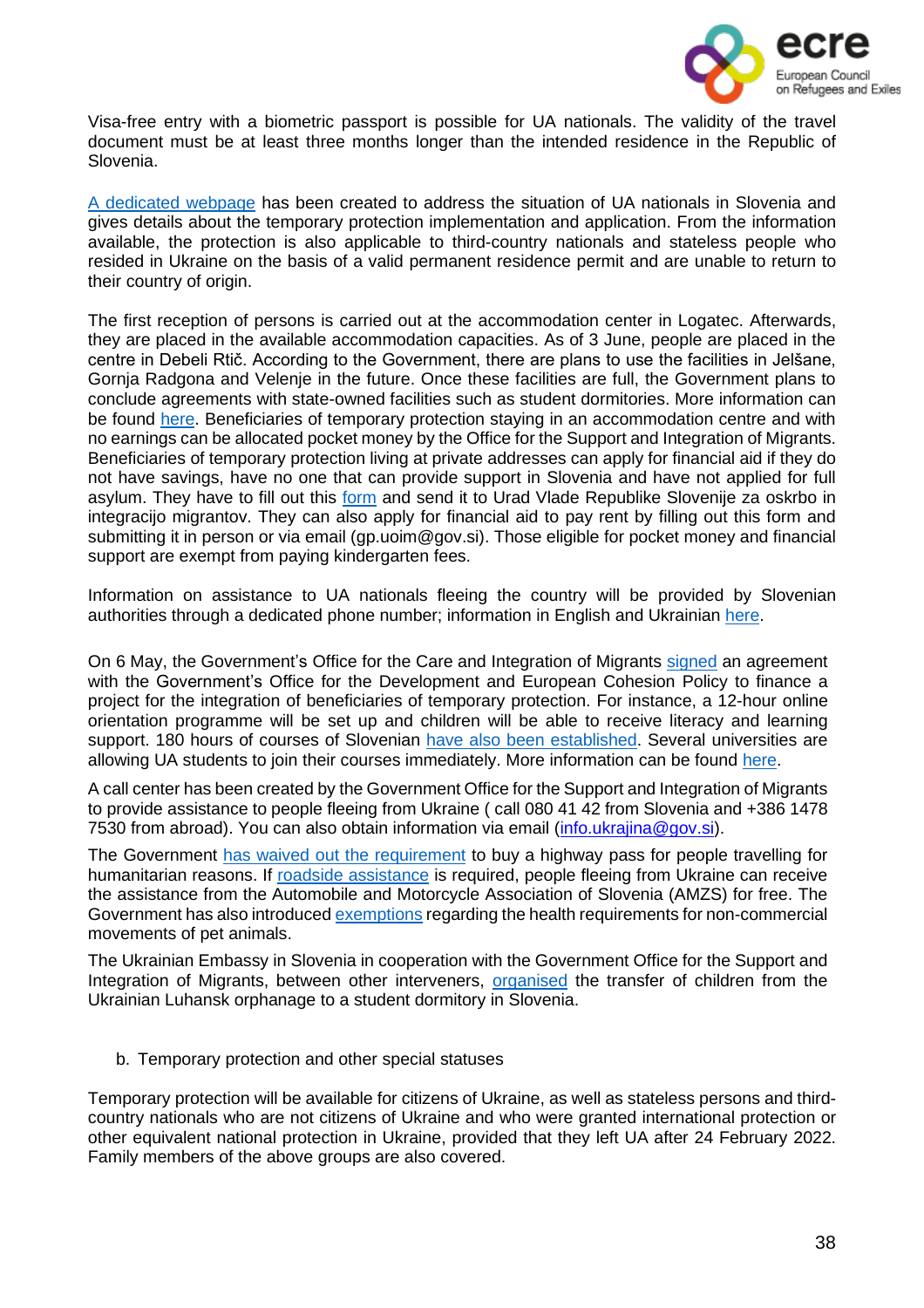

Visa-free entry with a biometric passport is possible for UA nationals. The validity of the travel document must be at least three months longer than the intended residence in the Republic of Slovenia.

A [dedicated](https://www.gov.si/teme/pomoc-slovenije-drzavljanom-ukrajine/#e147987) webpage has been created to address the situation of UA nationals in Slovenia and gives details about the temporary protection implementation and application. From the information available, the protection is also applicable to third-country nationals and stateless people who resided in Ukraine on the basis of a valid permanent residence permit and are unable to return to their country of origin.

The first reception of persons is carried out at the accommodation center in Logatec. Afterwards, they are placed in the available accommodation capacities. As of 3 June, people are placed in the centre in Debeli Rtič. According to the Government, there are plans to use the facilities in Jelšane, Gornja Radgona and Velenje in the future. Once these facilities are full, the Government plans to conclude agreements with state-owned facilities such as student dormitories. More information can be found [here.](https://www.gov.si/en/topics/slovenias-assistance-to-the-citizens-of-ukraine/) Beneficiaries of temporary protection staying in an accommodation centre and with no earnings can be allocated pocket money by the Office for the Support and Integration of Migrants. Beneficiaries of temporary protection living at private addresses can apply for financial aid if they do not have savings, have no one that can provide support in Slovenia and have not applied for full asylum. They have to fill out this [form](https://view.officeapps.live.com/op/view.aspx?src=https%3A%2F%2Fwww.gov.si%2Fassets%2Fvladne-sluzbe%2FUOIM%2FVloge-storitve%2FPriloga-4-Zahtevek-za-dodelitev-denarne-pomoci.doc&wdOrigin=BROWSELINK) and send it to Urad Vlade Republike Slovenije za oskrbo in integracijo migrantov. They can also apply for financial aid to pay rent by filling out this form and submitting it in person or via email (gp.uoim@gov.si). Those eligible for pocket money and financial support are exempt from paying kindergarten fees.

Information on assistance to UA nationals fleeing the country will be provided by Slovenian authorities through a dedicated phone number; information in English and Ukrainian [here.](https://www.gov.si/en/news/2022-02-27-all-the-information-on-the-assistance-that-republic-of-slovenia-provides-to-refugees-from-ukraine/)

On 6 May, the Government's Office for the Care and Integration of Migrants [signed](https://www-gov-si.translate.goog/novice/2022-05-06-podpis-sporazuma-za-financiranje-projekta-za-podporo-osebam-z-zacasno-zascito-iz-ukrajine/?_x_tr_sl=sl&_x_tr_tl=en&_x_tr_hl=es&_x_tr_pto=op) an agreement with the Government's Office for the Development and European Cohesion Policy to finance a project for the integration of beneficiaries of temporary protection. For instance, a 12-hour online orientation programme will be set up and children will be able to receive literacy and learning support. 180 hours of courses of Slovenian have also been [established.](https://www.oecd.org/publications/rights-and-support-for-ukrainian-refugees-in-receiving-countries-09beb886-en.htm) Several universities are allowing UA students to join their courses immediately. More information can be found [here.](https://slovenia-ukraine.info/en/)

A call center has been created by the Government Office for the Support and Integration of Migrants to provide assistance to people fleeing from Ukraine ( call 080 41 42 from Slovenia and +386 1478 7530 from abroad). You can also obtain information via email [\(info.ukrajina@gov.si\)](mailto:info.ukrajina@gov.si).

The Government has waived out the [requirement](https://www.amzs.si/novice/aktualne-informacije/2022-03-09-amzs-zagotavlja-brezplacno-pomoc-na-cesti-za-begunce-iz-ukrajine?s=09) to buy a highway pass for people travelling for humanitarian reasons. If roadside [assistance](https://www.amzs.si/novice/aktualne-informacije/2022-03-09-amzs-zagotavlja-brezplacno-pomoc-na-cesti-za-begunce-iz-ukrajine?s=09) is required, people fleeing from Ukraine can receive the assistance from the Automobile and Motorcycle Association of Slovenia (AMZS) for free. The Government has also introduced [exemptions](https://www.gov.si/zbirke/storitve/odstopanja-za-netrgovske-premike-hisnih-zivali-izredne-okoliscine-v-ukrajini-220228105821/) regarding the health requirements for non-commercial movements of pet animals.

The Ukrainian Embassy in Slovenia in cooperation with the Government Office for the Support and Integration of Migrants, between other interveners, [organised](https://www.gov.si/en/news/2022-05-03-children-from-ukrainian-luhansk-orphanage-arrive-in-slavina-near-postojna/) the transfer of children from the Ukrainian Luhansk orphanage to a student dormitory in Slovenia.

#### b. Temporary protection and other special statuses

Temporary protection will be available for citizens of Ukraine, as well as stateless persons and thirdcountry nationals who are not citizens of Ukraine and who were granted international protection or other equivalent national protection in Ukraine, provided that they left UA after 24 February 2022. Family members of the above groups are also covered.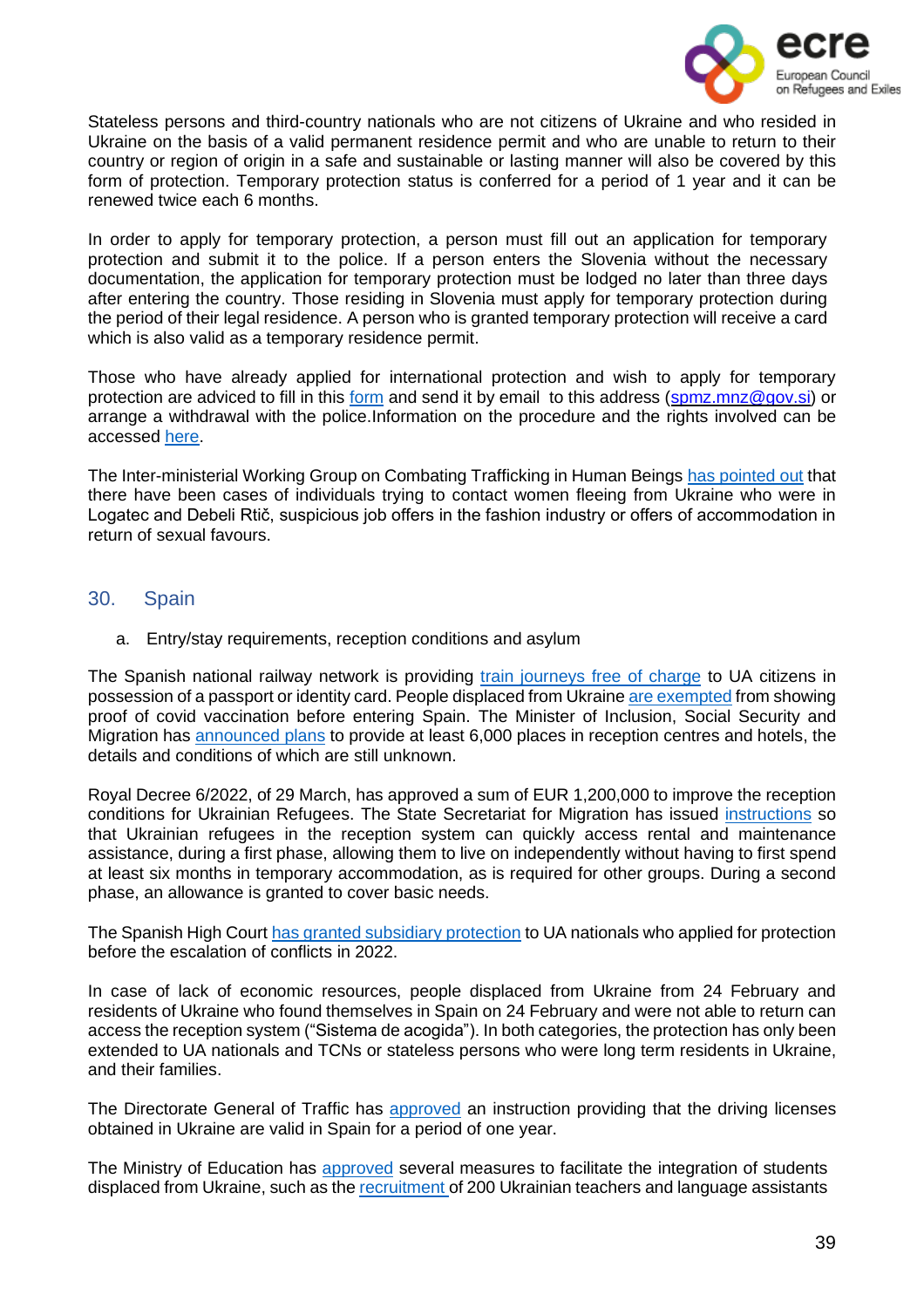

Stateless persons and third-country nationals who are not citizens of Ukraine and who resided in Ukraine on the basis of a valid permanent residence permit and who are unable to return to their country or region of origin in a safe and sustainable or lasting manner will also be covered by this form of protection. Temporary protection status is conferred for a period of 1 year and it can be renewed twice each 6 months.

In order to apply for temporary protection, a person must fill out an application for temporary protection and submit it to the police. If a person enters the Slovenia without the necessary documentation, the application for temporary protection must be lodged no later than three days after entering the country. Those residing in Slovenia must apply for temporary protection during the period of their legal residence. A person who is granted temporary protection will receive a card which is also valid as a temporary residence permit.

Those who have already applied for international protection and wish to apply for temporary protection are adviced to fill in this [form](https://view.officeapps.live.com/op/view.aspx?src=https%3A%2F%2Fwww.gov.si%2Fassets%2Fvladne-sluzbe%2FUOIM%2Frazno%2F2022.3.16-umik-obrazec-slo.docx&wdOrigin=BROWSELINK) and send it by email to this address [\(spmz.mnz@gov.si\)](mailto:spmz.mnz@gov.si) or arrange a withdrawal with the police.Information on the procedure and the rights involved can be accessed [here.](https://www.gov.si/en/topics/slovenias-assistance-to-the-citizens-of-ukraine/)

The Inter-ministerial Working Group on Combating Trafficking in Human Beings has [pointed](https://www.gov.si/en/registries/projects/combating-trafficking-in-human-beings/#e153869) out that there have been cases of individuals trying to contact women fleeing from Ukraine who were in Logatec and Debeli Rtič, suspicious job offers in the fashion industry or offers of accommodation in return of sexual favours.

# <span id="page-38-0"></span>30. Spain

a. Entry/stay requirements, reception conditions and asylum

The Spanish national railway network is providing train [journeys](https://euroweeklynews.com/2022/03/06/renfe-offers-free-travel-on-all-trains-to-refugees-from-ukraine/) free of charge to UA citizens in possession of a passport or identity card. People displaced from Ukraine are [exempted](https://euroweeklynews.com/2022/03/18/spain-scraps-covid-rules-for-ukrainian-refugees-entering-the-country/) from showing proof of covid vaccination before entering Spain. The Minister of Inclusion, Social Security and Migration has [announced](https://euroweeklynews.com/2022/03/07/6000-ukrainian-refugees-due-to-arrive-in-spain/) plans to provide at least 6,000 places in reception centres and hotels, the details and conditions of which are still unknown.

Royal Decree 6/2022, of 29 March, has approved a sum of EUR 1,200,000 to improve the reception conditions for Ukrainian Refugees. The State Secretariat for Migration has issued [instructions](https://elpais.com/espana/2022-04-12/migraciones-permite-que-los-refugiados-ucranios-accedan-a-las-ayudas-alquiler-sin-pasar-por-centros-de-acogida.html?ssm=TW_CC) so that Ukrainian refugees in the reception system can quickly access rental and maintenance assistance, during a first phase, allowing them to live on independently without having to first spend at least six months in temporary accommodation, as is required for other groups. During a second phase, an allowance is granted to cover basic needs.

The Spanish High Court has granted [subsidiary](https://tfextranjeria.es/publicacion/la-audiencia-nacional-sigue-concediendo-proteccion-subsidiaria-a-los-ucranianos-as-que-tenian-las-denegaciones-de-proteccion-internacional-recurridas/) protection to UA nationals who applied for protection before the escalation of conflicts in 2022.

In case of lack of economic resources, people displaced from Ukraine from 24 February and residents of Ukraine who found themselves in Spain on 24 February and were not able to return can access the reception system ("Sistema de acogida"). In both categories, the protection has only been extended to UA nationals and TCNs or stateless persons who were long term residents in Ukraine, and their families.

The Directorate General of Traffic has [approved](https://www.inclusion.gob.es/es/ucrania/actualidad/noticias/carne-conducir-ucrania-espaa.htm) an instruction providing that the driving licenses obtained in Ukraine are valid in Spain for a period of one year.

The Ministry of Education has [approved](https://www.inclusion.gob.es/es/ucrania/actualidad/noticias/escolarizar-desplazados-ucrania.htm) several measures to facilitate the integration of students displaced from Ukraine, such as the recruitment of 200 Ukrainian teachers and language assistants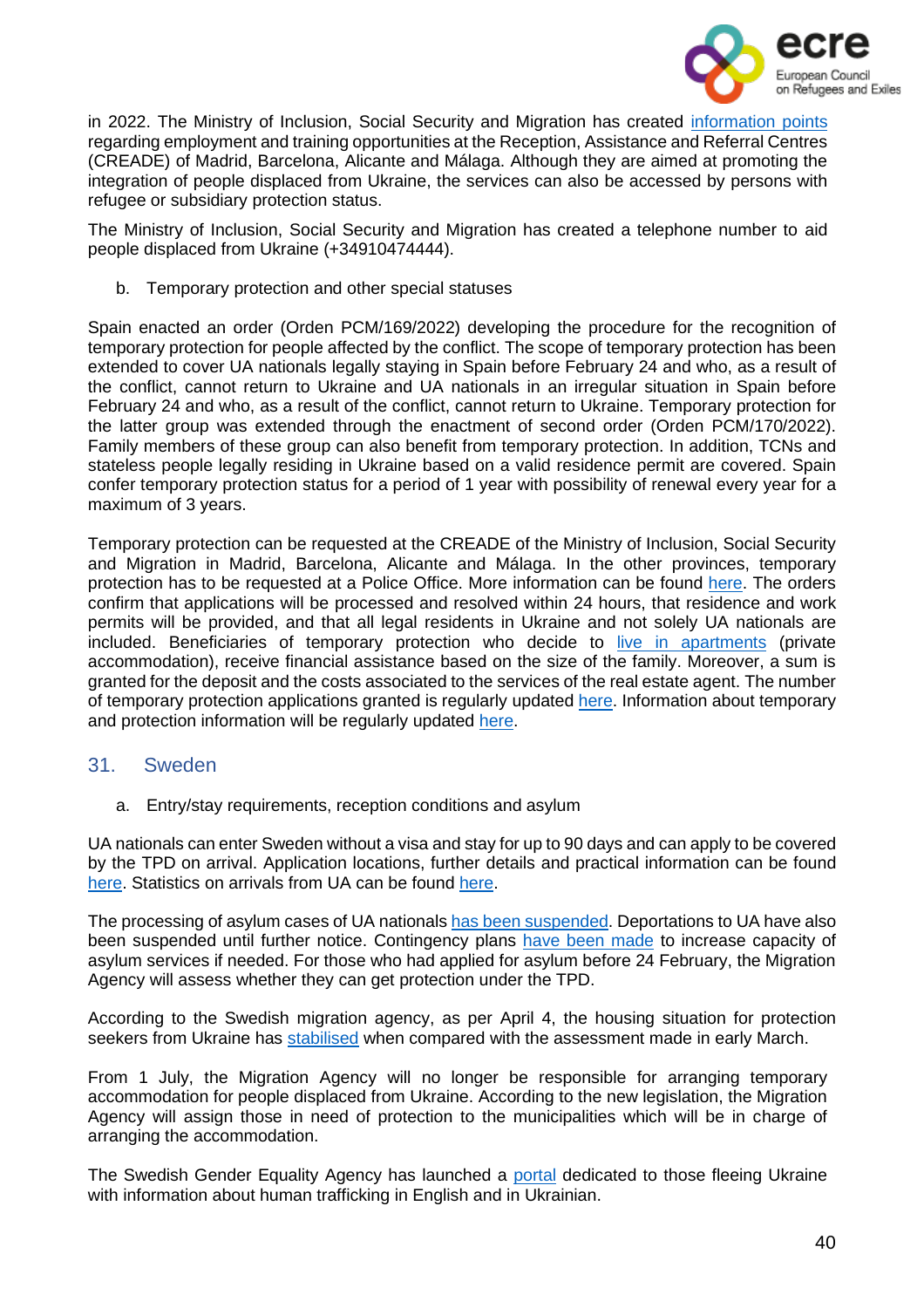

in 2022. The Ministry of Inclusion, Social Security and Migration has created [information](https://www.inclusion.gob.es/es/ucrania/actualidad/noticias/Asesoramiento-laboral.htm) points regarding employment and training opportunities at the Reception, Assistance and Referral Centres (CREADE) of Madrid, Barcelona, Alicante and Málaga. Although they are aimed at promoting the integration of people displaced from Ukraine, the services can also be accessed by persons with refugee or subsidiary protection status.

The Ministry of Inclusion, Social Security and Migration has created a telephone number to aid people displaced from Ukraine (+34910474444).

b. Temporary protection and other special statuses

Spain enacted an order (Orden PCM/169/2022) developing the procedure for the recognition of temporary protection for people affected by the conflict. The scope of temporary protection has been extended to cover UA nationals legally staying in Spain before February 24 and who, as a result of the conflict, cannot return to Ukraine and UA nationals in an irregular situation in Spain before February 24 and who, as a result of the conflict, cannot return to Ukraine. Temporary protection for the latter group was extended through the enactment of second order (Orden PCM/170/2022). Family members of these group can also benefit from temporary protection. In addition, TCNs and stateless people legally residing in Ukraine based on a valid residence permit are covered. Spain confer temporary protection status for a period of 1 year with possibility of renewal every year for a maximum of 3 years.

Temporary protection can be requested at the CREADE of the Ministry of Inclusion, Social Security and Migration in Madrid, Barcelona, Alicante and Málaga. In the other provinces, temporary protection has to be requested at a Police Office. More information can be found [here.](https://www.inclusion.gob.es/es/ucrania/actualidad/noticias/tramites-proteccion-temporal-desplazados-ucrania.htm) The orders confirm that applications will be processed and resolved within 24 hours, that residence and work permits will be provided, and that all legal residents in Ukraine and not solely UA nationals are included. Beneficiaries of temporary protection who decide to live in [apartments](https://read.oecd-ilibrary.org/social-issues-migration-health/rights-and-support-for-ukrainian-refugees-in-receiving-countries_09beb886-en#page1) (private accommodation), receive financial assistance based on the size of the family. Moreover, a sum is granted for the deposit and the costs associated to the services of the real estate agent. The number of temporary protection applications granted is regularly updated [here.](http://www.interior.gob.es/es/web/servicios-al-ciudadano/datos-diarios-y-acumulados-sobre-resolucion-de-proteccion-temporal) Information about temporary and protection information will be regularly updated [here.](https://www.cear.es/guia-sobre-el-asilo-en-espana-para-personas-afectadas-por-la-guerra-en-ucrania/)

#### <span id="page-39-0"></span>31. Sweden

a. Entry/stay requirements, reception conditions and asylum

UA nationals can enter Sweden without a visa and stay for up to 90 days and can apply to be covered by the TPD on arrival. Application locations, further details and practical information can be found [here.](https://www.migrationsverket.se/Om-Migrationsverket/Aktuella-fragor/Situationen-i-Ukraina.html) Statistics on arrivals from UA can be found [here.](https://www.migrationsverket.se/Om-Migrationsverket/Statistik/Sokande-fran-Ukraina.html)

The processing of asylum cases of UA nationals has been [suspended.](https://www.migrationsverket.se/Om-Migrationsverket/Pressrum/Nyhetsarkiv/Nyhetsarkiv-2022/2022-02-24-Migrationsverket-stoppar-tillfalligt-utvisningar-till-Ukraina.html) Deportations to UA have also been suspended until further notice. Contingency plans have been [made](https://www.migrationsverket.se/Om-Migrationsverket/Pressrum/Nyhetsarkiv/Nyhetsarkiv-2022/2022-02-24-Migrationsverket-har-okad-beredskap-efter-utvecklingen-i-Ukraina.html) to increase capacity of asylum services if needed. For those who had applied for asylum before 24 February, the Migration Agency will assess whether they can get protection under the TPD.

According to the Swedish migration agency, as per April 4, the housing situation for protection seekers from Ukraine has [stabilised](https://www.migrationsverket.se/English/About-the-Migration-Agency/For-press/News-archive/News-archive-2022/2022-04-04-Reduced-need-for-temporary-housing-for-protection-seekers-from-Ukraine.html) when compared with the assessment made in early March.

From 1 July, the Migration Agency [will no longer be responsible](https://www.migrationsverket.se/Om-Migrationsverket/Pressrum/Nyhetsarkiv/Nyhetsarkiv-2022/2022-05-10-Migrationsverket-ingar-avtal-med-kommuner-om-langsiktiga-boenden-for-skyddsbehovande-fran-Ukraina.html) for arranging temporary accommodation for people displaced from Ukraine. According to the new legislation, the Migration Agency will assign those in need of protection to the municipalities which will be in charge of arranging the accommodation.

The Swedish Gender Equality Agency has launched a [portal](https://swedishgenderequalityagency.se/men-s-violence-against-women/prostitution-and-human-trafficking/to-you-fleeing-ukraine/) dedicated to those fleeing Ukraine with information about human trafficking in English and in Ukrainian.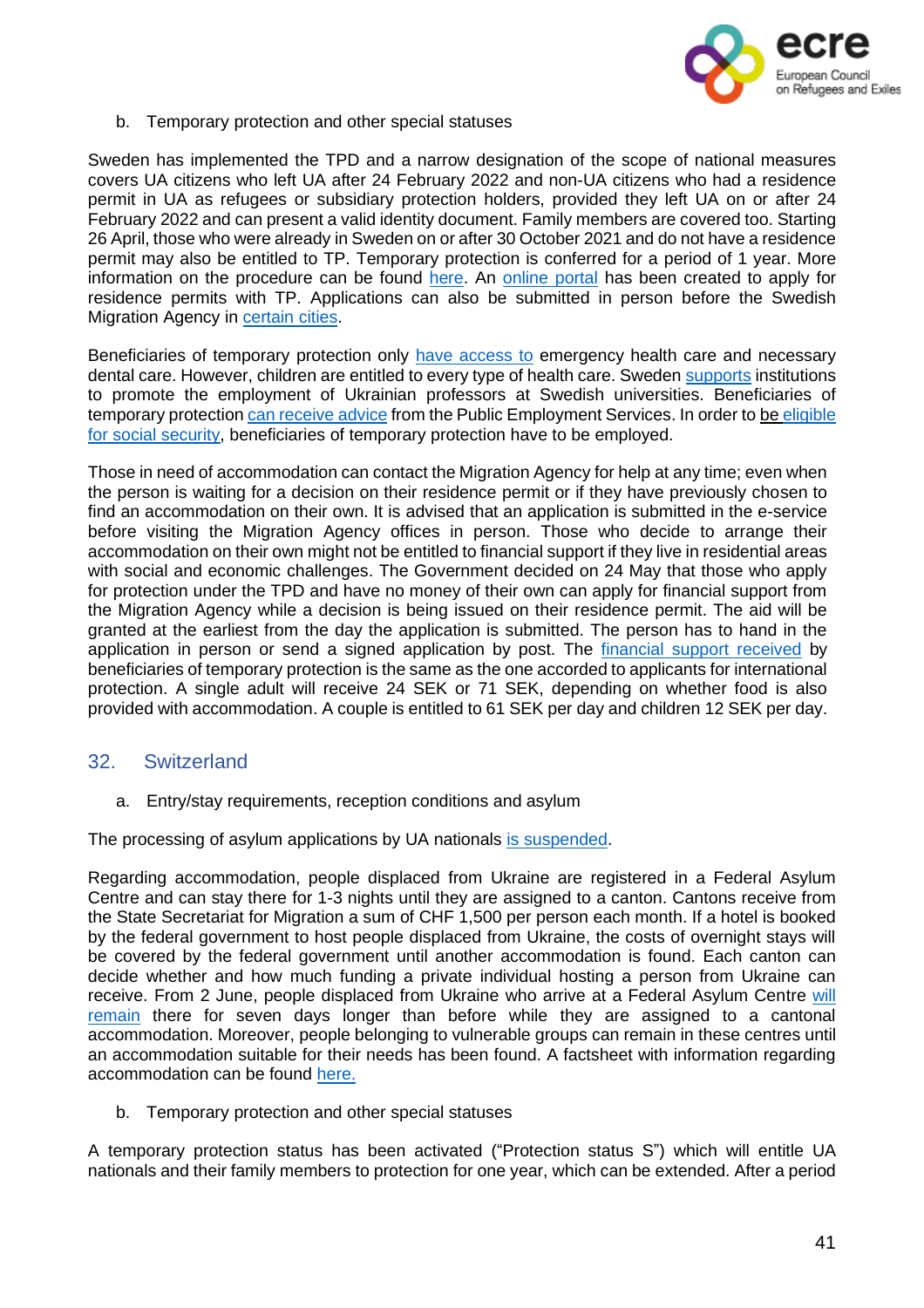

b. Temporary protection and other special statuses

Sweden has implemented the TPD and a narrow designation of the scope of national measures covers UA citizens who left UA after 24 February 2022 and non-UA citizens who had a residence permit in UA as refugees or subsidiary protection holders, provided they left UA on or after 24 February 2022 and can present a valid identity document. Family members are covered too. Starting 26 April, those who were already in Sweden on or after 30 October 2021 and do not have a residence permit may also be entitled to TP. Temporary protection is conferred for a period of 1 year. More information on the procedure can be found [here.](https://www.migrationsverket.se/English/Private-individuals/Protection-under-the-Temporary-Protection-Directive/Apply-for-protection-under-the-Temporary-Protection-Directive.html) An [online](https://adfse.migrationsverket.se/adfs/ls/?SAMLRequest=hZJJT8MwEIX%2FSuR749RdZTWRQitEpQJREzhwQVmmjUViB4%2FTwL8nC0uRUDnPm%2FfmfZoVxmVRcb82udzDaw1orLeykMj7gUtqLbmKUSCXcQnITcpD%2F3bHme3wSiujUlUQy0cEbYSSayWxLkGHoE8ihYf9ziW5MRVySpumsUtx1HEnxBPoFzA2Ag1zkSSqAJPbiIp29owG92FErE17j5D9wo9PnB0Q%2FnTqJrRASqxrpVPoW7lkTKztxiXPkC7ni5RNnWS5GM8zZ8rYYZ5NFmwGDCbgtDLEGrYSTSyNS5jD2MiZjdg0GjvcWXI2eSJW8Fn6SshMyONlQskgQn4TRcFo6PQIGvs%2BrYB4q44z74P1GfnLtvEXbuL9Bxe%2F4a7oWdSQW%2FG71nu7CVQh0nfLLwrVrDXEBjpq1BtWfr%2BH9wE%3D&RelayState=ss%3Amem%3A8ad429f81a9a396c239de72ce305b72fba56c7bfaec1c9dc649173ae936f9704) portal has been created to apply for residence permits with TP. Applications can also be submitted in person before the Swedish Migration Agency in [certain](https://www.migrationsverket.se/English/Private-individuals/Protection-under-the-Temporary-Protection-Directive/Apply-for-protection-under-the-Temporary-Protection-Directive.html) cities.

Beneficiaries of temporary protection only have [access](https://www.oecd.org/publications/rights-and-support-for-ukrainian-refugees-in-receiving-countries-09beb886-en.htm) to emergency health care and necessary dental care. However, children are entitled to every type of health care. Sweden [supports](https://www.oecd.org/publications/rights-and-support-for-ukrainian-refugees-in-receiving-countries-09beb886-en.htm) institutions to promote the employment of Ukrainian professors at Swedish universities. Beneficiaries of temporary protection can [receive](https://www.oecd.org/publications/rights-and-support-for-ukrainian-refugees-in-receiving-countries-09beb886-en.htm) advice from the Public Employment Services. In order to be [eligible](https://www.oecd.org/publications/rights-and-support-for-ukrainian-refugees-in-receiving-countries-09beb886-en.htm) for social [security,](https://www.oecd.org/publications/rights-and-support-for-ukrainian-refugees-in-receiving-countries-09beb886-en.htm) beneficiaries of temporary protection have to be employed.

Those in need of accommodation can contact the Migration Agency for help at any time; even when the person is waiting for a decision on their residence permit or if they have previously chosen to find an accommodation on their own. It is advised that an application is submitted in the e-service before visiting the Migration Agency offices in person. Those who decide to arrange their accommodation on their own might not be entitled to financial support if they live in residential areas with social and economic challenges. The Government decided on 24 May that those who apply for protection under the TPD and have no money of their own can apply for financial support from the Migration Agency while a decision is being issued on their residence permit. The aid will be granted at the earliest from the day the application is submitted. The person has to hand in the application in person or send a signed application by post. The [financial](https://www.oecd.org/publications/rights-and-support-for-ukrainian-refugees-in-receiving-countries-09beb886-en.htm) support received by beneficiaries of temporary protection is the same as the one accorded to applicants for international protection. A single adult will receive 24 SEK or 71 SEK, depending on whether food is also provided with accommodation. A couple is entitled to 61 SEK per day and children 12 SEK per day.

# <span id="page-40-0"></span>32. Switzerland

a. Entry/stay requirements, reception conditions and asylum

The processing of asylum applications by UA nationals is [suspended.](https://twitter.com/SEMIGRATION/status/1496867921075011586?cxt=HHwWhIDU9bDc-MUpAAAA)

Regarding accommodation, people displaced from Ukraine are registered in a Federal Asylum Centre and can stay there for 1-3 nights until they are assigned to a canton. Cantons receive from the State Secretariat for Migration a sum of CHF 1,500 per person each month. If a hotel is booked by the federal government to host people displaced from Ukraine, the costs of overnight stays will be covered by the federal government until another accommodation is found. Each canton can decide whether and how much funding a private individual hosting a person from Ukraine can receive. From 2 June, people displaced from Ukraine who arrive at a Federal Asylum Centre will [remain](https://www.sem.admin.ch/sem/en/home/sem/medien/mm.msg-id-89100.html) there for seven days longer than before while they are assigned to a cantonal accommodation. Moreover, people belonging to vulnerable groups can remain in these centres until an accommodation suitable for their needs has been found. A factsheet with information regarding accommodation can be found [here.](file:///C:/Users/carme/Downloads/faktenblatt-zusammenarbeit-bund-kantone-e.pdf)

b. Temporary protection and other special statuses

A temporary protection status has been activated ("Protection status S") which will entitle UA nationals and their family members to protection for one year, which can be extended. After a period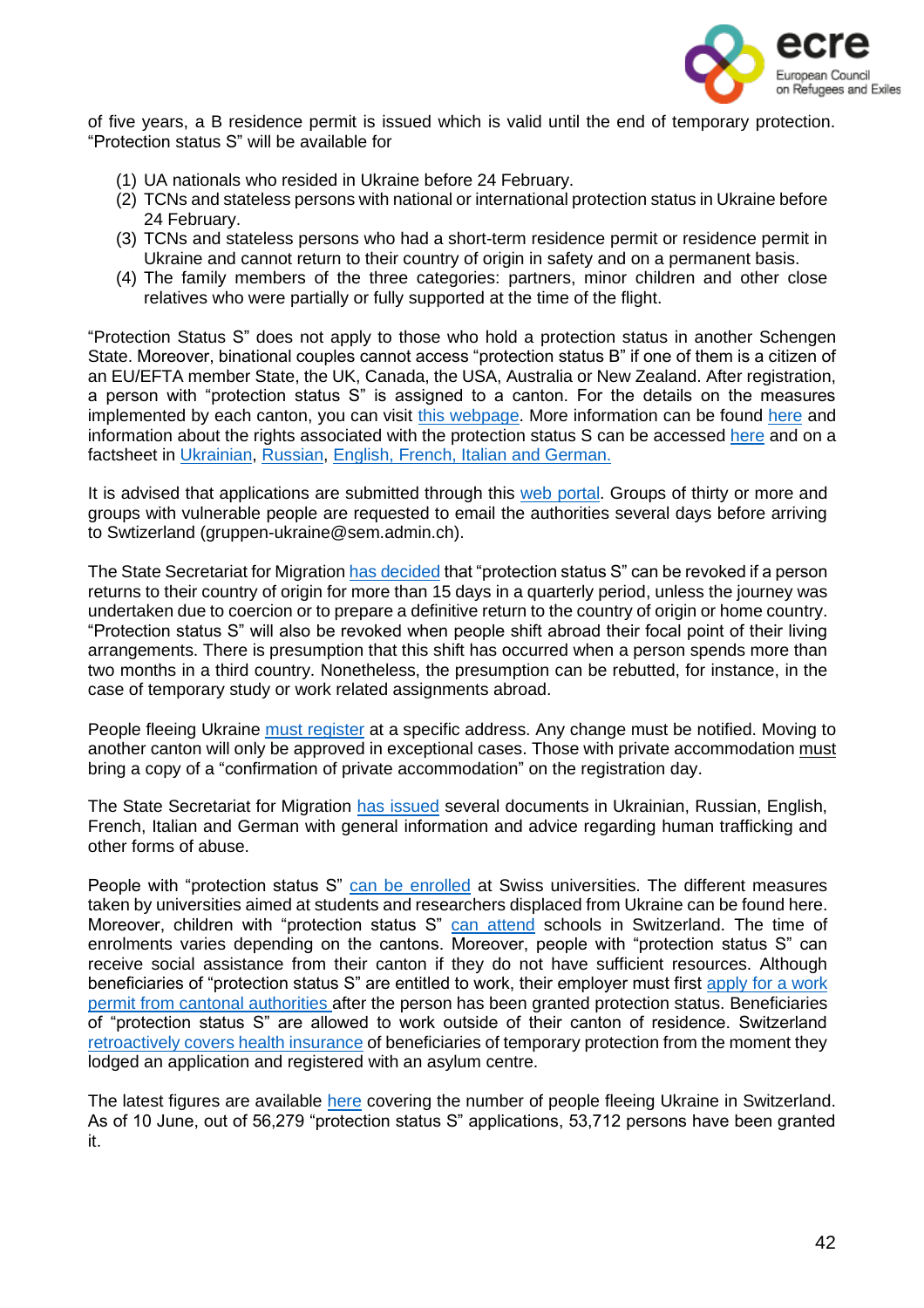

of five years, a B residence permit is issued which is valid until the end of temporary protection. "Protection status S" will be available for

- (1) UA nationals who resided in Ukraine before 24 February.
- (2) TCNs and stateless persons with national or international protection status in Ukraine before 24 February.
- (3) TCNs and stateless persons who had a short-term residence permit or residence permit in Ukraine and cannot return to their country of origin in safety and on a permanent basis.
- (4) The family members of the three categories: partners, minor children and other close relatives who were partially or fully supported at the time of the flight.

"Protection Status S" does not apply to those who hold a protection status in another Schengen State. Moreover, binational couples cannot access "protection status B" if one of them is a citizen of an EU/EFTA member State, the UK, Canada, the USA, Australia or New Zealand. After registration, a person with "protection status S" is assigned to a canton. For the details on the measures implemented by each canton, you can visit this [webpage.](file:///C:/Users/carme/Downloads/ukraine-ansprechstellen-kantone-d%20(4).pdf) More information can be found [here](https://www.admin.ch/gov/fr/accueil/documentation/communiques.msg-id-87556.html) and information about the rights associated with the protection status S can be accessed [here](https://www.sem.admin.ch/dam/sem/fr/data/asyl/faktenblatt-schutzstatus-s.pdf) and on a factsheet in [Ukrainian,](file:///C:/Users/carme/Downloads/leben-in-schweiz-mit-schutzstatus-s-ukr.pdf) [Russian,](file:///C:/Users/carme/Downloads/leben-in-schweiz-mit-schutzstatus-s-rus%20(1).pdf) [English,](file:///C:/Users/carme/Downloads/leben-in-schweiz-mit-schutzstatus-s-e%20(2).pdf) [French,](file:///C:/Users/carme/Downloads/leben-in-schweiz-mit-schutzstatus-s-f.pdf) [Italian](file:///C:/Users/carme/Downloads/leben-in-schweiz-mit-schutzstatus-s-i.pdf) and [German.](file:///C:/Users/carme/Downloads/leben-in-schweiz-mit-schutzstatus-s-d.pdf)

It is advised that applications are submitted through this web [portal.](https://registerme.admin.ch/) Groups of thirty or more and groups with vulnerable people are requested to email the authorities several days before arriving to Swtizerland [\(gruppen-ukraine@sem.admin.ch\)](mailto:gruppen-ukraine@sem.admin.ch).

The State Secretariat for Migration has [decided](https://www.sem.admin.ch/sem/en/home/sem/medien/mm.msg-id-89100.html) that "protection status S" can be revoked if a person returns to their country of origin for more than 15 days in a quarterly period, unless the journey was undertaken due to coercion or to prepare a definitive return to the country of origin or home country. "Protection status S" will also be revoked when people shift abroad their focal point of their living arrangements. There is presumption that this shift has occurred when a person spends more than two months in a third country. Nonetheless, the presumption can be rebutted, for instance, in the case of temporary study or work related assignments abroad.

People fleeing Ukraine must [register](https://twitter.com/SEMIGRATION/status/1518836276690100224) at a specific address. Any change must be notified. Moving to another canton will only be approved in exceptional cases. Those with private accommodation [must](https://www.sem.admin.ch/sem/en/home/sem/aktuell/ukraine-krieg.html#624030029) bring a copy of a "confirmation of private accommodation" on the registration day.

The State Secretariat for Migration has [issued](https://www.sem.admin.ch/sem/en/home/sem/medien/mm.msg-id-87962.html) several documents in Ukrainian, Russian, English, French, Italian and German with general information and advice regarding human trafficking and other forms of abuse.

People with "protection status S" can be [enrolled](https://twitter.com/SEMIGRATION/status/1531923091219152898?cxt=HHwWhICwtev7vcIqAAAA) at Swiss universities. The different measures taken by universities aimed at students and researchers displaced from Ukraine can be found here. Moreover, children with "protection status S" can [attend](https://twitter.com/SEMIGRATION/status/1531176663832309760?cxt=HHwWgMC9gYbE6r8qAAAA) schools in Switzerland. The time of enrolments varies depending on the cantons. Moreover, people with "protection status S" can receive social assistance from their canton if they do not have sufficient resources. Although beneficiaries of "protection status S" are entitled to work, their employer must first apply for a [work](file:///C:/Users/carme/Downloads/ukraine-ansprechstellen-kantone-d%20(6).pdf) permit from cantonal [authorities](file:///C:/Users/carme/Downloads/ukraine-ansprechstellen-kantone-d%20(6).pdf) after the person has been granted protection status. Beneficiaries of "protection status S" are allowed to work outside of their canton of residence. Switzerland [retroactively](https://www.oecd.org/publications/rights-and-support-for-ukrainian-refugees-in-receiving-countries-09beb886-en.htm) covers health insurance of beneficiaries of temporary protection from the moment they lodged an application and registered with an asylum centre.

The latest figures are available [here](https://twitter.com/SEMIGRATION) covering the number of people fleeing Ukraine in Switzerland. As of 10 June, out of 56,279 "protection status S" applications, 53,712 persons have been granted it.